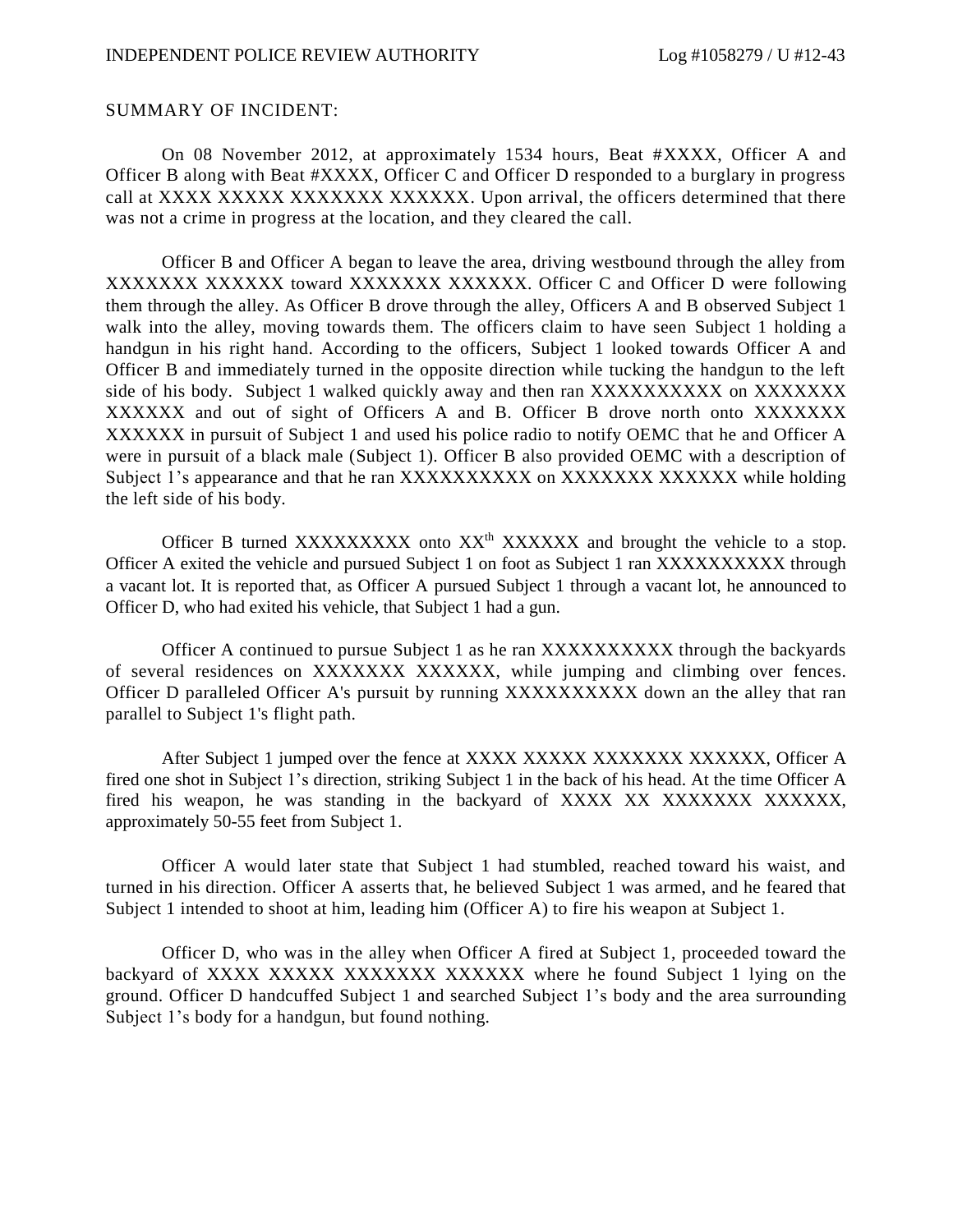#### SUMMARY OF INCIDENT:

On 08 November 2012, at approximately 1534 hours, Beat #XXXX, Officer A and Officer B along with Beat #XXXX, Officer C and Officer D responded to a burglary in progress call at XXXX XXXXX XXXXXXX XXXXXXX. Upon arrival, the officers determined that there was not a crime in progress at the location, and they cleared the call.

Officer B and Officer A began to leave the area, driving westbound through the alley from XXXXXXX XXXXXX toward XXXXXXX XXXXXX. Officer C and Officer D were following them through the alley. As Officer B drove through the alley, Officers A and B observed Subject 1 walk into the alley, moving towards them. The officers claim to have seen Subject 1 holding a handgun in his right hand. According to the officers, Subject 1 looked towards Officer A and Officer B and immediately turned in the opposite direction while tucking the handgun to the left side of his body. Subject 1 walked quickly away and then ran XXXXXXXXXX on XXXXXXX XXXXXX and out of sight of Officers A and B. Officer B drove north onto XXXXXXX XXXXXX in pursuit of Subject 1 and used his police radio to notify OEMC that he and Officer A were in pursuit of a black male (Subject 1). Officer B also provided OEMC with a description of Subject 1's appearance and that he ran XXXXXXXXXX on XXXXXXX XXXXXX while holding the left side of his body.

Officer B turned XXXXXXXXX onto  $XX^{\text{th}}$  XXXXXXX and brought the vehicle to a stop. Officer A exited the vehicle and pursued Subject 1 on foot as Subject 1 ran XXXXXXXXXX through a vacant lot. It is reported that, as Officer A pursued Subject 1 through a vacant lot, he announced to Officer D, who had exited his vehicle, that Subject 1 had a gun.

Officer A continued to pursue Subject 1 as he ran XXXXXXXXXX through the backyards of several residences on XXXXXXX XXXXXX, while jumping and climbing over fences. Officer D paralleled Officer A's pursuit by running XXXXXXXXXX down an the alley that ran parallel to Subject 1's flight path.

After Subject 1 jumped over the fence at XXXX XXXXX XXXXXXX XXXXXX, Officer A fired one shot in Subject 1's direction, striking Subject 1 in the back of his head. At the time Officer A fired his weapon, he was standing in the backyard of XXXX XX XXXXXXX XXXXXXX, approximately 50-55 feet from Subject 1.

Officer A would later state that Subject 1 had stumbled, reached toward his waist, and turned in his direction. Officer A asserts that, he believed Subject 1 was armed, and he feared that Subject 1 intended to shoot at him, leading him (Officer A) to fire his weapon at Subject 1.

Officer D, who was in the alley when Officer A fired at Subject 1, proceeded toward the backyard of XXXX XXXXX XXXXXXX XXXXXXX where he found Subject 1 lying on the ground. Officer D handcuffed Subject 1 and searched Subject 1's body and the area surrounding Subject 1's body for a handgun, but found nothing.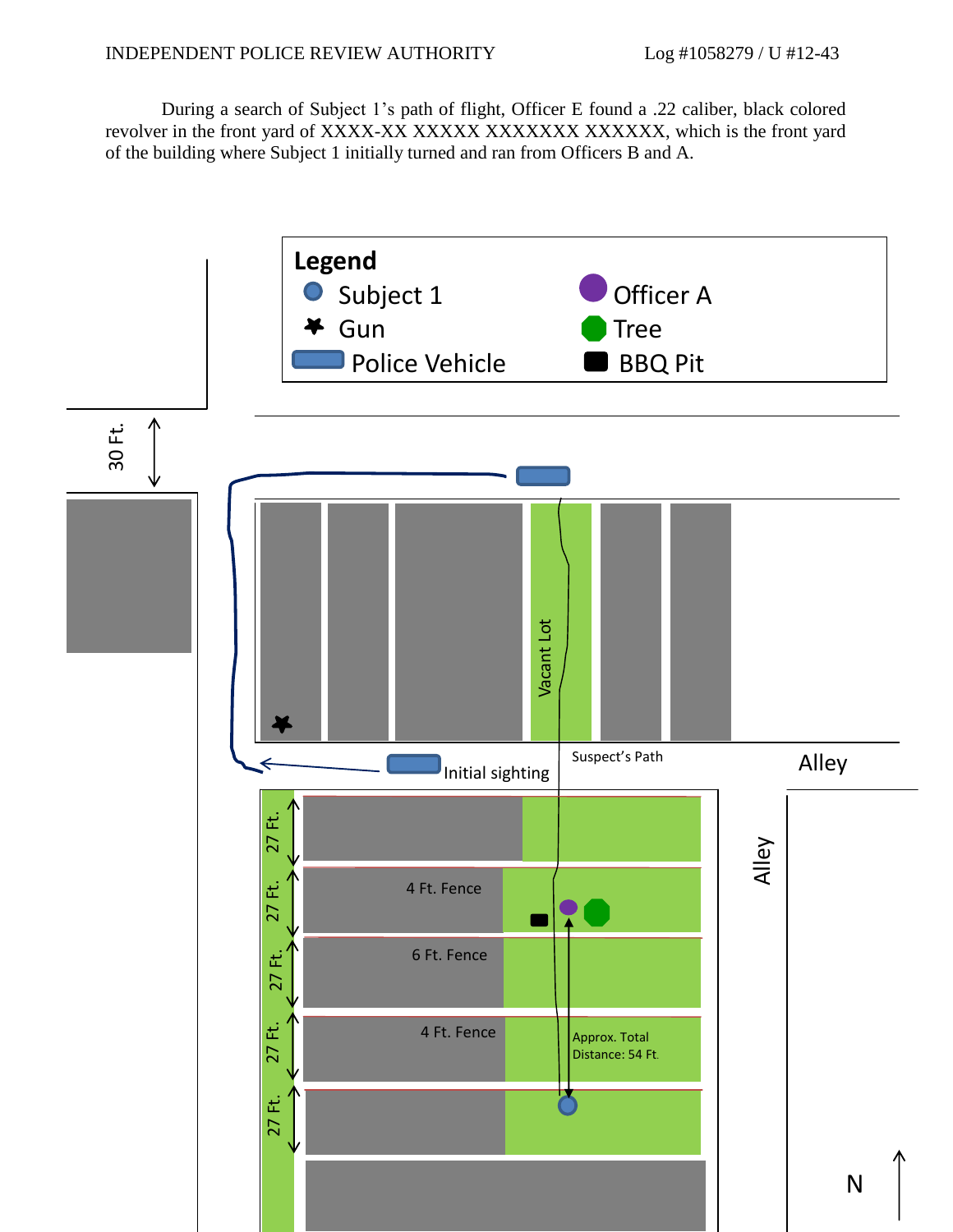During a search of Subject 1's path of flight, Officer E found a .22 caliber, black colored revolver in the front yard of XXXX-XX XXXXXX XXXXXXX XXXXXXX, which is the front yard of the building where Subject 1 initially turned and ran from Officers B and A.

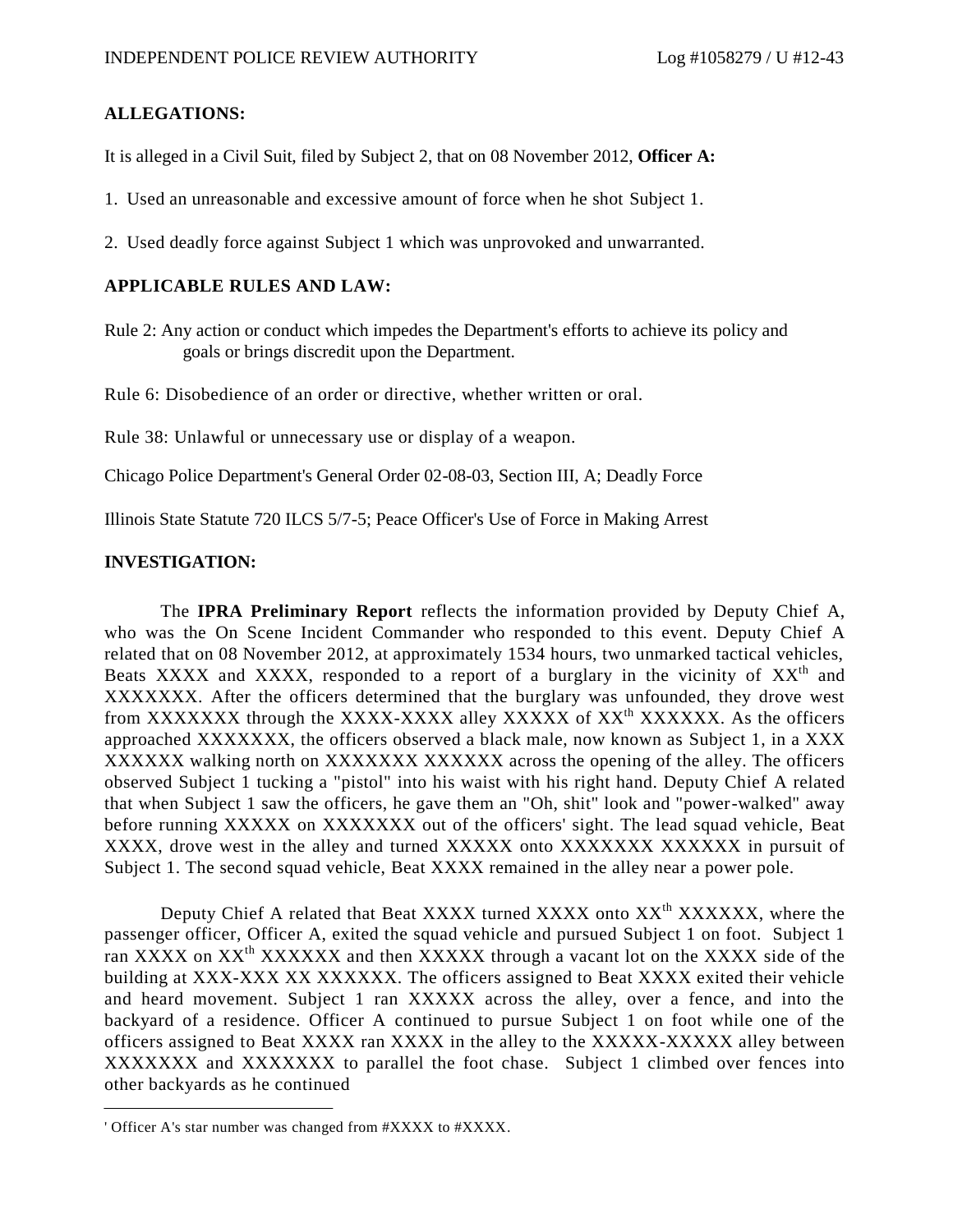### **ALLEGATIONS:**

It is alleged in a Civil Suit, filed by Subject 2, that on 08 November 2012, **Officer A:**

- 1. Used an unreasonable and excessive amount of force when he shot Subject 1.
- 2. Used deadly force against Subject 1 which was unprovoked and unwarranted.

#### **APPLICABLE RULES AND LAW:**

Rule 2: Any action or conduct which impedes the Department's efforts to achieve its policy and goals or brings discredit upon the Department.

Rule 6: Disobedience of an order or directive, whether written or oral.

Rule 38: Unlawful or unnecessary use or display of a weapon.

Chicago Police Department's General Order 02-08-03, Section III, A; Deadly Force

Illinois State Statute 720 ILCS 5/7-5; Peace Officer's Use of Force in Making Arrest

#### **INVESTIGATION:**

The **IPRA Preliminary Report** reflects the information provided by Deputy Chief A, who was the On Scene Incident Commander who responded to this event. Deputy Chief A related that on 08 November 2012, at approximately 1534 hours, two unmarked tactical vehicles, Beats XXXX and XXXX, responded to a report of a burglary in the vicinity of  $XX<sup>th</sup>$  and XXXXXXX. After the officers determined that the burglary was unfounded, they drove west from XXXXXXX through the XXXX-XXXX alley XXXXX of XX<sup>th</sup> XXXXXX. As the officers approached XXXXXXX, the officers observed a black male, now known as Subject 1, in a XXX XXXXXX walking north on XXXXXXX XXXXXX across the opening of the alley. The officers observed Subject 1 tucking a "pistol" into his waist with his right hand. Deputy Chief A related that when Subject 1 saw the officers, he gave them an "Oh, shit" look and "power-walked" away before running XXXXX on XXXXXXX out of the officers' sight. The lead squad vehicle, Beat XXXX, drove west in the alley and turned XXXXXX onto XXXXXXX XXXXXXX in pursuit of Subject 1. The second squad vehicle, Beat XXXX remained in the alley near a power pole.

Deputy Chief A related that Beat XXXX turned XXXX onto XX<sup>th</sup> XXXXXX, where the passenger officer, Officer A, exited the squad vehicle and pursued Subject 1 on foot. Subject 1 ran XXXX on  $XX^{\text{th}}$  XXXXXX and then XXXXX through a vacant lot on the XXXX side of the building at XXX-XXX XX XXXXXX. The officers assigned to Beat XXXX exited their vehicle and heard movement. Subject 1 ran XXXXX across the alley, over a fence, and into the backyard of a residence. Officer A continued to pursue Subject 1 on foot while one of the officers assigned to Beat XXXX ran XXXX in the alley to the XXXXX-XXXXX alley between XXXXXXX and XXXXXXX to parallel the foot chase. Subject 1 climbed over fences into other backyards as he continued

<sup>&#</sup>x27; Officer A's star number was changed from #XXXX to #XXXX.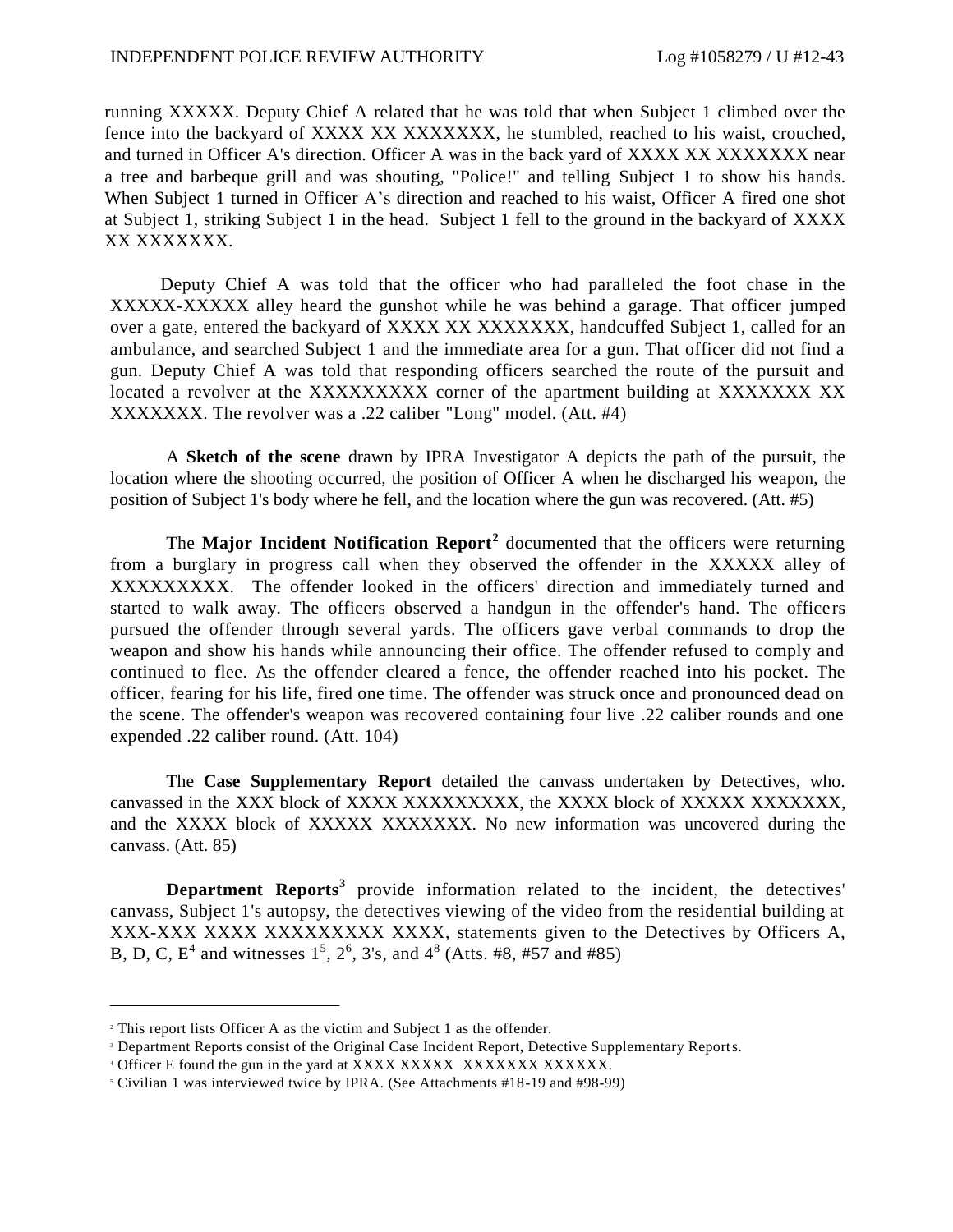running XXXXX. Deputy Chief A related that he was told that when Subject 1 climbed over the fence into the backyard of XXXX XX XXXXXXX, he stumbled, reached to his waist, crouched, and turned in Officer A's direction. Officer A was in the back yard of XXXX XX XXXXXXX near a tree and barbeque grill and was shouting, "Police!" and telling Subject 1 to show his hands. When Subject 1 turned in Officer A's direction and reached to his waist, Officer A fired one shot at Subject 1, striking Subject 1 in the head. Subject 1 fell to the ground in the backyard of XXXX XX XXXXXXXX.

Deputy Chief A was told that the officer who had paralleled the foot chase in the XXXXX-XXXXX alley heard the gunshot while he was behind a garage. That officer jumped over a gate, entered the backyard of XXXX XX XXXXXXX, handcuffed Subject 1, called for an ambulance, and searched Subject 1 and the immediate area for a gun. That officer did not find a gun. Deputy Chief A was told that responding officers searched the route of the pursuit and located a revolver at the XXXXXXXXX corner of the apartment building at XXXXXXX XX XXXXXXX. The revolver was a .22 caliber "Long" model. (Att. #4)

A **Sketch of the scene** drawn by IPRA Investigator A depicts the path of the pursuit, the location where the shooting occurred, the position of Officer A when he discharged his weapon, the position of Subject 1's body where he fell, and the location where the gun was recovered. (Att. #5)

The **Major Incident Notification Report<sup>2</sup>** documented that the officers were returning from a burglary in progress call when they observed the offender in the XXXXX alley of XXXXXXXXX. The offender looked in the officers' direction and immediately turned and started to walk away. The officers observed a handgun in the offender's hand. The officers pursued the offender through several yards. The officers gave verbal commands to drop the weapon and show his hands while announcing their office. The offender refused to comply and continued to flee. As the offender cleared a fence, the offender reached into his pocket. The officer, fearing for his life, fired one time. The offender was struck once and pronounced dead on the scene. The offender's weapon was recovered containing four live .22 caliber rounds and one expended .22 caliber round. (Att. 104)

The **Case Supplementary Report** detailed the canvass undertaken by Detectives, who. canvassed in the XXX block of XXXX XXXXXXXXX, the XXXX block of XXXXX XXXXXXX, and the XXXX block of XXXXX XXXXXXX. No new information was uncovered during the canvass. (Att. 85)

**Department Reports<sup>3</sup>** provide information related to the incident, the detectives' canvass, Subject 1's autopsy, the detectives viewing of the video from the residential building at XXX-XXX XXXX XXXXXXXXX XXXX, statements given to the Detectives by Officers A, B, D, C,  $E^4$  and witnesses  $1^5$ ,  $2^6$ , 3's, and  $4^8$  (Atts. #8, #57 and #85)

<sup>2</sup> This report lists Officer A as the victim and Subject 1 as the offender.

<sup>&</sup>lt;sup>3</sup> Department Reports consist of the Original Case Incident Report, Detective Supplementary Reports.

<sup>4</sup> Officer E found the gun in the yard at XXXX XXXXX XXXXXXX XXXXXX.

<sup>5</sup> Civilian 1 was interviewed twice by IPRA. (See Attachments #18-19 and #98-99)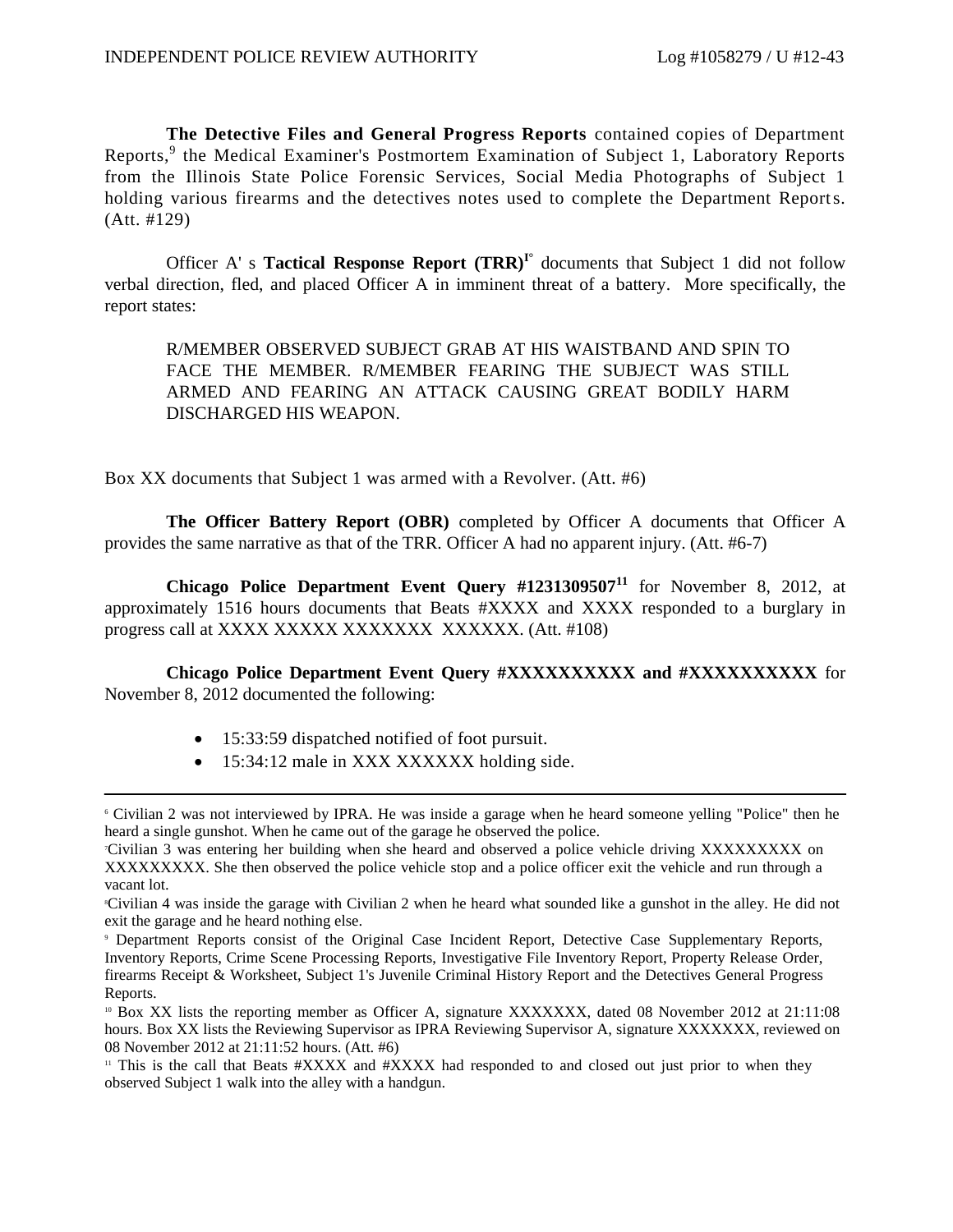**The Detective Files and General Progress Reports** contained copies of Department Reports,<sup>9</sup> the Medical Examiner's Postmortem Examination of Subject 1, Laboratory Reports from the Illinois State Police Forensic Services, Social Media Photographs of Subject 1 holding various firearms and the detectives notes used to complete the Department Reports. (Att. #129)

Officer A' s **Tactical Response Report (TRR)I°** documents that Subject 1 did not follow verbal direction, fled, and placed Officer A in imminent threat of a battery. More specifically, the report states:

R/MEMBER OBSERVED SUBJECT GRAB AT HIS WAISTBAND AND SPIN TO FACE THE MEMBER. R/MEMBER FEARING THE SUBJECT WAS STILL ARMED AND FEARING AN ATTACK CAUSING GREAT BODILY HARM DISCHARGED HIS WEAPON.

Box XX documents that Subject 1 was armed with a Revolver. (Att. #6)

**The Officer Battery Report (OBR)** completed by Officer A documents that Officer A provides the same narrative as that of the TRR. Officer A had no apparent injury. (Att. #6-7)

**Chicago Police Department Event Query #1231309507<sup>11</sup>** for November 8, 2012, at approximately 1516 hours documents that Beats #XXXX and XXXX responded to a burglary in progress call at XXXX XXXXX XXXXXXX XXXXXX. (Att. #108)

**Chicago Police Department Event Query #XXXXXXXXXX and #XXXXXXXXXX** for November 8, 2012 documented the following:

- 15:33:59 dispatched notified of foot pursuit.
- 15:34:12 male in XXX XXXXXX holding side.

<sup>6</sup> Civilian 2 was not interviewed by IPRA. He was inside a garage when he heard someone yelling "Police" then he heard a single gunshot. When he came out of the garage he observed the police.

<sup>7</sup>Civilian 3 was entering her building when she heard and observed a police vehicle driving XXXXXXXXX on XXXXXXXXX. She then observed the police vehicle stop and a police officer exit the vehicle and run through a vacant lot.

<sup>8</sup>Civilian 4 was inside the garage with Civilian 2 when he heard what sounded like a gunshot in the alley. He did not exit the garage and he heard nothing else.

<sup>9</sup> Department Reports consist of the Original Case Incident Report, Detective Case Supplementary Reports, Inventory Reports, Crime Scene Processing Reports, Investigative File Inventory Report, Property Release Order, firearms Receipt & Worksheet, Subject 1's Juvenile Criminal History Report and the Detectives General Progress Reports.

<sup>10</sup> Box XX lists the reporting member as Officer A, signature XXXXXXX, dated 08 November 2012 at 21:11:08 hours. Box XX lists the Reviewing Supervisor as IPRA Reviewing Supervisor A, signature XXXXXXX, reviewed on 08 November 2012 at 21:11:52 hours. (Att. #6)

<sup>&</sup>lt;sup>11</sup> This is the call that Beats #XXXX and #XXXX had responded to and closed out just prior to when they observed Subject 1 walk into the alley with a handgun.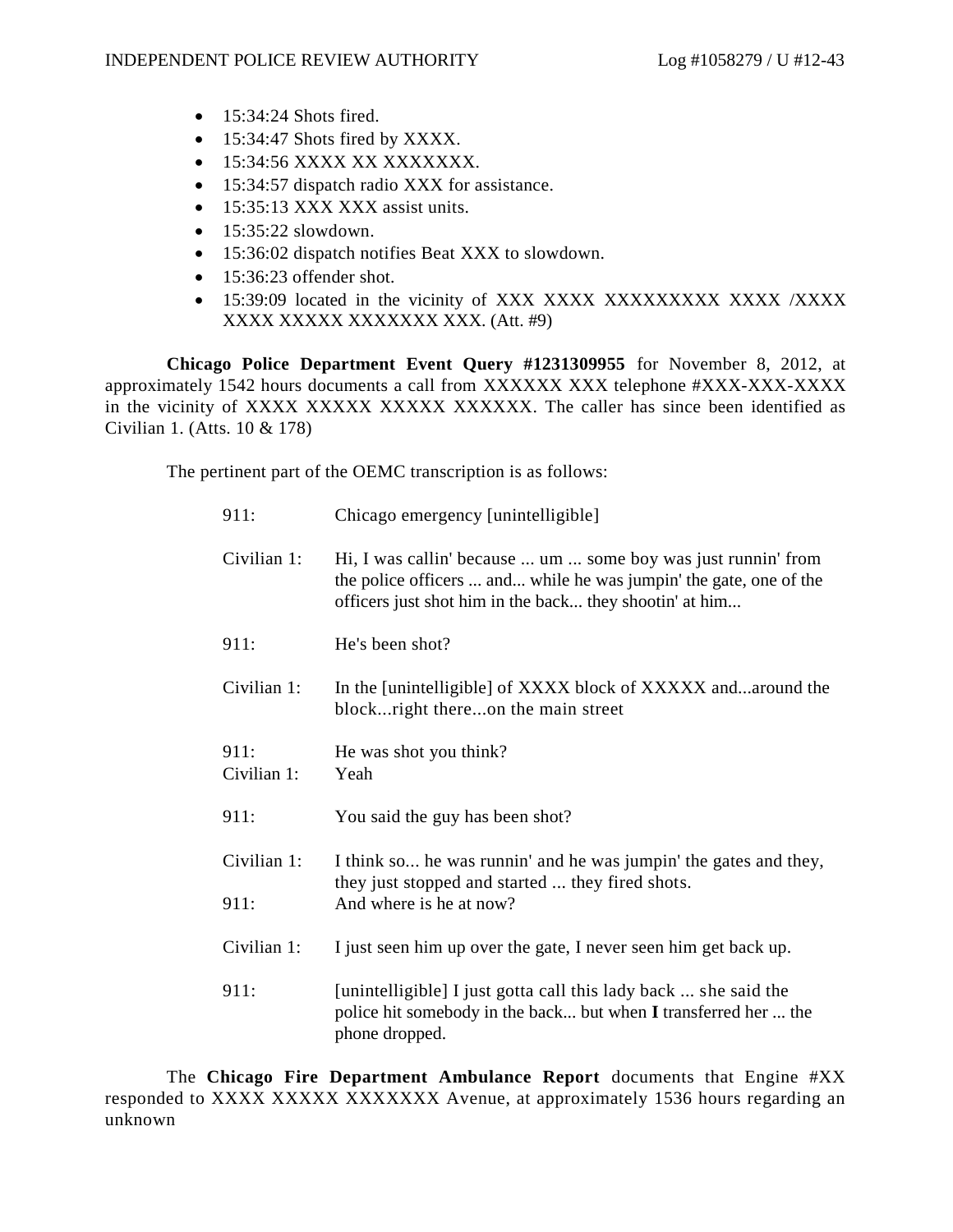- $\bullet$  15:34:24 Shots fired.
- 15:34:47 Shots fired by XXXX.
- 15:34:56 XXXX XX XXXXXXX.
- 15:34:57 dispatch radio XXX for assistance.
- 15:35:13 XXX XXX assist units.
- $\bullet$  15:35:22 slowdown.
- 15:36:02 dispatch notifies Beat XXX to slowdown.
- $\bullet$  15:36:23 offender shot.
- 15:39:09 located in the vicinity of XXX XXXX XXXXXXXXX XXXX /XXXX XXXX XXXXX XXXXXXX XXX. (Att. #9)

**Chicago Police Department Event Query #1231309955** for November 8, 2012, at approximately 1542 hours documents a call from XXXXXX XXX telephone #XXX-XXX-XXXX in the vicinity of XXXX XXXXX XXXXX XXXXXX. The caller has since been identified as Civilian 1. (Atts. 10 & 178)

The pertinent part of the OEMC transcription is as follows:

| 911:                | Chicago emergency [unintelligible]                                                                                                                                                             |
|---------------------|------------------------------------------------------------------------------------------------------------------------------------------------------------------------------------------------|
| Civilian 1:         | Hi, I was callin' because  um  some boy was just runnin' from<br>the police officers  and while he was jumpin' the gate, one of the<br>officers just shot him in the back they shootin' at him |
| 911:                | He's been shot?                                                                                                                                                                                |
| Civilian 1:         | In the [unintelligible] of XXXX block of XXXXX andaround the<br>block right thereon the main street                                                                                            |
| 911:<br>Civilian 1: | He was shot you think?<br>Yeah                                                                                                                                                                 |
| 911:                | You said the guy has been shot?                                                                                                                                                                |
| Civilian 1:         | I think so he was runnin' and he was jumpin' the gates and they,<br>they just stopped and started  they fired shots.                                                                           |
| 911:                | And where is he at now?                                                                                                                                                                        |
| Civilian 1:         | I just seen him up over the gate, I never seen him get back up.                                                                                                                                |
| 911:                | [unintelligible] I just gotta call this lady back  she said the<br>police hit somebody in the back but when I transferred her  the<br>phone dropped.                                           |

The **Chicago Fire Department Ambulance Report** documents that Engine #XX responded to XXXX XXXXX XXXXXXX Avenue, at approximately 1536 hours regarding an unknown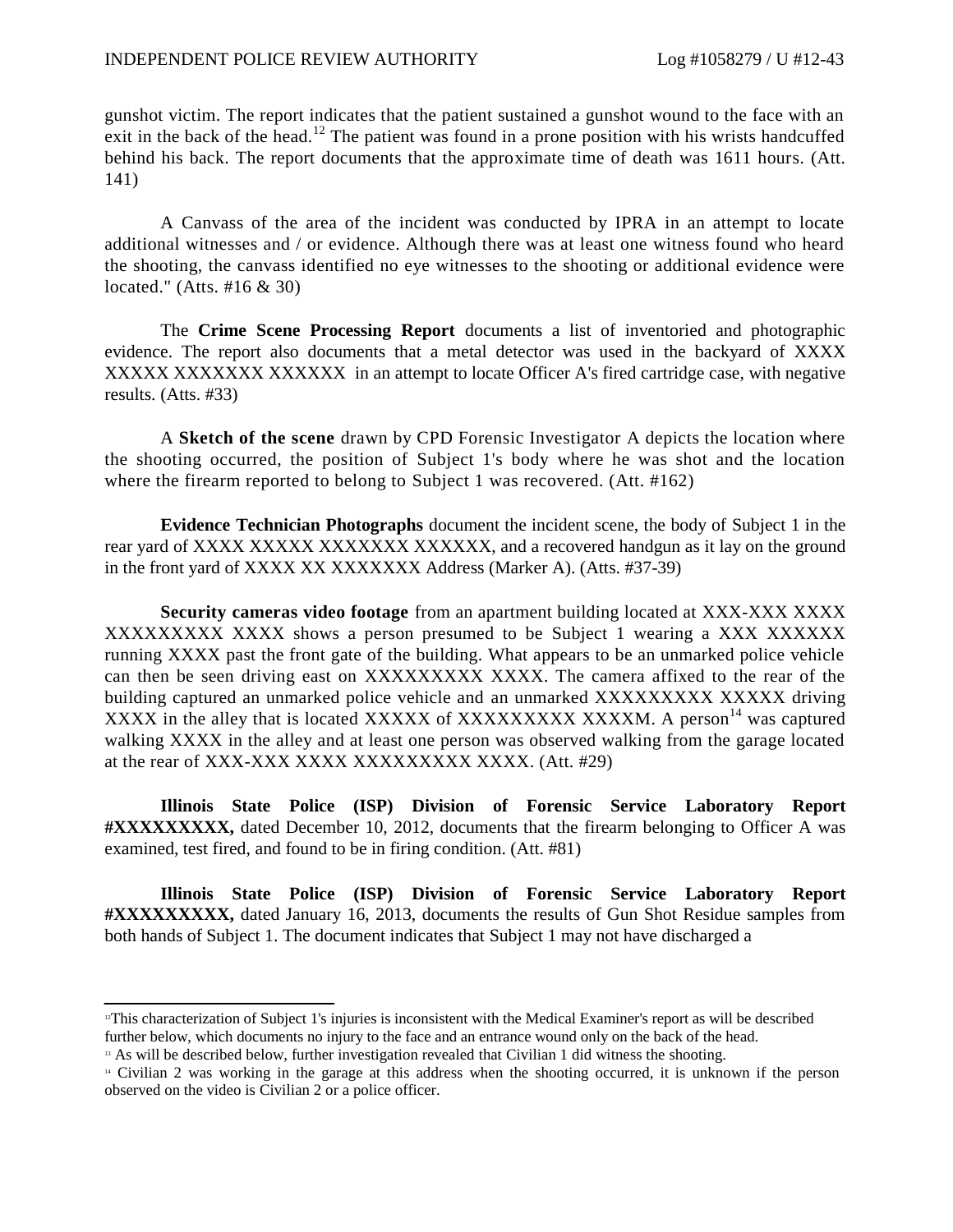gunshot victim. The report indicates that the patient sustained a gunshot wound to the face with an exit in the back of the head.<sup>12</sup> The patient was found in a prone position with his wrists handcuffed behind his back. The report documents that the approximate time of death was 1611 hours. (Att. 141)

A Canvass of the area of the incident was conducted by IPRA in an attempt to locate additional witnesses and / or evidence. Although there was at least one witness found who heard the shooting, the canvass identified no eye witnesses to the shooting or additional evidence were located." (Atts. #16 & 30)

The **Crime Scene Processing Report** documents a list of inventoried and photographic evidence. The report also documents that a metal detector was used in the backyard of XXXX XXXXX XXXXXXXXXXXXX in an attempt to locate Officer A's fired cartridge case, with negative results. (Atts. #33)

A **Sketch of the scene** drawn by CPD Forensic Investigator A depicts the location where the shooting occurred, the position of Subject 1's body where he was shot and the location where the firearm reported to belong to Subject 1 was recovered. (Att. #162)

**Evidence Technician Photographs** document the incident scene, the body of Subject 1 in the rear yard of XXXX XXXXX XXXXXXX XXXXXXX, and a recovered handgun as it lay on the ground in the front yard of XXXX XX XXXXXXX Address (Marker A). (Atts. #37-39)

**Security cameras video footage** from an apartment building located at XXX-XXX XXXX XXXXXXXXX XXXX shows a person presumed to be Subject 1 wearing a XXX XXXXXX running XXXX past the front gate of the building. What appears to be an unmarked police vehicle can then be seen driving east on XXXXXXXXXXXXX. The camera affixed to the rear of the building captured an unmarked police vehicle and an unmarked XXXXXXXXX XXXXX driving XXXX in the alley that is located XXXXX of XXXXXXXXXXXXXXM. A person<sup>14</sup> was captured walking XXXX in the alley and at least one person was observed walking from the garage located at the rear of XXX-XXX XXXX XXXXXXXXX XXXX. (Att. #29)

**Illinois State Police (ISP) Division of Forensic Service Laboratory Report #XXXXXXXXX,** dated December 10, 2012, documents that the firearm belonging to Officer A was examined, test fired, and found to be in firing condition. (Att. #81)

**Illinois State Police (ISP) Division of Forensic Service Laboratory Report #XXXXXXXXX,** dated January 16, 2013, documents the results of Gun Shot Residue samples from both hands of Subject 1. The document indicates that Subject 1 may not have discharged a

<sup>&</sup>lt;sup>12</sup>This characterization of Subject 1's injuries is inconsistent with the Medical Examiner's report as will be described further below, which documents no injury to the face and an entrance wound only on the back of the head.

<sup>&</sup>lt;sup>13</sup> As will be described below, further investigation revealed that Civilian 1 did witness the shooting.

<sup>14</sup> Civilian 2 was working in the garage at this address when the shooting occurred, it is unknown if the person observed on the video is Civilian 2 or a police officer.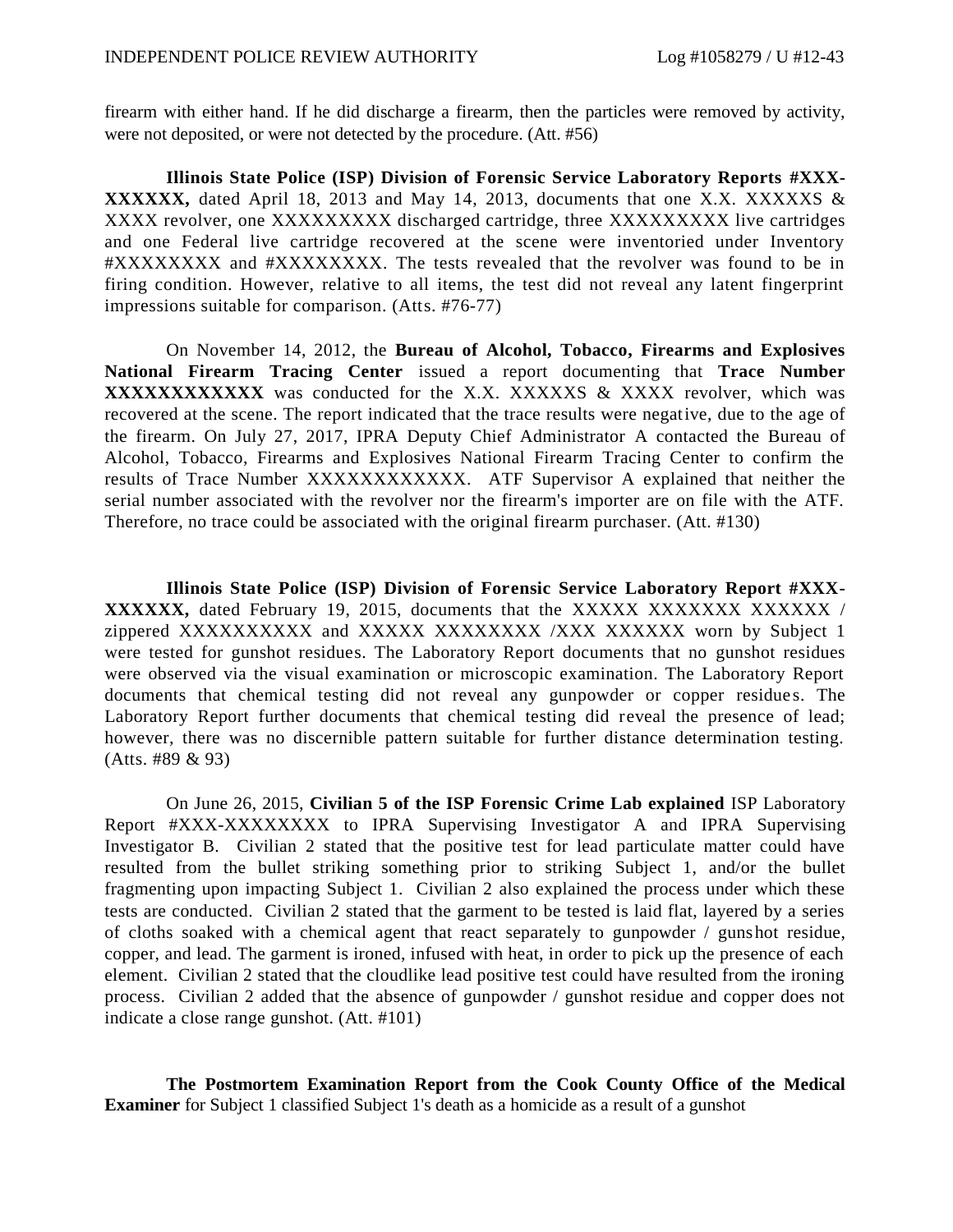firearm with either hand. If he did discharge a firearm, then the particles were removed by activity, were not deposited, or were not detected by the procedure. (Att. #56)

**Illinois State Police (ISP) Division of Forensic Service Laboratory Reports #XXX-XXXXXX,** dated April 18, 2013 and May 14, 2013, documents that one X.X. XXXXXS & XXXX revolver, one XXXXXXXXX discharged cartridge, three XXXXXXXXX live cartridges and one Federal live cartridge recovered at the scene were inventoried under Inventory #XXXXXXXX and #XXXXXXXX. The tests revealed that the revolver was found to be in firing condition. However, relative to all items, the test did not reveal any latent fingerprint impressions suitable for comparison. (Atts. #76-77)

On November 14, 2012, the **Bureau of Alcohol, Tobacco, Firearms and Explosives National Firearm Tracing Center** issued a report documenting that **Trace Number XXXXXXXXXXXX** was conducted for the X.X. XXXXXS & XXXX revolver, which was recovered at the scene. The report indicated that the trace results were negative, due to the age of the firearm. On July 27, 2017, IPRA Deputy Chief Administrator A contacted the Bureau of Alcohol, Tobacco, Firearms and Explosives National Firearm Tracing Center to confirm the results of Trace Number XXXXXXXXXXXX. ATF Supervisor A explained that neither the serial number associated with the revolver nor the firearm's importer are on file with the ATF. Therefore, no trace could be associated with the original firearm purchaser. (Att. #130)

**Illinois State Police (ISP) Division of Forensic Service Laboratory Report #XXX-XXXXXX,** dated February 19, 2015, documents that the XXXXX XXXXXXX XXXXXXX / zippered XXXXXXXXXX and XXXXXX XXXXXXXX /XXX XXXXXXX worn by Subject 1 were tested for gunshot residues. The Laboratory Report documents that no gunshot residues were observed via the visual examination or microscopic examination. The Laboratory Report documents that chemical testing did not reveal any gunpowder or copper residue s. The Laboratory Report further documents that chemical testing did reveal the presence of lead; however, there was no discernible pattern suitable for further distance determination testing. (Atts. #89 & 93)

On June 26, 2015, **Civilian 5 of the ISP Forensic Crime Lab explained** ISP Laboratory Report #XXX-XXXXXXXX to IPRA Supervising Investigator A and IPRA Supervising Investigator B. Civilian 2 stated that the positive test for lead particulate matter could have resulted from the bullet striking something prior to striking Subject 1, and/or the bullet fragmenting upon impacting Subject 1. Civilian 2 also explained the process under which these tests are conducted. Civilian 2 stated that the garment to be tested is laid flat, layered by a series of cloths soaked with a chemical agent that react separately to gunpowder / gunshot residue, copper, and lead. The garment is ironed, infused with heat, in order to pick up the presence of each element. Civilian 2 stated that the cloudlike lead positive test could have resulted from the ironing process. Civilian 2 added that the absence of gunpowder / gunshot residue and copper does not indicate a close range gunshot. (Att. #101)

**The Postmortem Examination Report from the Cook County Office of the Medical Examiner** for Subject 1 classified Subject 1's death as a homicide as a result of a gunshot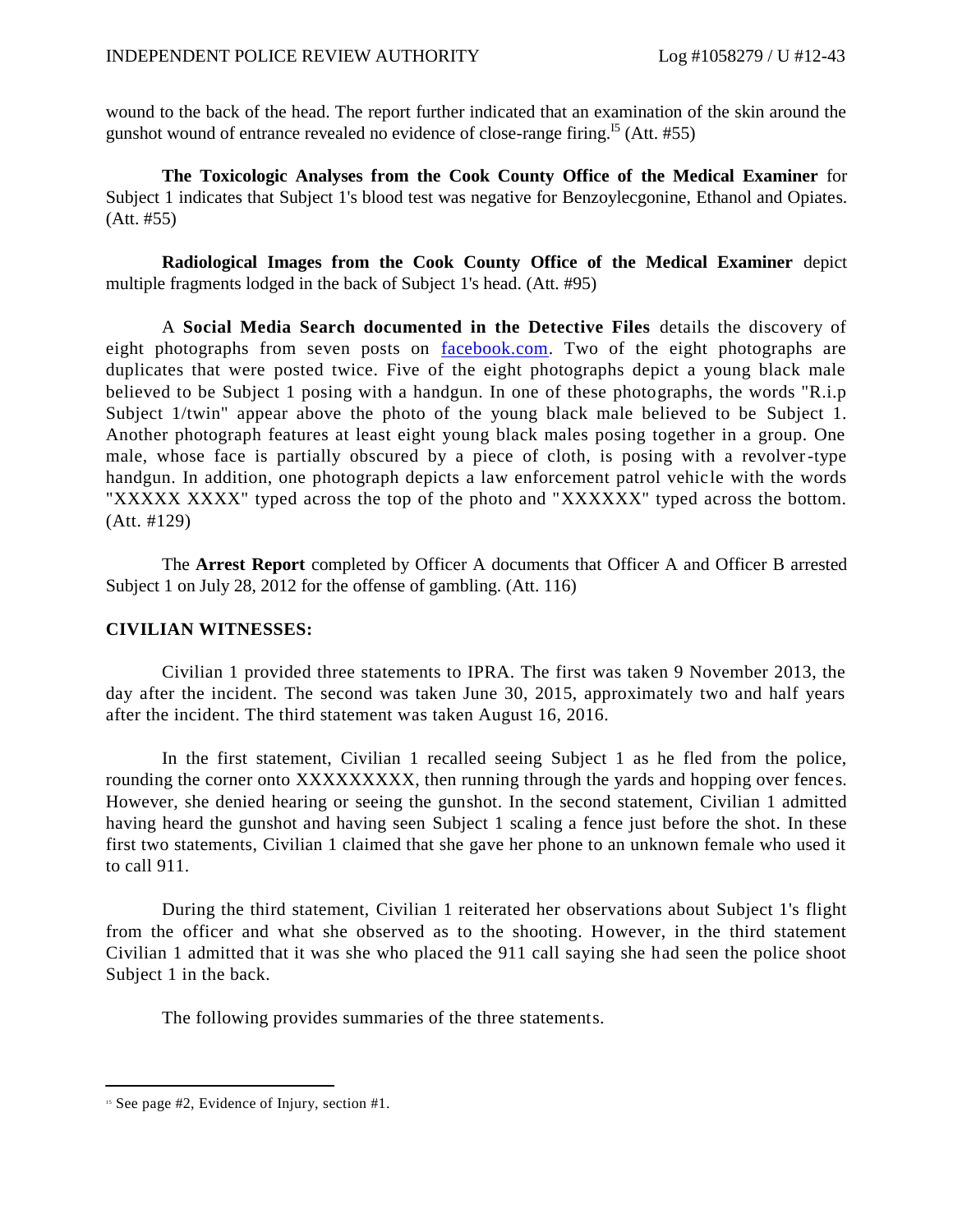wound to the back of the head. The report further indicated that an examination of the skin around the gunshot wound of entrance revealed no evidence of close-range firing.<sup>15</sup> (Att.  $#55$ )

**The Toxicologic Analyses from the Cook County Office of the Medical Examiner** for Subject 1 indicates that Subject 1's blood test was negative for Benzoylecgonine, Ethanol and Opiates. (Att. #55)

**Radiological Images from the Cook County Office of the Medical Examiner** depict multiple fragments lodged in the back of Subject 1's head. (Att. #95)

A **Social Media Search documented in the Detective Files** details the discovery of eight photographs from seven posts on [facebook.com.](http://facebook.com/) Two of the eight photographs are duplicates that were posted twice. Five of the eight photographs depict a young black male believed to be Subject 1 posing with a handgun. In one of these photographs, the words "R.i.p Subject 1/twin" appear above the photo of the young black male believed to be Subject 1. Another photograph features at least eight young black males posing together in a group. One male, whose face is partially obscured by a piece of cloth, is posing with a revolver-type handgun. In addition, one photograph depicts a law enforcement patrol vehicle with the words "XXXXX XXXX" typed across the top of the photo and "XXXXXX" typed across the bottom. (Att. #129)

The **Arrest Report** completed by Officer A documents that Officer A and Officer B arrested Subject 1 on July 28, 2012 for the offense of gambling. (Att. 116)

### **CIVILIAN WITNESSES:**

Civilian 1 provided three statements to IPRA. The first was taken 9 November 2013, the day after the incident. The second was taken June 30, 2015, approximately two and half years after the incident. The third statement was taken August 16, 2016.

In the first statement, Civilian 1 recalled seeing Subject 1 as he fled from the police, rounding the corner onto XXXXXXXXX, then running through the yards and hopping over fences. However, she denied hearing or seeing the gunshot. In the second statement, Civilian 1 admitted having heard the gunshot and having seen Subject 1 scaling a fence just before the shot. In these first two statements, Civilian 1 claimed that she gave her phone to an unknown female who used it to call 911.

During the third statement, Civilian 1 reiterated her observations about Subject 1's flight from the officer and what she observed as to the shooting. However, in the third statement Civilian 1 admitted that it was she who placed the 911 call saying she had seen the police shoot Subject 1 in the back.

The following provides summaries of the three statements.

<sup>&</sup>lt;sup>15</sup> See page #2, Evidence of Injury, section #1.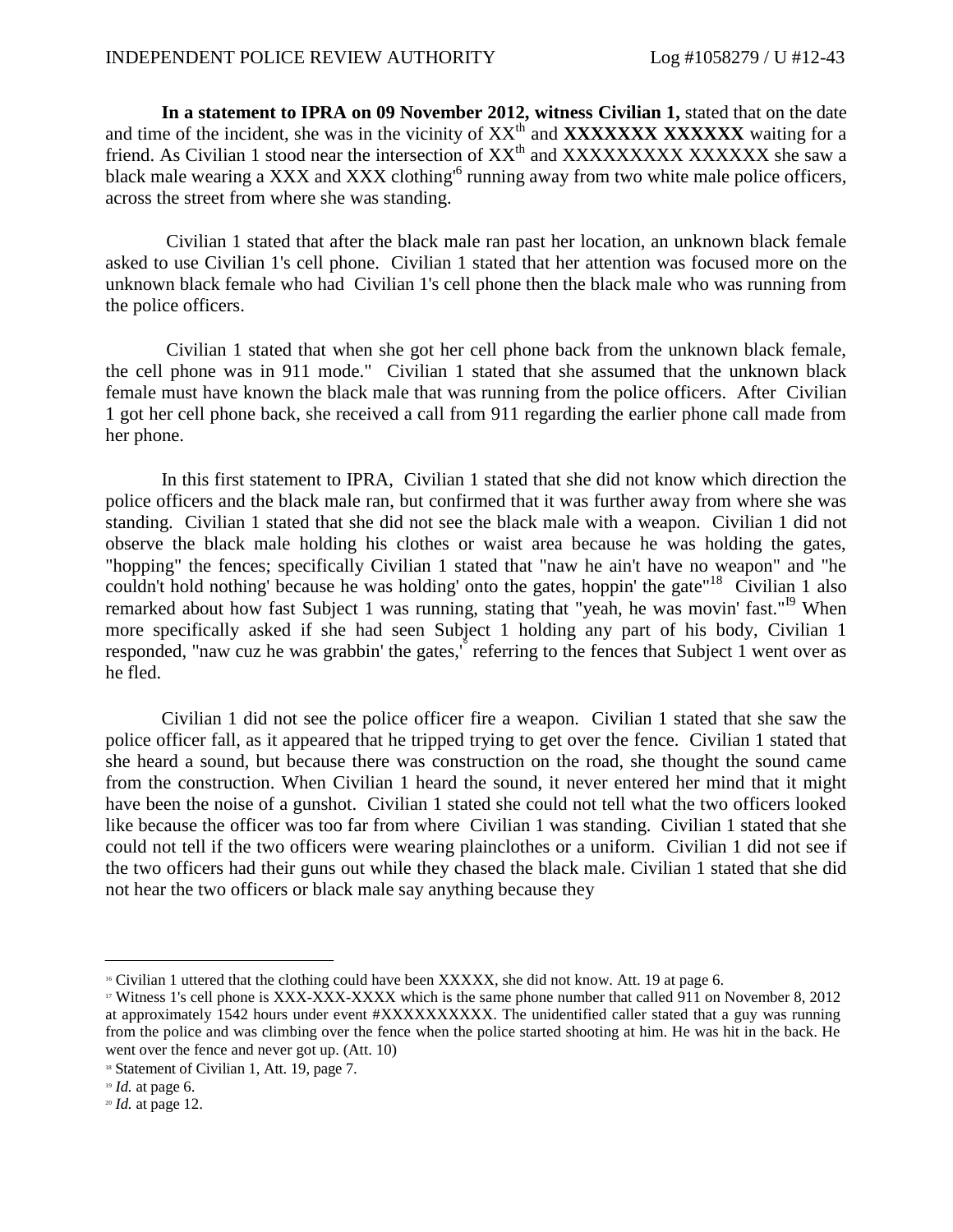**In a statement to IPRA on 09 November 2012, witness Civilian 1,** stated that on the date and time of the incident, she was in the vicinity of  $XX<sup>th</sup>$  and **XXXXXXXXXXXXX** waiting for a friend. As Civilian 1 stood near the intersection of XX<sup>th</sup> and XXXXXXXXX XXXXXX she saw a black male wearing a XXX and XXX clothing<sup>6</sup> running away from two white male police officers, across the street from where she was standing.

Civilian 1 stated that after the black male ran past her location, an unknown black female asked to use Civilian 1's cell phone. Civilian 1 stated that her attention was focused more on the unknown black female who had Civilian 1's cell phone then the black male who was running from the police officers.

Civilian 1 stated that when she got her cell phone back from the unknown black female, the cell phone was in 911 mode." Civilian 1 stated that she assumed that the unknown black female must have known the black male that was running from the police officers. After Civilian 1 got her cell phone back, she received a call from 911 regarding the earlier phone call made from her phone.

In this first statement to IPRA, Civilian 1 stated that she did not know which direction the police officers and the black male ran, but confirmed that it was further away from where she was standing. Civilian 1 stated that she did not see the black male with a weapon. Civilian 1 did not observe the black male holding his clothes or waist area because he was holding the gates, "hopping" the fences; specifically Civilian 1 stated that "naw he ain't have no weapon" and "he couldn't hold nothing' because he was holding' onto the gates, hoppin' the gate<sup>"18</sup> Civilian 1 also remarked about how fast Subject 1 was running, stating that "yeah, he was movin' fast."<sup>19</sup> When more specifically asked if she had seen Subject 1 holding any part of his body, Civilian 1 responded, "naw cuz he was grabbin' the gates,<sup>"</sup> referring to the fences that Subject 1 went over as he fled.

Civilian 1 did not see the police officer fire a weapon. Civilian 1 stated that she saw the police officer fall, as it appeared that he tripped trying to get over the fence. Civilian 1 stated that she heard a sound, but because there was construction on the road, she thought the sound came from the construction. When Civilian 1 heard the sound, it never entered her mind that it might have been the noise of a gunshot. Civilian 1 stated she could not tell what the two officers looked like because the officer was too far from where Civilian 1 was standing. Civilian 1 stated that she could not tell if the two officers were wearing plainclothes or a uniform. Civilian 1 did not see if the two officers had their guns out while they chased the black male. Civilian 1 stated that she did not hear the two officers or black male say anything because they

<sup>16</sup> Civilian 1 uttered that the clothing could have been XXXXX, she did not know. Att. 19 at page 6.

<sup>17</sup> Witness 1's cell phone is XXX-XXX-XXXX which is the same phone number that called 911 on November 8, 2012 at approximately 1542 hours under event #XXXXXXXXXX. The unidentified caller stated that a guy was running from the police and was climbing over the fence when the police started shooting at him. He was hit in the back. He went over the fence and never got up. (Att. 10)

<sup>&</sup>lt;sup>18</sup> Statement of Civilian 1, Att. 19, page 7.

<sup>19</sup> *Id.* at page 6.

<sup>20</sup> *Id.* at page 12.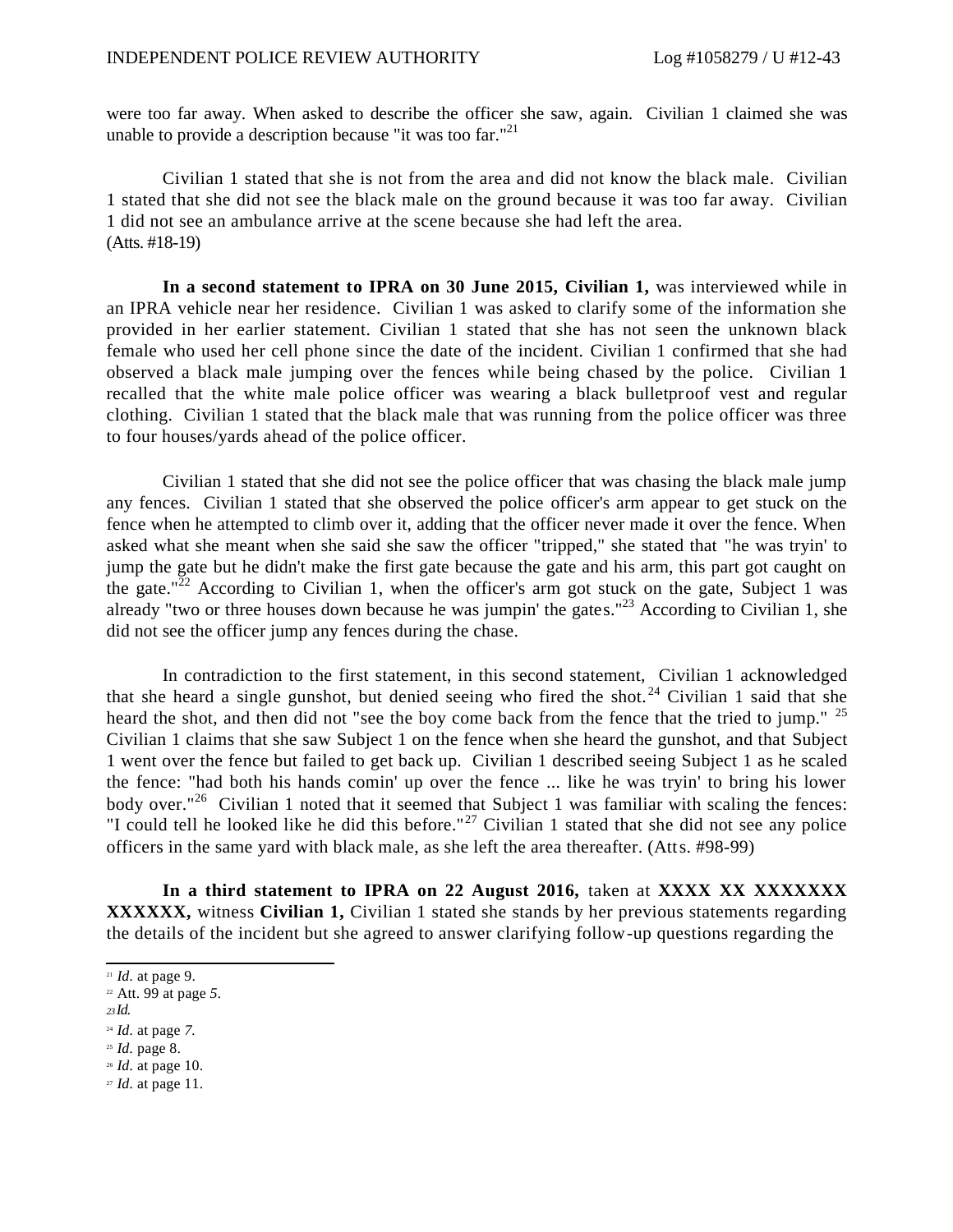were too far away. When asked to describe the officer she saw, again. Civilian 1 claimed she was unable to provide a description because "it was too far."<sup>21</sup>

Civilian 1 stated that she is not from the area and did not know the black male. Civilian 1 stated that she did not see the black male on the ground because it was too far away. Civilian 1 did not see an ambulance arrive at the scene because she had left the area. (Atts. #18-19)

**In a second statement to IPRA on 30 June 2015, Civilian 1,** was interviewed while in an IPRA vehicle near her residence. Civilian 1 was asked to clarify some of the information she provided in her earlier statement. Civilian 1 stated that she has not seen the unknown black female who used her cell phone since the date of the incident. Civilian 1 confirmed that she had observed a black male jumping over the fences while being chased by the police. Civilian 1 recalled that the white male police officer was wearing a black bulletproof vest and regular clothing. Civilian 1 stated that the black male that was running from the police officer was three to four houses/yards ahead of the police officer.

Civilian 1 stated that she did not see the police officer that was chasing the black male jump any fences. Civilian 1 stated that she observed the police officer's arm appear to get stuck on the fence when he attempted to climb over it, adding that the officer never made it over the fence. When asked what she meant when she said she saw the officer "tripped," she stated that "he was tryin' to jump the gate but he didn't make the first gate because the gate and his arm, this part got caught on the gate."<sup>22</sup> According to Civilian 1, when the officer's arm got stuck on the gate, Subject 1 was already "two or three houses down because he was jumpin' the gates."<sup>23</sup> According to Civilian 1, she did not see the officer jump any fences during the chase.

In contradiction to the first statement, in this second statement, Civilian 1 acknowledged that she heard a single gunshot, but denied seeing who fired the shot.<sup>24</sup> Civilian 1 said that she heard the shot, and then did not "see the boy come back from the fence that the tried to jump." <sup>25</sup> Civilian 1 claims that she saw Subject 1 on the fence when she heard the gunshot, and that Subject 1 went over the fence but failed to get back up. Civilian 1 described seeing Subject 1 as he scaled the fence: "had both his hands comin' up over the fence ... like he was tryin' to bring his lower body over."<sup>26</sup> Civilian 1 noted that it seemed that Subject 1 was familiar with scaling the fences: "I could tell he looked like he did this before."<sup>27</sup> Civilian 1 stated that she did not see any police officers in the same yard with black male, as she left the area thereafter. (Atts. #98-99)

**In a third statement to IPRA on 22 August 2016,** taken at **XXXX XX XXXXXXX XXXXXX,** witness **Civilian 1,** Civilian 1 stated she stands by her previous statements regarding the details of the incident but she agreed to answer clarifying follow-up questions regarding the

*<sup>23</sup>Id.*

<sup>26</sup> *Id.* at page 10.

<sup>21</sup> *Id.* at page 9.

<sup>22</sup> Att. 99 at page *5.*

<sup>24</sup> *Id.* at page *7.*

<sup>25</sup> *Id.* page 8.

<sup>27</sup> *Id.* at page 11.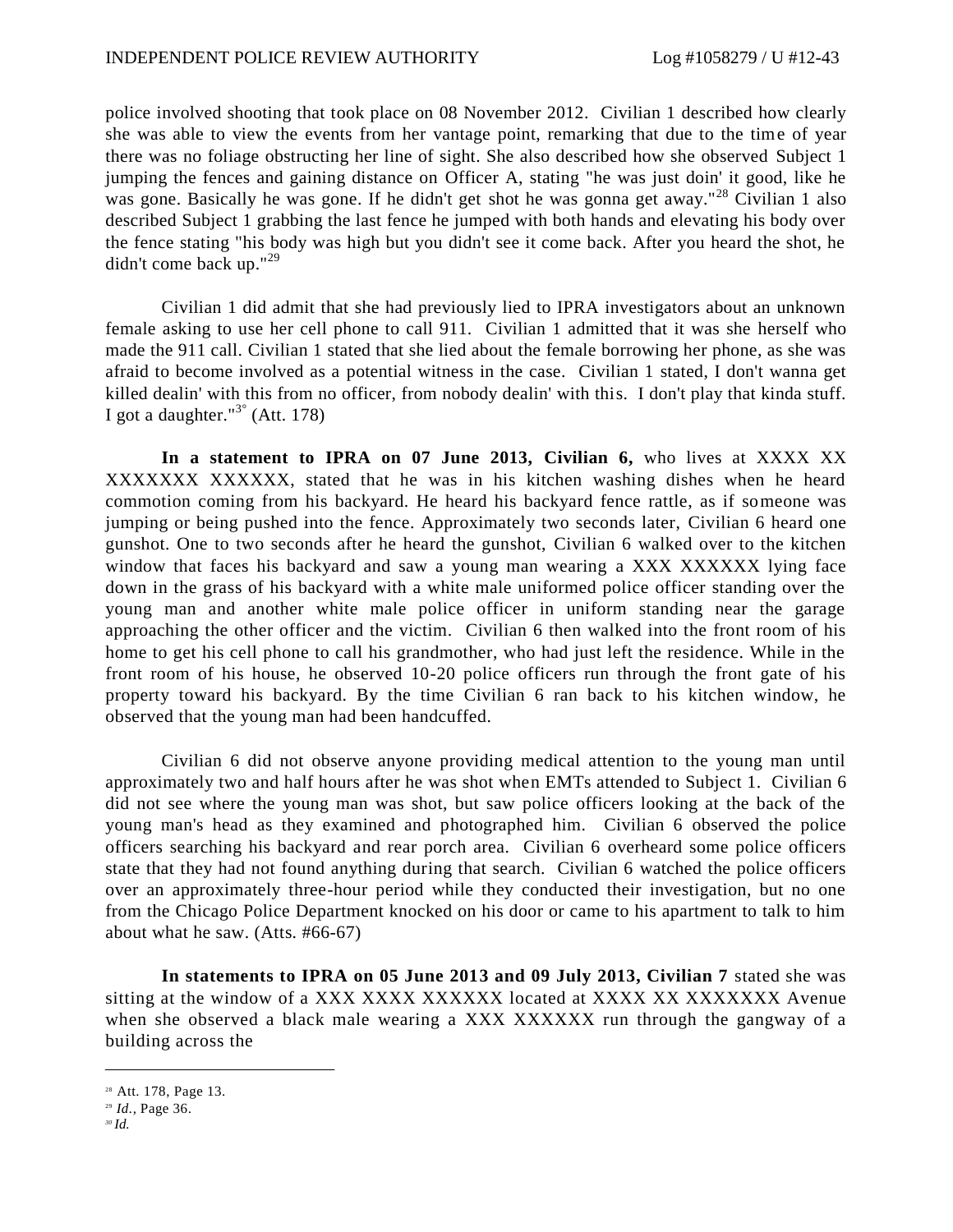police involved shooting that took place on 08 November 2012. Civilian 1 described how clearly she was able to view the events from her vantage point, remarking that due to the time of year there was no foliage obstructing her line of sight. She also described how she observed Subject 1 jumping the fences and gaining distance on Officer A, stating "he was just doin' it good, like he was gone. Basically he was gone. If he didn't get shot he was gonna get away."<sup>28</sup> Civilian 1 also described Subject 1 grabbing the last fence he jumped with both hands and elevating his body over the fence stating "his body was high but you didn't see it come back. After you heard the shot, he didn't come back up."<sup>29</sup>

Civilian 1 did admit that she had previously lied to IPRA investigators about an unknown female asking to use her cell phone to call 911. Civilian 1 admitted that it was she herself who made the 911 call. Civilian 1 stated that she lied about the female borrowing her phone, as she was afraid to become involved as a potential witness in the case. Civilian 1 stated, I don't wanna get killed dealin' with this from no officer, from nobody dealin' with this. I don't play that kinda stuff. I got a daughter."<sup>3°</sup> (Att. 178)

**In a statement to IPRA on 07 June 2013, Civilian 6,** who lives at XXXX XX XXXXXXX XXXXXX, stated that he was in his kitchen washing dishes when he heard commotion coming from his backyard. He heard his backyard fence rattle, as if someone was jumping or being pushed into the fence. Approximately two seconds later, Civilian 6 heard one gunshot. One to two seconds after he heard the gunshot, Civilian 6 walked over to the kitchen window that faces his backyard and saw a young man wearing a XXX XXXXXX lying face down in the grass of his backyard with a white male uniformed police officer standing over the young man and another white male police officer in uniform standing near the garage approaching the other officer and the victim. Civilian 6 then walked into the front room of his home to get his cell phone to call his grandmother, who had just left the residence. While in the front room of his house, he observed 10-20 police officers run through the front gate of his property toward his backyard. By the time Civilian 6 ran back to his kitchen window, he observed that the young man had been handcuffed.

Civilian 6 did not observe anyone providing medical attention to the young man until approximately two and half hours after he was shot when EMTs attended to Subject 1. Civilian 6 did not see where the young man was shot, but saw police officers looking at the back of the young man's head as they examined and photographed him. Civilian 6 observed the police officers searching his backyard and rear porch area. Civilian 6 overheard some police officers state that they had not found anything during that search. Civilian 6 watched the police officers over an approximately three-hour period while they conducted their investigation, but no one from the Chicago Police Department knocked on his door or came to his apartment to talk to him about what he saw. (Atts. #66-67)

**In statements to IPRA on 05 June 2013 and 09 July 2013, Civilian 7** stated she was sitting at the window of a XXX XXXX XXXXXX located at XXXX XX XXXXXXX Avenue when she observed a black male wearing a XXX XXXXXX run through the gangway of a building across the

<sup>28</sup> Att. 178, Page 13.

<sup>29</sup> *Id.,* Page 36.

*<sup>30</sup> Id.*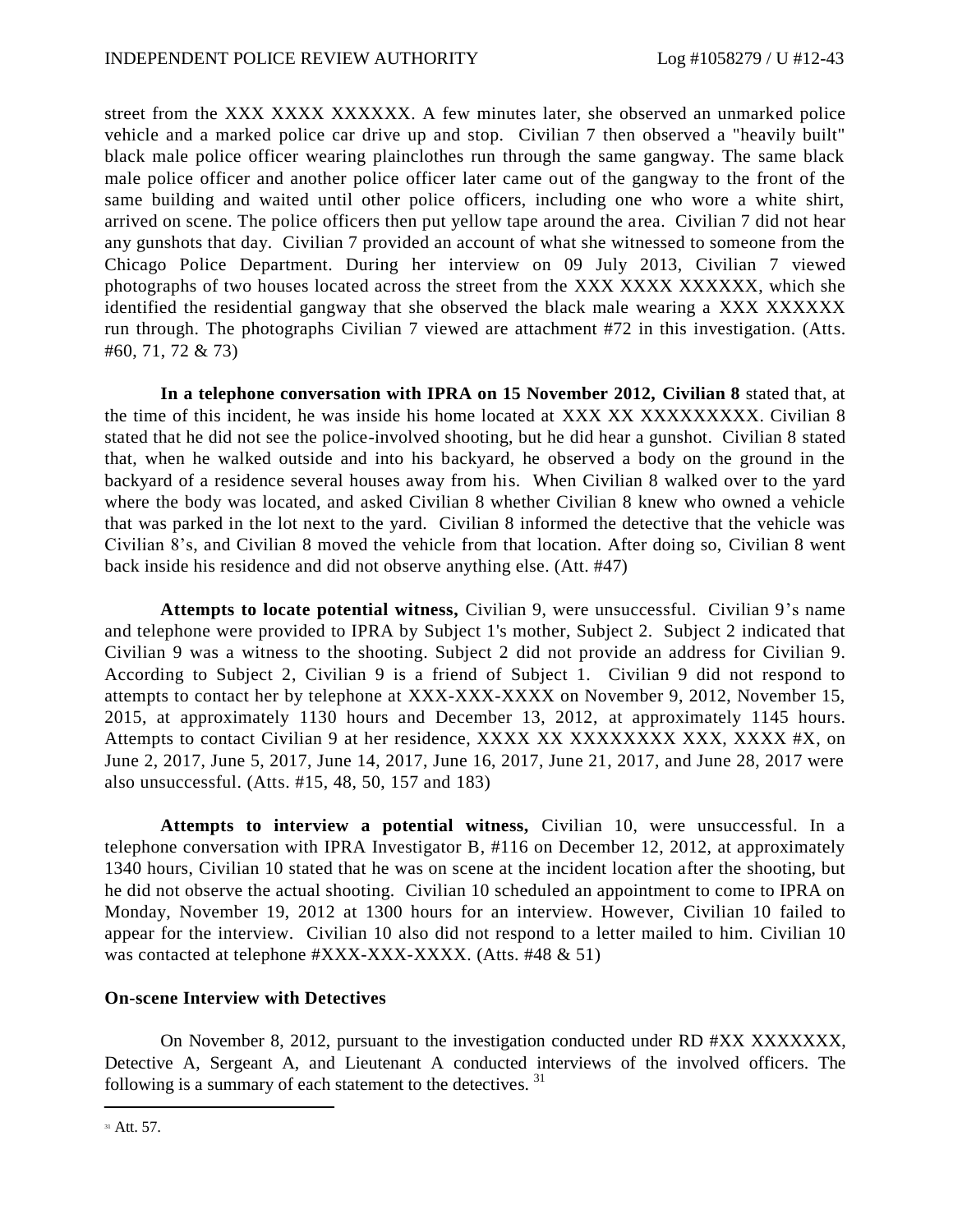street from the XXX XXXX XXXXXX. A few minutes later, she observed an unmarked police vehicle and a marked police car drive up and stop. Civilian 7 then observed a "heavily built" black male police officer wearing plainclothes run through the same gangway. The same black male police officer and another police officer later came out of the gangway to the front of the same building and waited until other police officers, including one who wore a white shirt, arrived on scene. The police officers then put yellow tape around the area. Civilian 7 did not hear any gunshots that day. Civilian 7 provided an account of what she witnessed to someone from the Chicago Police Department. During her interview on 09 July 2013, Civilian 7 viewed photographs of two houses located across the street from the XXX XXXX XXXXXX, which she identified the residential gangway that she observed the black male wearing a XXX XXXXXX run through. The photographs Civilian 7 viewed are attachment #72 in this investigation. (Atts. #60, 71, 72 & 73)

**In a telephone conversation with IPRA on 15 November 2012, Civilian 8** stated that, at the time of this incident, he was inside his home located at XXX XX XXXXXXXXX. Civilian 8 stated that he did not see the police-involved shooting, but he did hear a gunshot. Civilian 8 stated that, when he walked outside and into his backyard, he observed a body on the ground in the backyard of a residence several houses away from his. When Civilian 8 walked over to the yard where the body was located, and asked Civilian 8 whether Civilian 8 knew who owned a vehicle that was parked in the lot next to the yard. Civilian 8 informed the detective that the vehicle was Civilian 8's, and Civilian 8 moved the vehicle from that location. After doing so, Civilian 8 went back inside his residence and did not observe anything else. (Att. #47)

**Attempts to locate potential witness,** Civilian 9, were unsuccessful. Civilian 9's name and telephone were provided to IPRA by Subject 1's mother, Subject 2. Subject 2 indicated that Civilian 9 was a witness to the shooting. Subject 2 did not provide an address for Civilian 9. According to Subject 2, Civilian 9 is a friend of Subject 1. Civilian 9 did not respond to attempts to contact her by telephone at XXX-XXX-XXXX on November 9, 2012, November 15, 2015, at approximately 1130 hours and December 13, 2012, at approximately 1145 hours. Attempts to contact Civilian 9 at her residence, XXXX XX XXXXXXXX XXX, XXXX #X, on June 2, 2017, June 5, 2017, June 14, 2017, June 16, 2017, June 21, 2017, and June 28, 2017 were also unsuccessful. (Atts. #15, 48, 50, 157 and 183)

**Attempts to interview a potential witness,** Civilian 10, were unsuccessful. In a telephone conversation with IPRA Investigator B, #116 on December 12, 2012, at approximately 1340 hours, Civilian 10 stated that he was on scene at the incident location after the shooting, but he did not observe the actual shooting. Civilian 10 scheduled an appointment to come to IPRA on Monday, November 19, 2012 at 1300 hours for an interview. However, Civilian 10 failed to appear for the interview. Civilian 10 also did not respond to a letter mailed to him. Civilian 10 was contacted at telephone #XXX-XXX-XXXX. (Atts. #48 & 51)

### **On-scene Interview with Detectives**

On November 8, 2012, pursuant to the investigation conducted under RD #XX XXXXXXX, Detective A, Sergeant A, and Lieutenant A conducted interviews of the involved officers. The following is a summary of each statement to the detectives.  $31$ 

<sup>&</sup>lt;sup>31</sup> Att. 57.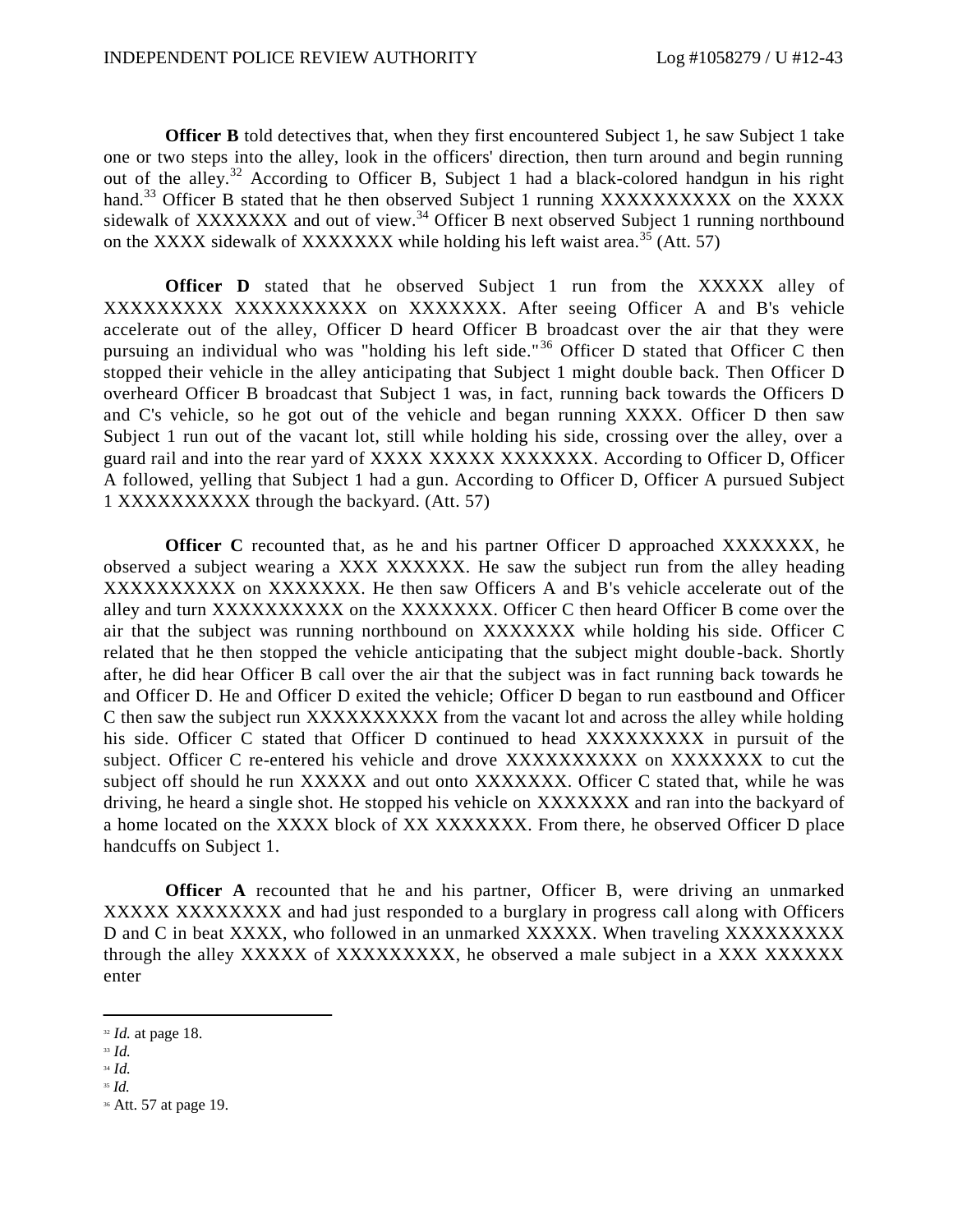**Officer B** told detectives that, when they first encountered Subject 1, he saw Subject 1 take one or two steps into the alley, look in the officers' direction, then turn around and begin running out of the alley.<sup>32</sup> According to Officer B, Subject 1 had a black-colored handgun in his right hand.<sup>33</sup> Officer B stated that he then observed Subject 1 running XXXXXXXXXX on the XXXX sidewalk of XXXXXXX and out of view.<sup>34</sup> Officer B next observed Subject 1 running northbound on the XXXX sidewalk of XXXXXXX while holding his left waist area.<sup>35</sup> (Att. 57)

**Officer D** stated that he observed Subject 1 run from the XXXXX alley of XXXXXXXXX XXXXXXXXXX on XXXXXXX. After seeing Officer A and B's vehicle accelerate out of the alley, Officer D heard Officer B broadcast over the air that they were pursuing an individual who was "holding his left side."<sup>36</sup> Officer D stated that Officer C then stopped their vehicle in the alley anticipating that Subject 1 might double back. Then Officer D overheard Officer B broadcast that Subject 1 was, in fact, running back towards the Officers D and C's vehicle, so he got out of the vehicle and began running XXXX. Officer D then saw Subject 1 run out of the vacant lot, still while holding his side, crossing over the alley, over a guard rail and into the rear yard of XXXX XXXXX XXXXXXX. According to Officer D, Officer A followed, yelling that Subject 1 had a gun. According to Officer D, Officer A pursued Subject 1 XXXXXXXXXX through the backyard. (Att. 57)

**Officer C** recounted that, as he and his partner Officer D approached XXXXXXX, he observed a subject wearing a XXX XXXXXX. He saw the subject run from the alley heading XXXXXXXXXX on XXXXXXX. He then saw Officers A and B's vehicle accelerate out of the alley and turn XXXXXXXXXX on the XXXXXXX. Officer C then heard Officer B come over the air that the subject was running northbound on XXXXXXX while holding his side. Officer C related that he then stopped the vehicle anticipating that the subject might double -back. Shortly after, he did hear Officer B call over the air that the subject was in fact running back towards he and Officer D. He and Officer D exited the vehicle; Officer D began to run eastbound and Officer C then saw the subject run XXXXXXXXXX from the vacant lot and across the alley while holding his side. Officer C stated that Officer D continued to head XXXXXXXXX in pursuit of the subject. Officer C re-entered his vehicle and drove XXXXXXXXXX on XXXXXXX to cut the subject off should he run XXXXX and out onto XXXXXXX. Officer C stated that, while he was driving, he heard a single shot. He stopped his vehicle on XXXXXXX and ran into the backyard of a home located on the XXXX block of XX XXXXXXX. From there, he observed Officer D place handcuffs on Subject 1.

**Officer A** recounted that he and his partner, Officer B, were driving an unmarked XXXXX XXXXXXXX and had just responded to a burglary in progress call along with Officers D and C in beat XXXX, who followed in an unmarked XXXXX. When traveling XXXXXXXXX through the alley XXXXX of XXXXXXXXX, he observed a male subject in a XXX XXXXXX enter

<sup>32</sup> *Id.* at page 18.

<sup>33</sup> *Id.* 

<sup>34</sup> *Id.*

<sup>35</sup> *Id.*

<sup>36</sup> Att. 57 at page 19.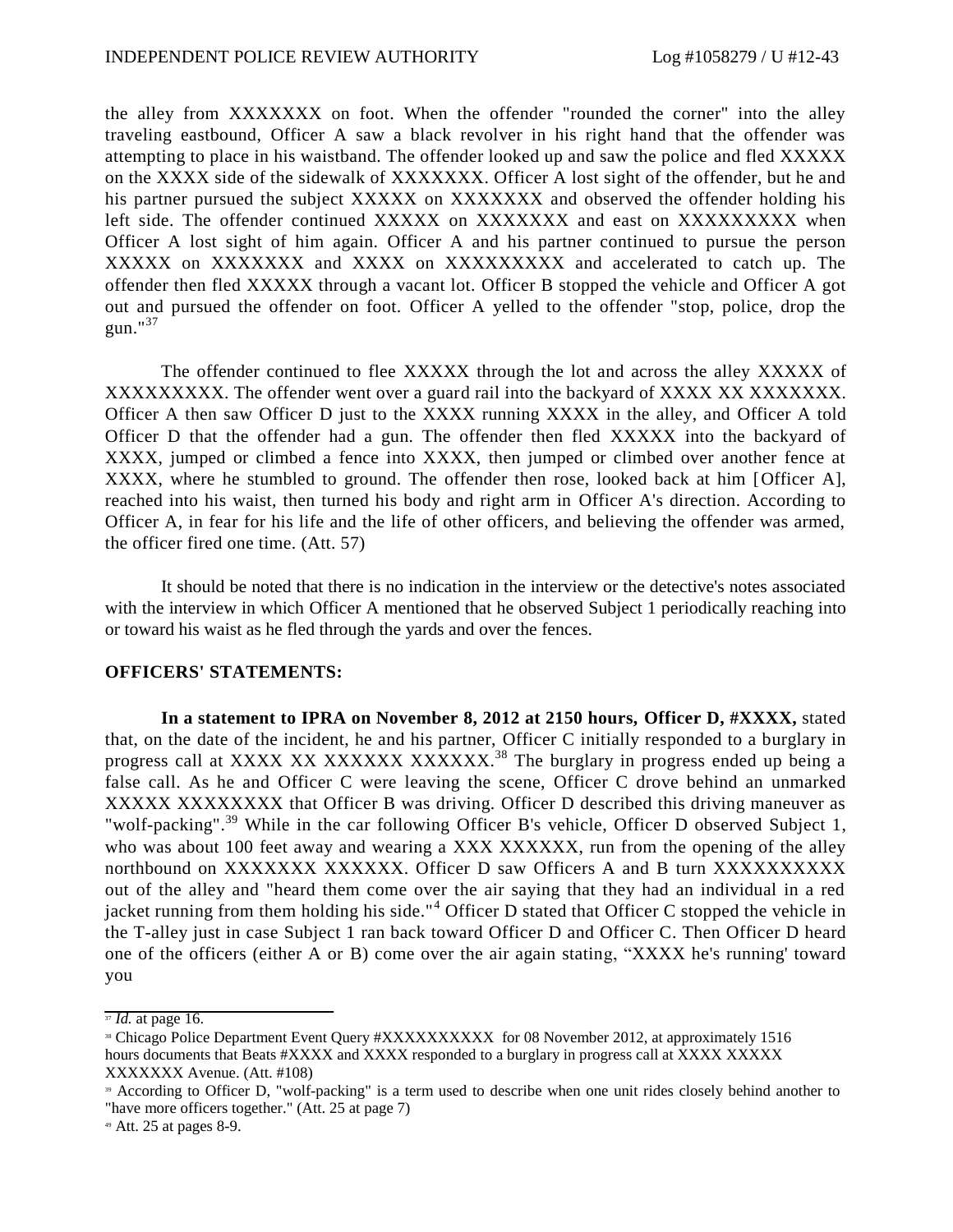the alley from XXXXXXX on foot. When the offender "rounded the corner" into the alley traveling eastbound, Officer A saw a black revolver in his right hand that the offender was attempting to place in his waistband. The offender looked up and saw the police and fled XXXXX on the XXXX side of the sidewalk of XXXXXXX. Officer A lost sight of the offender, but he and his partner pursued the subject XXXXX on XXXXXXX and observed the offender holding his left side. The offender continued XXXXXX on XXXXXXXX and east on XXXXXXXXX when Officer A lost sight of him again. Officer A and his partner continued to pursue the person XXXXX on XXXXXXX and XXXX on XXXXXXXXX and accelerated to catch up. The offender then fled XXXXX through a vacant lot. Officer B stopped the vehicle and Officer A got out and pursued the offender on foot. Officer A yelled to the offender "stop, police, drop the gun." $37$ 

The offender continued to flee XXXXX through the lot and across the alley XXXXX of XXXXXXXXX. The offender went over a guard rail into the backyard of XXXX XX XXXXXXX. Officer A then saw Officer D just to the XXXX running XXXX in the alley, and Officer A told Officer D that the offender had a gun. The offender then fled XXXXX into the backyard of XXXX, jumped or climbed a fence into XXXX, then jumped or climbed over another fence at XXXX, where he stumbled to ground. The offender then rose, looked back at him [Officer A], reached into his waist, then turned his body and right arm in Officer A's direction. According to Officer A, in fear for his life and the life of other officers, and believing the offender was armed, the officer fired one time. (Att. 57)

It should be noted that there is no indication in the interview or the detective's notes associated with the interview in which Officer A mentioned that he observed Subject 1 periodically reaching into or toward his waist as he fled through the yards and over the fences.

### **OFFICERS' STATEMENTS:**

**In a statement to IPRA on November 8, 2012 at 2150 hours, Officer D, #XXXX,** stated that, on the date of the incident, he and his partner, Officer C initially responded to a burglary in progress call at XXXX XX XXXXXX XXXXXX<sup>38</sup> The burglary in progress ended up being a false call. As he and Officer C were leaving the scene, Officer C drove behind an unmarked XXXXX XXXXXXXX that Officer B was driving. Officer D described this driving maneuver as "wolf-packing".<sup>39</sup> While in the car following Officer B's vehicle, Officer D observed Subject 1, who was about 100 feet away and wearing a XXX XXXXXX, run from the opening of the alley northbound on XXXXXXX XXXXXX. Officer D saw Officers A and B turn XXXXXXXXXX out of the alley and "heard them come over the air saying that they had an individual in a red jacket running from them holding his side."<sup>4</sup> Officer D stated that Officer C stopped the vehicle in the T-alley just in case Subject 1 ran back toward Officer D and Officer C. Then Officer D heard one of the officers (either A or B) come over the air again stating, "XXXX he's running' toward you

<sup>37</sup> *Id.* at page 16.

<sup>&</sup>lt;sup>38</sup> Chicago Police Department Event Query #XXXXXXXXXX for 08 November 2012, at approximately 1516 hours documents that Beats #XXXX and XXXX responded to a burglary in progress call at XXXX XXXXX XXXXXXX Avenue. (Att. #108)

<sup>39</sup> According to Officer D, "wolf-packing" is a term used to describe when one unit rides closely behind another to "have more officers together." (Att. 25 at page 7)

<sup>49</sup> Att. 25 at pages 8-9.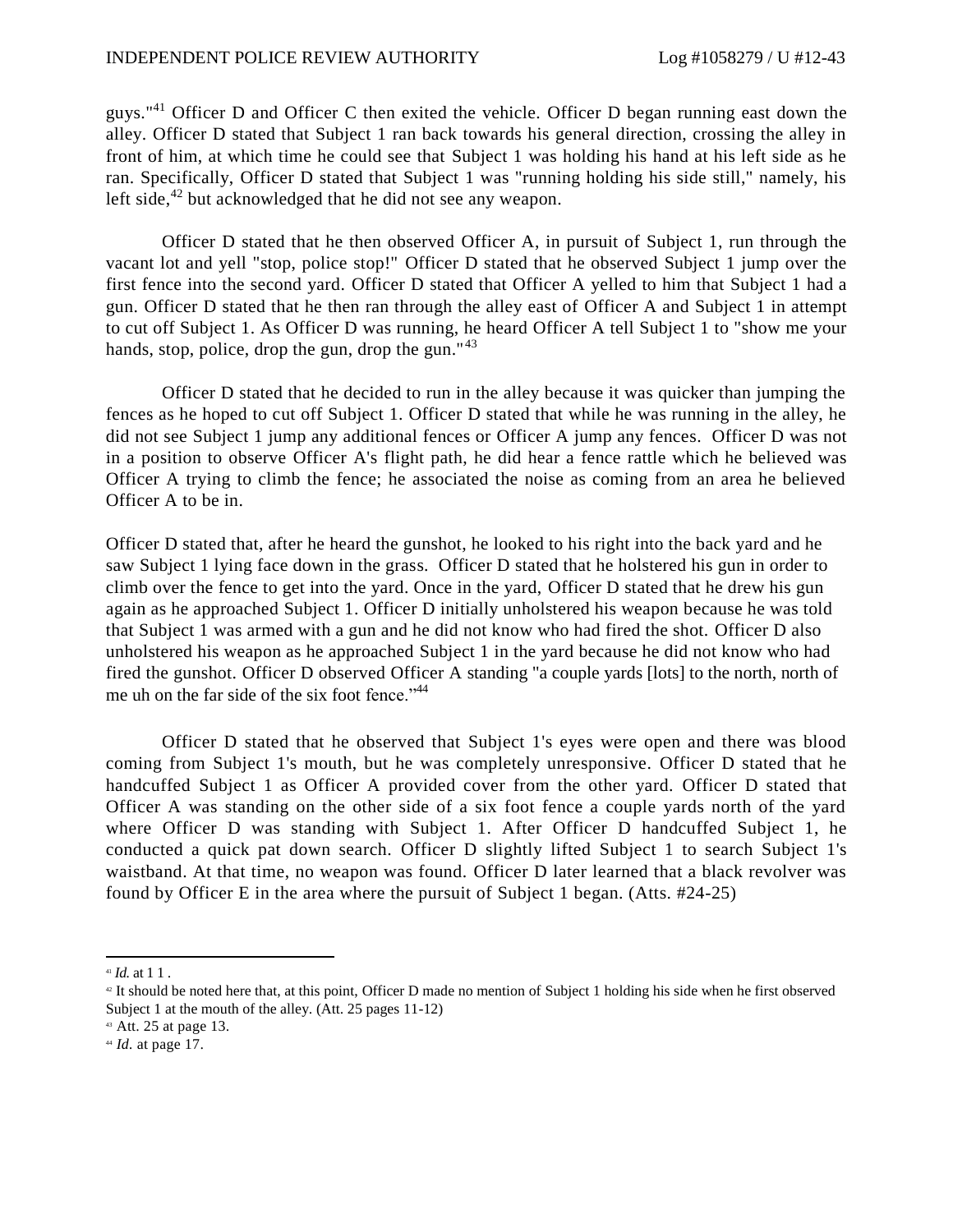guys."<sup>41</sup> Officer D and Officer C then exited the vehicle. Officer D began running east down the alley. Officer D stated that Subject 1 ran back towards his general direction, crossing the alley in front of him, at which time he could see that Subject 1 was holding his hand at his left side as he ran. Specifically, Officer D stated that Subject 1 was "running holding his side still," namely, his left side, $^{42}$  but acknowledged that he did not see any weapon.

Officer D stated that he then observed Officer A, in pursuit of Subject 1, run through the vacant lot and yell "stop, police stop!" Officer D stated that he observed Subject 1 jump over the first fence into the second yard. Officer D stated that Officer A yelled to him that Subject 1 had a gun. Officer D stated that he then ran through the alley east of Officer A and Subject 1 in attempt to cut off Subject 1. As Officer D was running, he heard Officer A tell Subject 1 to "show me your hands, stop, police, drop the gun, drop the gun." $43$ 

Officer D stated that he decided to run in the alley because it was quicker than jumping the fences as he hoped to cut off Subject 1. Officer D stated that while he was running in the alley, he did not see Subject 1 jump any additional fences or Officer A jump any fences. Officer D was not in a position to observe Officer A's flight path, he did hear a fence rattle which he believed was Officer A trying to climb the fence; he associated the noise as coming from an area he believed Officer A to be in.

Officer D stated that, after he heard the gunshot, he looked to his right into the back yard and he saw Subject 1 lying face down in the grass. Officer D stated that he holstered his gun in order to climb over the fence to get into the yard. Once in the yard, Officer D stated that he drew his gun again as he approached Subject 1. Officer D initially unholstered his weapon because he was told that Subject 1 was armed with a gun and he did not know who had fired the shot. Officer D also unholstered his weapon as he approached Subject 1 in the yard because he did not know who had fired the gunshot. Officer D observed Officer A standing "a couple yards [lots] to the north, north of me uh on the far side of the six foot fence."<sup>44</sup>

Officer D stated that he observed that Subject 1's eyes were open and there was blood coming from Subject 1's mouth, but he was completely unresponsive. Officer D stated that he handcuffed Subject 1 as Officer A provided cover from the other yard. Officer D stated that Officer A was standing on the other side of a six foot fence a couple yards north of the yard where Officer D was standing with Subject 1. After Officer D handcuffed Subject 1, he conducted a quick pat down search. Officer D slightly lifted Subject 1 to search Subject 1's waistband. At that time, no weapon was found. Officer D later learned that a black revolver was found by Officer E in the area where the pursuit of Subject 1 began. (Atts. #24-25)

<sup>41</sup> *Id.* at 1 1 .

<sup>42</sup> It should be noted here that, at this point, Officer D made no mention of Subject 1 holding his side when he first observed Subject 1 at the mouth of the alley. (Att. 25 pages 11-12)

<sup>43</sup> Att. 25 at page 13.

<sup>44</sup> *Id.* at page 17.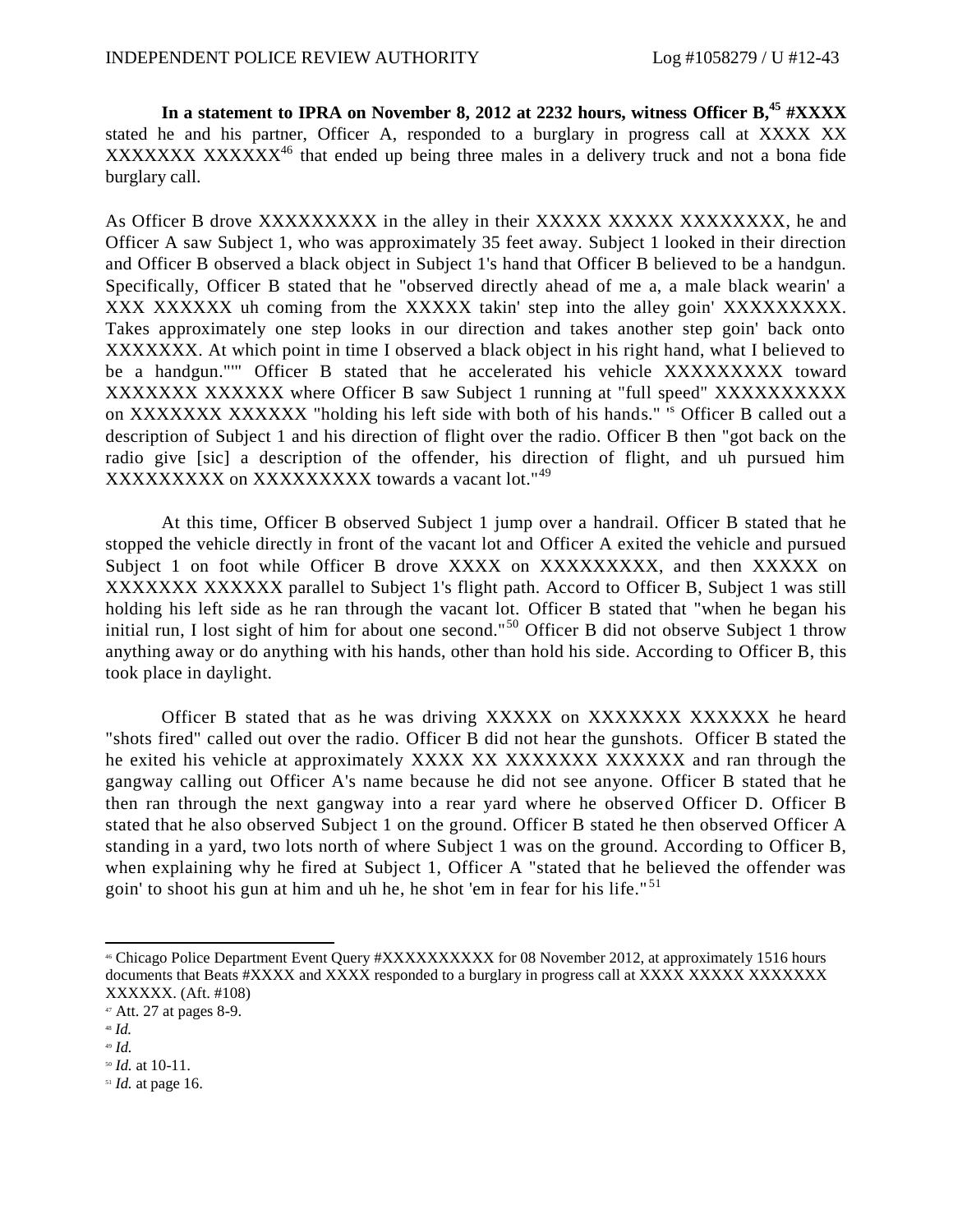**In a statement to IPRA on November 8, 2012 at 2232 hours, witness Officer B, <sup>45</sup> #XXXX** stated he and his partner, Officer A, responded to a burglary in progress call at XXXX XX XXXXXXX XXXXXX<sup>46</sup> that ended up being three males in a delivery truck and not a bona fide burglary call.

As Officer B drove XXXXXXXXX in the alley in their XXXXX XXXXX XXXXXXXX, he and Officer A saw Subject 1, who was approximately 35 feet away. Subject 1 looked in their direction and Officer B observed a black object in Subject 1's hand that Officer B believed to be a handgun. Specifically, Officer B stated that he "observed directly ahead of me a, a male black wearin' a XXX XXXXXX uh coming from the XXXXX takin' step into the alley goin' XXXXXXXXX. Takes approximately one step looks in our direction and takes another step goin' back onto XXXXXXX. At which point in time I observed a black object in his right hand, what I believed to be a handgun."'" Officer B stated that he accelerated his vehicle XXXXXXXXX toward XXXXXXX XXXXXX where Officer B saw Subject 1 running at "full speed" XXXXXXXXXX on XXXXXXX XXXXXX "holding his left side with both of his hands." '<sup>s</sup> Officer B called out a description of Subject 1 and his direction of flight over the radio. Officer B then "got back on the radio give [sic] a description of the offender, his direction of flight, and uh pursued him XXXXXXXXX on XXXXXXXXX towards a vacant lot."<sup>49</sup>

At this time, Officer B observed Subject 1 jump over a handrail. Officer B stated that he stopped the vehicle directly in front of the vacant lot and Officer A exited the vehicle and pursued Subject 1 on foot while Officer B drove XXXX on XXXXXXXXX, and then XXXXX on XXXXXXX XXXXXX parallel to Subject 1's flight path. Accord to Officer B, Subject 1 was still holding his left side as he ran through the vacant lot. Officer B stated that "when he began his initial run, I lost sight of him for about one second."<sup>50</sup> Officer B did not observe Subject 1 throw anything away or do anything with his hands, other than hold his side. According to Officer B, this took place in daylight.

Officer B stated that as he was driving XXXXXX on XXXXXXX XXXXXXX he heard "shots fired" called out over the radio. Officer B did not hear the gunshots. Officer B stated the he exited his vehicle at approximately XXXX XX XXXXXXX XXXXXX and ran through the gangway calling out Officer A's name because he did not see anyone. Officer B stated that he then ran through the next gangway into a rear yard where he observed Officer D. Officer B stated that he also observed Subject 1 on the ground. Officer B stated he then observed Officer A standing in a yard, two lots north of where Subject 1 was on the ground. According to Officer B, when explaining why he fired at Subject 1, Officer A "stated that he believed the offender was goin' to shoot his gun at him and uh he, he shot 'em in fear for his life."<sup>51</sup>

<sup>46</sup> Chicago Police Department Event Query #XXXXXXXXXX for 08 November 2012, at approximately 1516 hours documents that Beats #XXXX and XXXX responded to a burglary in progress call at XXXX XXXXX XXXXXXXX XXXXXX. (Aft. #108)

 $47$  Att. 27 at pages 8-9.

<sup>48</sup> *Id.*

<sup>49</sup> *Id.*

<sup>50</sup> *Id.* at 10-11.

<sup>51</sup> *Id.* at page 16.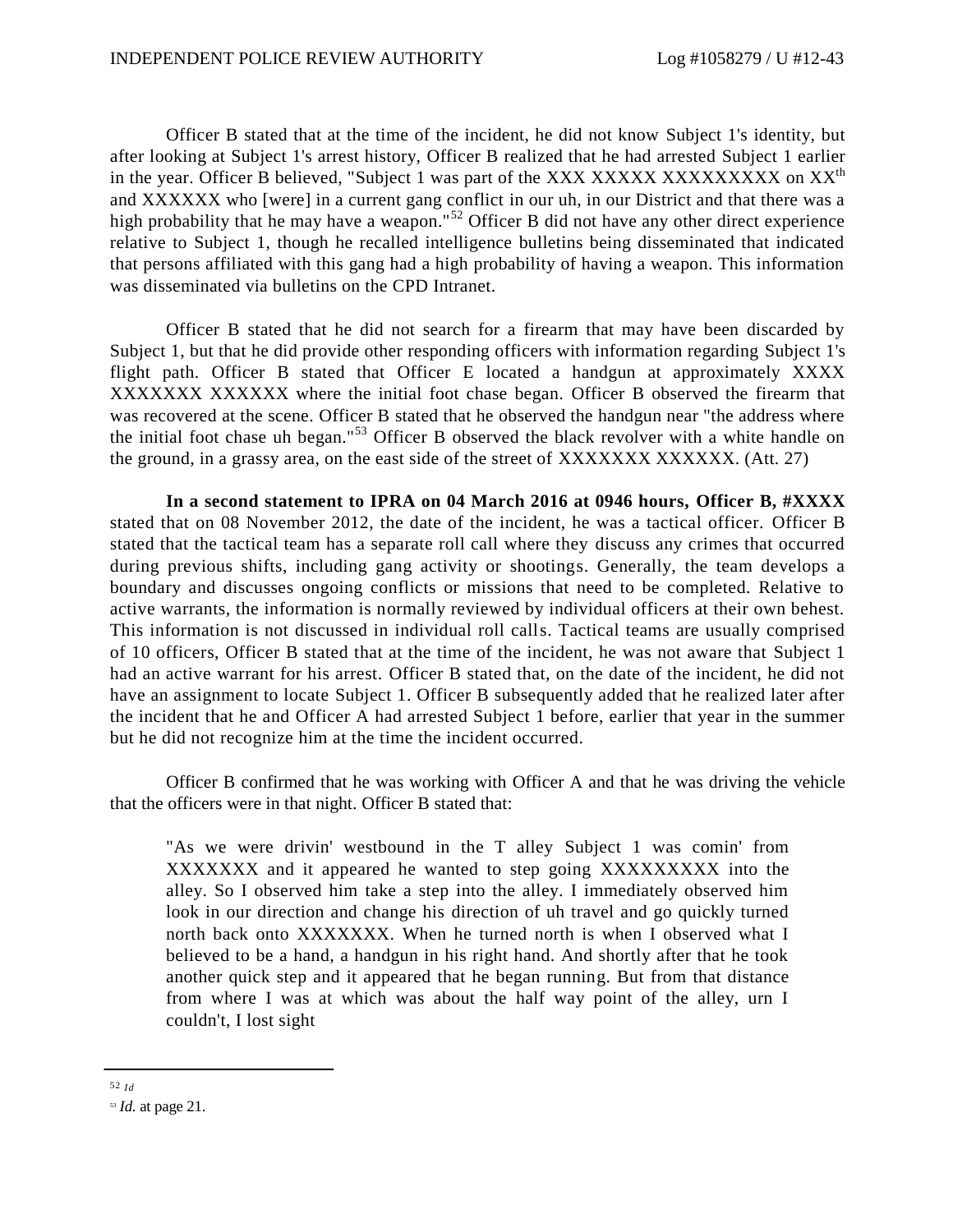Officer B stated that at the time of the incident, he did not know Subject 1's identity, but after looking at Subject 1's arrest history, Officer B realized that he had arrested Subject 1 earlier in the year. Officer B believed, "Subject 1 was part of the XXX XXXXXXXXXXXXXXXXX on XX<sup>th</sup> and XXXXXX who [were] in a current gang conflict in our uh, in our District and that there was a high probability that he may have a weapon."<sup>52</sup> Officer B did not have any other direct experience relative to Subject 1, though he recalled intelligence bulletins being disseminated that indicated that persons affiliated with this gang had a high probability of having a weapon. This information was disseminated via bulletins on the CPD Intranet.

Officer B stated that he did not search for a firearm that may have been discarded by Subject 1, but that he did provide other responding officers with information regarding Subject 1's flight path. Officer B stated that Officer E located a handgun at approximately XXXX XXXXXXX XXXXXX where the initial foot chase began. Officer B observed the firearm that was recovered at the scene. Officer B stated that he observed the handgun near "the address where the initial foot chase uh began."<sup>53</sup> Officer B observed the black revolver with a white handle on the ground, in a grassy area, on the east side of the street of XXXXXXXXXXXXX. (Att. 27)

**In a second statement to IPRA on 04 March 2016 at 0946 hours, Officer B, #XXXX** stated that on 08 November 2012, the date of the incident, he was a tactical officer. Officer B stated that the tactical team has a separate roll call where they discuss any crimes that occurred during previous shifts, including gang activity or shootings. Generally, the team develops a boundary and discusses ongoing conflicts or missions that need to be completed. Relative to active warrants, the information is normally reviewed by individual officers at their own behest. This information is not discussed in individual roll calls. Tactical teams are usually comprised of 10 officers, Officer B stated that at the time of the incident, he was not aware that Subject 1 had an active warrant for his arrest. Officer B stated that, on the date of the incident, he did not have an assignment to locate Subject 1. Officer B subsequently added that he realized later after the incident that he and Officer A had arrested Subject 1 before, earlier that year in the summer but he did not recognize him at the time the incident occurred.

Officer B confirmed that he was working with Officer A and that he was driving the vehicle that the officers were in that night. Officer B stated that:

"As we were drivin' westbound in the T alley Subject 1 was comin' from XXXXXXX and it appeared he wanted to step going XXXXXXXXX into the alley. So I observed him take a step into the alley. I immediately observed him look in our direction and change his direction of uh travel and go quickly turned north back onto XXXXXXX. When he turned north is when I observed what I believed to be a hand, a handgun in his right hand. And shortly after that he took another quick step and it appeared that he began running. But from that distance from where I was at which was about the half way point of the alley, urn I couldn't, I lost sight

<sup>52</sup> *Id*

<sup>53</sup> *Id.* at page 21.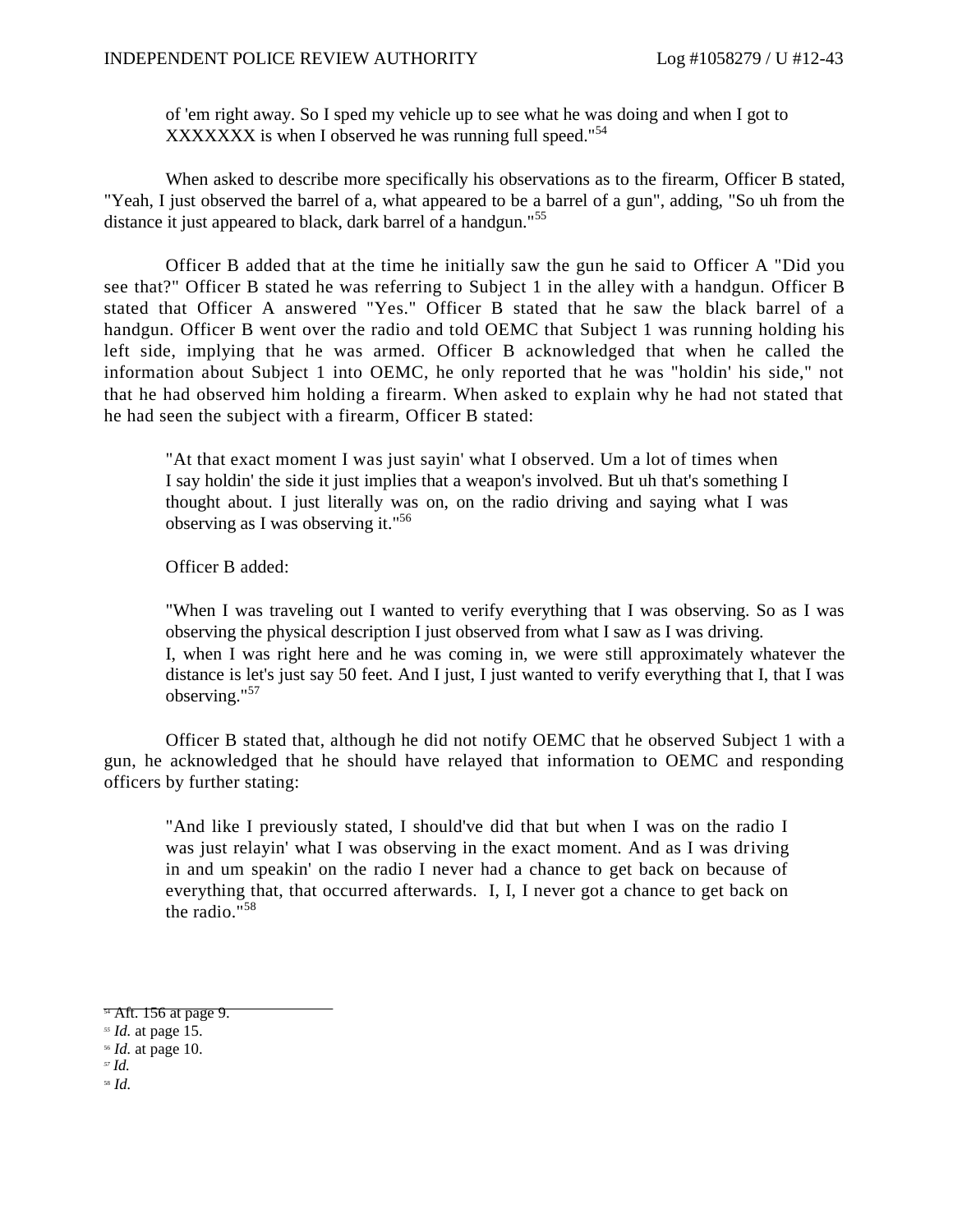of 'em right away. So I sped my vehicle up to see what he was doing and when I got to XXXXXXX is when I observed he was running full speed."<sup>54</sup>

When asked to describe more specifically his observations as to the firearm, Officer B stated, "Yeah, I just observed the barrel of a, what appeared to be a barrel of a gun", adding, "So uh from the distance it just appeared to black, dark barrel of a handgun."<sup>55</sup>

Officer B added that at the time he initially saw the gun he said to Officer A "Did you see that?" Officer B stated he was referring to Subject 1 in the alley with a handgun. Officer B stated that Officer A answered "Yes." Officer B stated that he saw the black barrel of a handgun. Officer B went over the radio and told OEMC that Subject 1 was running holding his left side, implying that he was armed. Officer B acknowledged that when he called the information about Subject 1 into OEMC, he only reported that he was "holdin' his side," not that he had observed him holding a firearm. When asked to explain why he had not stated that he had seen the subject with a firearm, Officer B stated:

"At that exact moment I was just sayin' what I observed. Um a lot of times when I say holdin' the side it just implies that a weapon's involved. But uh that's something I thought about. I just literally was on, on the radio driving and saying what I was observing as I was observing it."<sup>56</sup>

Officer B added:

"When I was traveling out I wanted to verify everything that I was observing. So as I was observing the physical description I just observed from what I saw as I was driving. I, when I was right here and he was coming in, we were still approximately whatever the distance is let's just say 50 feet. And I just, I just wanted to verify everything that I, that I was observing."<sup>57</sup>

Officer B stated that, although he did not notify OEMC that he observed Subject 1 with a gun, he acknowledged that he should have relayed that information to OEMC and responding officers by further stating:

"And like I previously stated, I should've did that but when I was on the radio I was just relayin' what I was observing in the exact moment. And as I was driving in and um speakin' on the radio I never had a chance to get back on because of everything that, that occurred afterwards. I, I, I never got a chance to get back on the radio."<sup>58</sup>

*<sup>57</sup> Id.*

<sup>58</sup> *Id.*

<sup>&</sup>lt;sup>54</sup> Aft. 156 at page 9.

*<sup>55</sup> Id.* at page 15.

<sup>56</sup> *Id.* at page 10.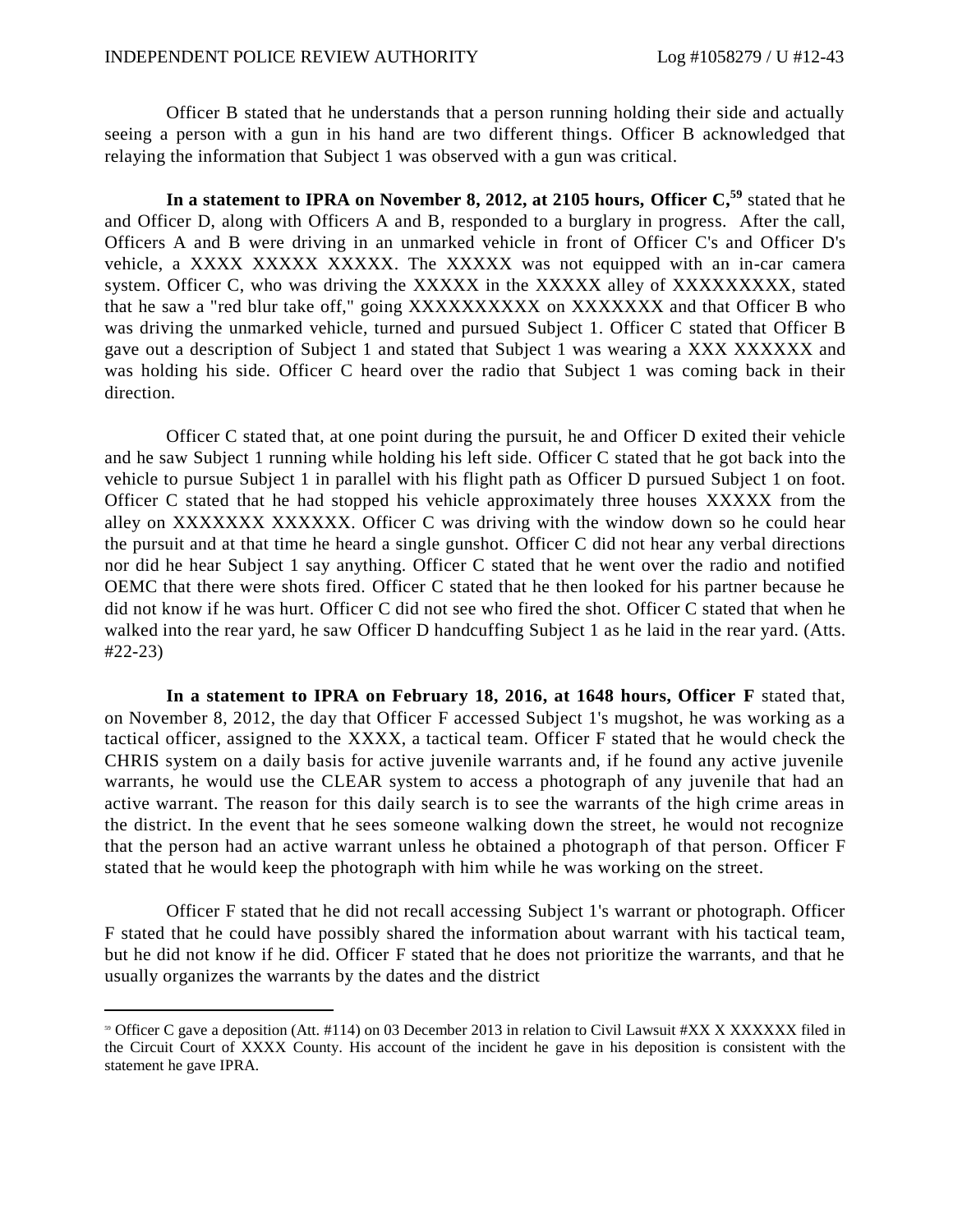Officer B stated that he understands that a person running holding their side and actually seeing a person with a gun in his hand are two different things. Officer B acknowledged that relaying the information that Subject 1 was observed with a gun was critical.

In a statement to IPRA on November 8, 2012, at 2105 hours, Officer  $C$ <sup>59</sup> stated that he and Officer D, along with Officers A and B, responded to a burglary in progress. After the call, Officers A and B were driving in an unmarked vehicle in front of Officer C's and Officer D's vehicle, a XXXX XXXXX XXXXX. The XXXXX was not equipped with an in-car camera system. Officer C, who was driving the XXXXX in the XXXXX alley of XXXXXXXXX, stated that he saw a "red blur take off," going XXXXXXXXXX on XXXXXXX and that Officer B who was driving the unmarked vehicle, turned and pursued Subject 1. Officer C stated that Officer B gave out a description of Subject 1 and stated that Subject 1 was wearing a XXX XXXXXX and was holding his side. Officer C heard over the radio that Subject 1 was coming back in their direction.

Officer C stated that, at one point during the pursuit, he and Officer D exited their vehicle and he saw Subject 1 running while holding his left side. Officer C stated that he got back into the vehicle to pursue Subject 1 in parallel with his flight path as Officer D pursued Subject 1 on foot. Officer C stated that he had stopped his vehicle approximately three houses XXXXX from the alley on XXXXXXX XXXXXX. Officer C was driving with the window down so he could hear the pursuit and at that time he heard a single gunshot. Officer C did not hear any verbal directions nor did he hear Subject 1 say anything. Officer C stated that he went over the radio and notified OEMC that there were shots fired. Officer C stated that he then looked for his partner because he did not know if he was hurt. Officer C did not see who fired the shot. Officer C stated that when he walked into the rear yard, he saw Officer D handcuffing Subject 1 as he laid in the rear yard. (Atts. #22-23)

**In a statement to IPRA on February 18, 2016, at 1648 hours, Officer F** stated that, on November 8, 2012, the day that Officer F accessed Subject 1's mugshot, he was working as a tactical officer, assigned to the XXXX, a tactical team. Officer F stated that he would check the CHRIS system on a daily basis for active juvenile warrants and, if he found any active juvenile warrants, he would use the CLEAR system to access a photograph of any juvenile that had an active warrant. The reason for this daily search is to see the warrants of the high crime areas in the district. In the event that he sees someone walking down the street, he would not recognize that the person had an active warrant unless he obtained a photograph of that person. Officer F stated that he would keep the photograph with him while he was working on the street.

Officer F stated that he did not recall accessing Subject 1's warrant or photograph. Officer F stated that he could have possibly shared the information about warrant with his tactical team, but he did not know if he did. Officer F stated that he does not prioritize the warrants, and that he usually organizes the warrants by the dates and the district

<sup>59</sup> Officer C gave a deposition (Att. #114) on 03 December 2013 in relation to Civil Lawsuit #XX X XXXXXX filed in the Circuit Court of XXXX County. His account of the incident he gave in his deposition is consistent with the statement he gave IPRA.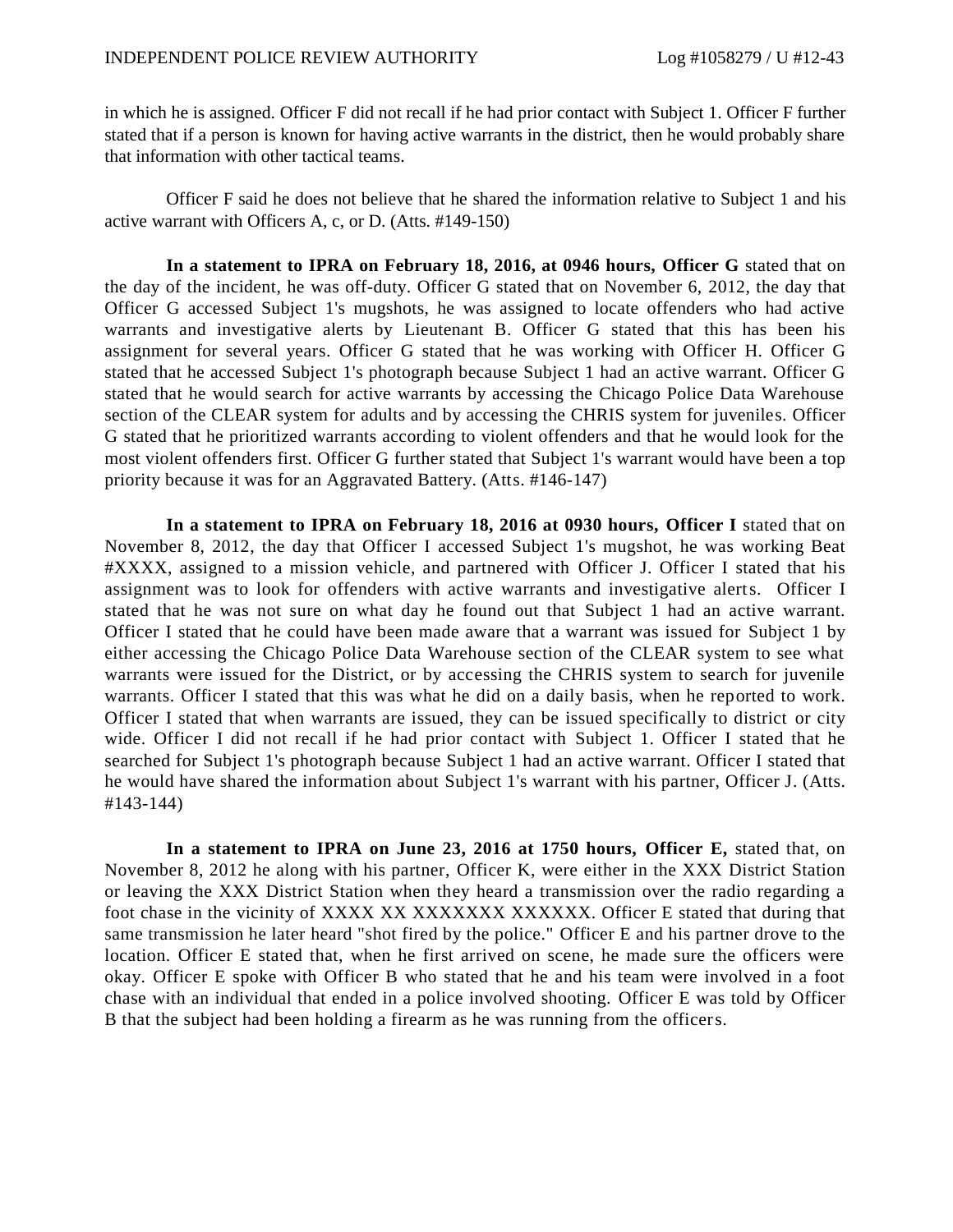in which he is assigned. Officer F did not recall if he had prior contact with Subject 1. Officer F further stated that if a person is known for having active warrants in the district, then he would probably share that information with other tactical teams.

Officer F said he does not believe that he shared the information relative to Subject 1 and his active warrant with Officers A, c, or D. (Atts. #149-150)

**In a statement to IPRA on February 18, 2016, at 0946 hours, Officer G** stated that on the day of the incident, he was off-duty. Officer G stated that on November 6, 2012, the day that Officer G accessed Subject 1's mugshots, he was assigned to locate offenders who had active warrants and investigative alerts by Lieutenant B. Officer G stated that this has been his assignment for several years. Officer G stated that he was working with Officer H. Officer G stated that he accessed Subject 1's photograph because Subject 1 had an active warrant. Officer G stated that he would search for active warrants by accessing the Chicago Police Data Warehouse section of the CLEAR system for adults and by accessing the CHRIS system for juveniles. Officer G stated that he prioritized warrants according to violent offenders and that he would look for the most violent offenders first. Officer G further stated that Subject 1's warrant would have been a top priority because it was for an Aggravated Battery. (Atts. #146-147)

**In a statement to IPRA on February 18, 2016 at 0930 hours, Officer I** stated that on November 8, 2012, the day that Officer I accessed Subject 1's mugshot, he was working Beat #XXXX, assigned to a mission vehicle, and partnered with Officer J. Officer I stated that his assignment was to look for offenders with active warrants and investigative alerts. Officer I stated that he was not sure on what day he found out that Subject 1 had an active warrant. Officer I stated that he could have been made aware that a warrant was issued for Subject 1 by either accessing the Chicago Police Data Warehouse section of the CLEAR system to see what warrants were issued for the District, or by accessing the CHRIS system to search for juvenile warrants. Officer I stated that this was what he did on a daily basis, when he reported to work. Officer I stated that when warrants are issued, they can be issued specifically to district or city wide. Officer I did not recall if he had prior contact with Subject 1. Officer I stated that he searched for Subject 1's photograph because Subject 1 had an active warrant. Officer I stated that he would have shared the information about Subject 1's warrant with his partner, Officer J. (Atts. #143-144)

**In a statement to IPRA on June 23, 2016 at 1750 hours, Officer E,** stated that, on November 8, 2012 he along with his partner, Officer K, were either in the XXX District Station or leaving the XXX District Station when they heard a transmission over the radio regarding a foot chase in the vicinity of XXXX XX XXXXXXX XXXXXX. Officer E stated that during that same transmission he later heard "shot fired by the police." Officer E and his partner drove to the location. Officer E stated that, when he first arrived on scene, he made sure the officers were okay. Officer E spoke with Officer B who stated that he and his team were involved in a foot chase with an individual that ended in a police involved shooting. Officer E was told by Officer B that the subject had been holding a firearm as he was running from the officers.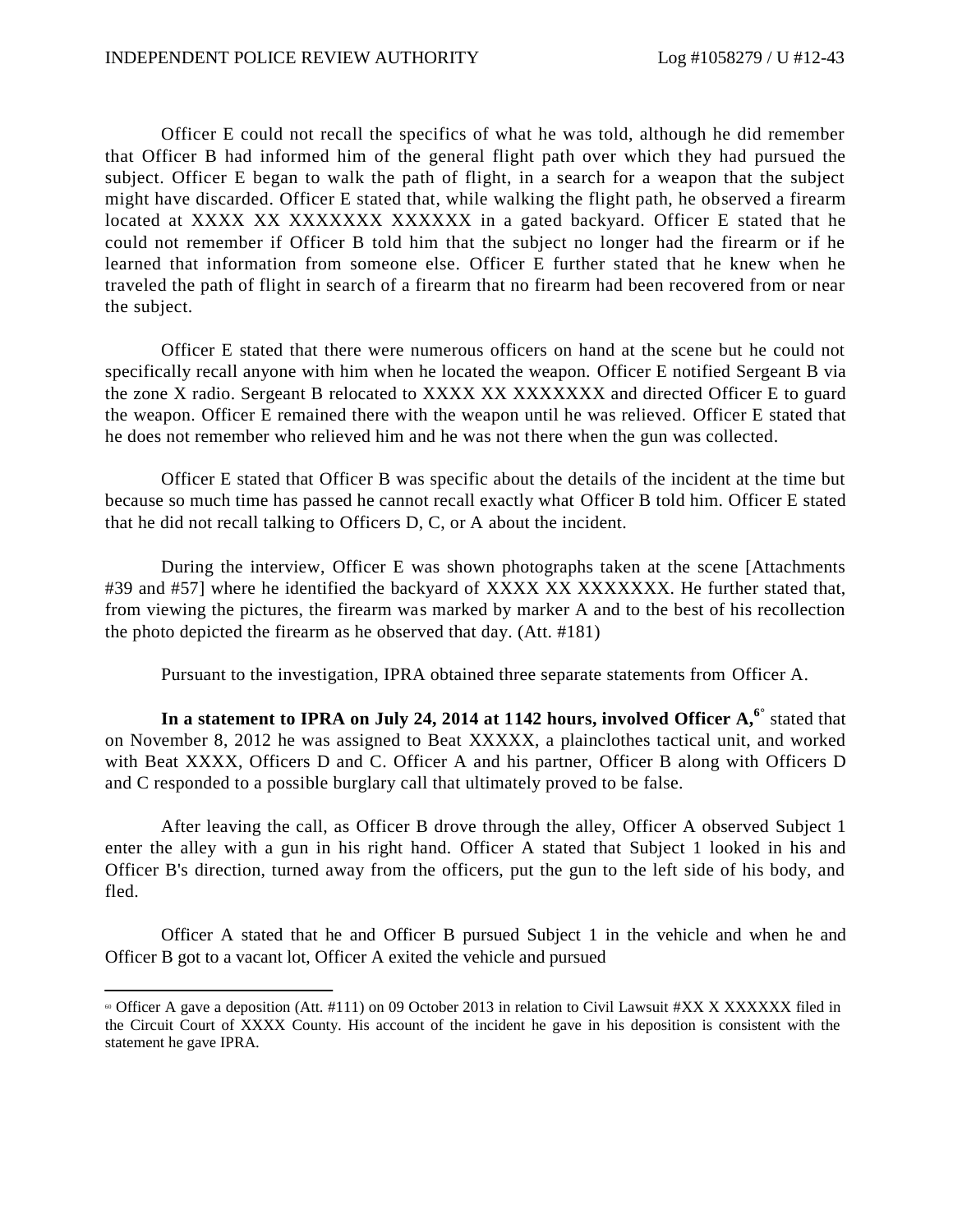Officer E could not recall the specifics of what he was told, although he did remember that Officer B had informed him of the general flight path over which they had pursued the subject. Officer E began to walk the path of flight, in a search for a weapon that the subject might have discarded. Officer E stated that, while walking the flight path, he observed a firearm located at XXXX XX XXXXXXX XXXXXX in a gated backyard. Officer E stated that he could not remember if Officer B told him that the subject no longer had the firearm or if he learned that information from someone else. Officer E further stated that he knew when he traveled the path of flight in search of a firearm that no firearm had been recovered from or near the subject.

Officer E stated that there were numerous officers on hand at the scene but he could not specifically recall anyone with him when he located the weapon. Officer E notified Sergeant B via the zone X radio. Sergeant B relocated to XXXX XX XXXXXXX and directed Officer E to guard the weapon. Officer E remained there with the weapon until he was relieved. Officer E stated that he does not remember who relieved him and he was not there when the gun was collected.

Officer E stated that Officer B was specific about the details of the incident at the time but because so much time has passed he cannot recall exactly what Officer B told him. Officer E stated that he did not recall talking to Officers D, C, or A about the incident.

During the interview, Officer E was shown photographs taken at the scene [Attachments #39 and #57] where he identified the backyard of XXXX XX XXXXXXX. He further stated that, from viewing the pictures, the firearm was marked by marker A and to the best of his recollection the photo depicted the firearm as he observed that day. (Att. #181)

Pursuant to the investigation, IPRA obtained three separate statements from Officer A.

**In a statement to IPRA on July 24, 2014 at 1142 hours, involved Officer A, 6°** stated that on November 8, 2012 he was assigned to Beat XXXXX, a plainclothes tactical unit, and worked with Beat XXXX, Officers D and C. Officer A and his partner, Officer B along with Officers D and C responded to a possible burglary call that ultimately proved to be false.

After leaving the call, as Officer B drove through the alley, Officer A observed Subject 1 enter the alley with a gun in his right hand. Officer A stated that Subject 1 looked in his and Officer B's direction, turned away from the officers, put the gun to the left side of his body, and fled.

Officer A stated that he and Officer B pursued Subject 1 in the vehicle and when he and Officer B got to a vacant lot, Officer A exited the vehicle and pursued

 $\degree$  Officer A gave a deposition (Att. #111) on 09 October 2013 in relation to Civil Lawsuit #XX X XXXXXX filed in the Circuit Court of XXXX County. His account of the incident he gave in his deposition is consistent with the statement he gave IPRA.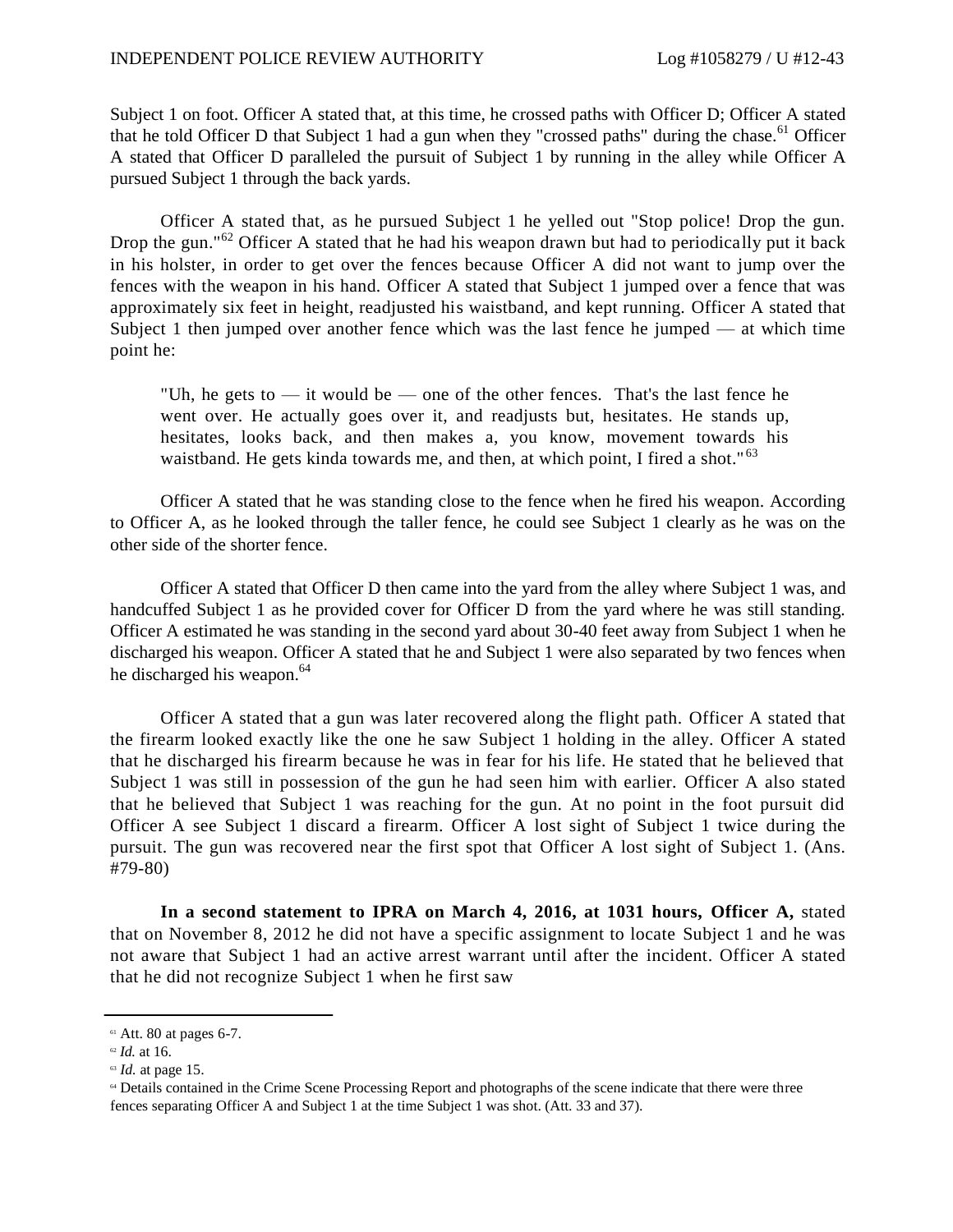Subject 1 on foot. Officer A stated that, at this time, he crossed paths with Officer D; Officer A stated that he told Officer D that Subject 1 had a gun when they "crossed paths" during the chase.<sup>61</sup> Officer A stated that Officer D paralleled the pursuit of Subject 1 by running in the alley while Officer A pursued Subject 1 through the back yards.

Officer A stated that, as he pursued Subject 1 he yelled out "Stop police! Drop the gun. Drop the gun."<sup>62</sup> Officer A stated that he had his weapon drawn but had to periodically put it back in his holster, in order to get over the fences because Officer A did not want to jump over the fences with the weapon in his hand. Officer A stated that Subject 1 jumped over a fence that was approximately six feet in height, readjusted his waistband, and kept running. Officer A stated that Subject 1 then jumped over another fence which was the last fence he jumped — at which time point he:

"Uh, he gets to — it would be — one of the other fences. That's the last fence he went over. He actually goes over it, and readjusts but, hesitates. He stands up, hesitates, looks back, and then makes a, you know, movement towards his waistband. He gets kinda towards me, and then, at which point, I fired a shot."<sup>63</sup>

Officer A stated that he was standing close to the fence when he fired his weapon. According to Officer A, as he looked through the taller fence, he could see Subject 1 clearly as he was on the other side of the shorter fence.

Officer A stated that Officer D then came into the yard from the alley where Subject 1 was, and handcuffed Subject 1 as he provided cover for Officer D from the yard where he was still standing. Officer A estimated he was standing in the second yard about 30-40 feet away from Subject 1 when he discharged his weapon. Officer A stated that he and Subject 1 were also separated by two fences when he discharged his weapon.<sup>64</sup>

Officer A stated that a gun was later recovered along the flight path. Officer A stated that the firearm looked exactly like the one he saw Subject 1 holding in the alley. Officer A stated that he discharged his firearm because he was in fear for his life. He stated that he believed that Subject 1 was still in possession of the gun he had seen him with earlier. Officer A also stated that he believed that Subject 1 was reaching for the gun. At no point in the foot pursuit did Officer A see Subject 1 discard a firearm. Officer A lost sight of Subject 1 twice during the pursuit. The gun was recovered near the first spot that Officer A lost sight of Subject 1. (Ans. #79-80)

**In a second statement to IPRA on March 4, 2016, at 1031 hours, Officer A,** stated that on November 8, 2012 he did not have a specific assignment to locate Subject 1 and he was not aware that Subject 1 had an active arrest warrant until after the incident. Officer A stated that he did not recognize Subject 1 when he first saw

 $61$  Att. 80 at pages 6-7.

<sup>62</sup> *Id.* at 16.

<sup>63</sup> *Id.* at page 15.

<sup>64</sup> Details contained in the Crime Scene Processing Report and photographs of the scene indicate that there were three fences separating Officer A and Subject 1 at the time Subject 1 was shot. (Att. 33 and 37).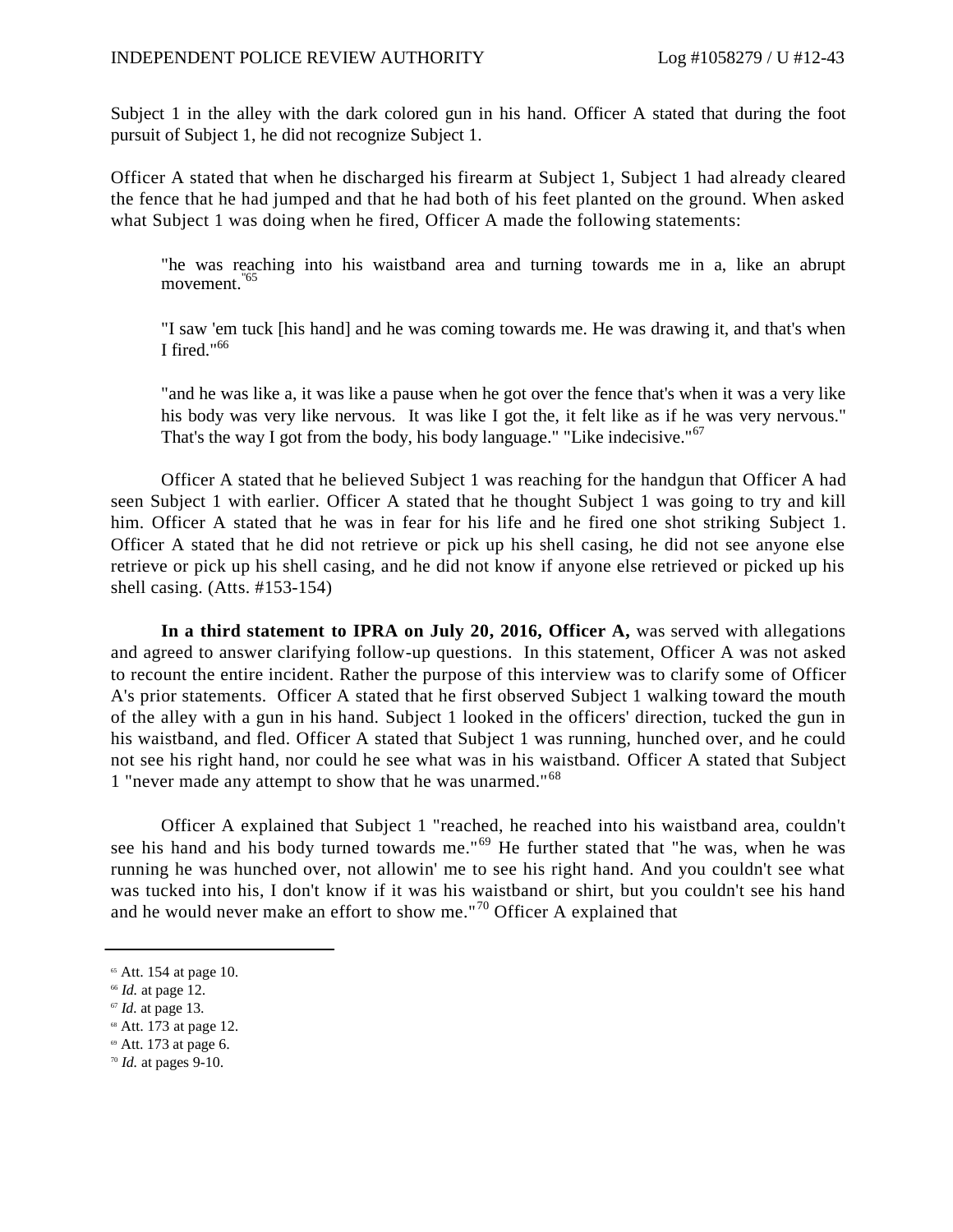Subject 1 in the alley with the dark colored gun in his hand. Officer A stated that during the foot pursuit of Subject 1, he did not recognize Subject 1.

Officer A stated that when he discharged his firearm at Subject 1, Subject 1 had already cleared the fence that he had jumped and that he had both of his feet planted on the ground. When asked what Subject 1 was doing when he fired, Officer A made the following statements:

"he was reaching into his waistband area and turning towards me in a, like an abrupt movement.<sup>"65</sup>

"I saw 'em tuck [his hand] and he was coming towards me. He was drawing it, and that's when I fired." $^{66}$ 

"and he was like a, it was like a pause when he got over the fence that's when it was a very like his body was very like nervous. It was like I got the, it felt like as if he was very nervous." That's the way I got from the body, his body language." "Like indecisive."<sup>67</sup>

Officer A stated that he believed Subject 1 was reaching for the handgun that Officer A had seen Subject 1 with earlier. Officer A stated that he thought Subject 1 was going to try and kill him. Officer A stated that he was in fear for his life and he fired one shot striking Subject 1. Officer A stated that he did not retrieve or pick up his shell casing, he did not see anyone else retrieve or pick up his shell casing, and he did not know if anyone else retrieved or picked up his shell casing. (Atts. #153-154)

**In a third statement to IPRA on July 20, 2016, Officer A,** was served with allegations and agreed to answer clarifying follow-up questions. In this statement, Officer A was not asked to recount the entire incident. Rather the purpose of this interview was to clarify some of Officer A's prior statements. Officer A stated that he first observed Subject 1 walking toward the mouth of the alley with a gun in his hand. Subject 1 looked in the officers' direction, tucked the gun in his waistband, and fled. Officer A stated that Subject 1 was running, hunched over, and he could not see his right hand, nor could he see what was in his waistband. Officer A stated that Subject 1 "never made any attempt to show that he was unarmed."<sup>68</sup>

Officer A explained that Subject 1 "reached, he reached into his waistband area, couldn't see his hand and his body turned towards me."<sup>69</sup> He further stated that "he was, when he was running he was hunched over, not allowin' me to see his right hand. And you couldn't see what was tucked into his, I don't know if it was his waistband or shirt, but you couldn't see his hand and he would never make an effort to show me."<sup>70</sup> Officer A explained that

- <sup>68</sup> Att. 173 at page 12.
- <sup>69</sup> Att. 173 at page 6.

 $65$  Att. 154 at page 10.

<sup>66</sup> *Id.* at page 12.

<sup>67</sup> *Id.* at page 13.

<sup>70</sup> *Id.* at pages 9-10.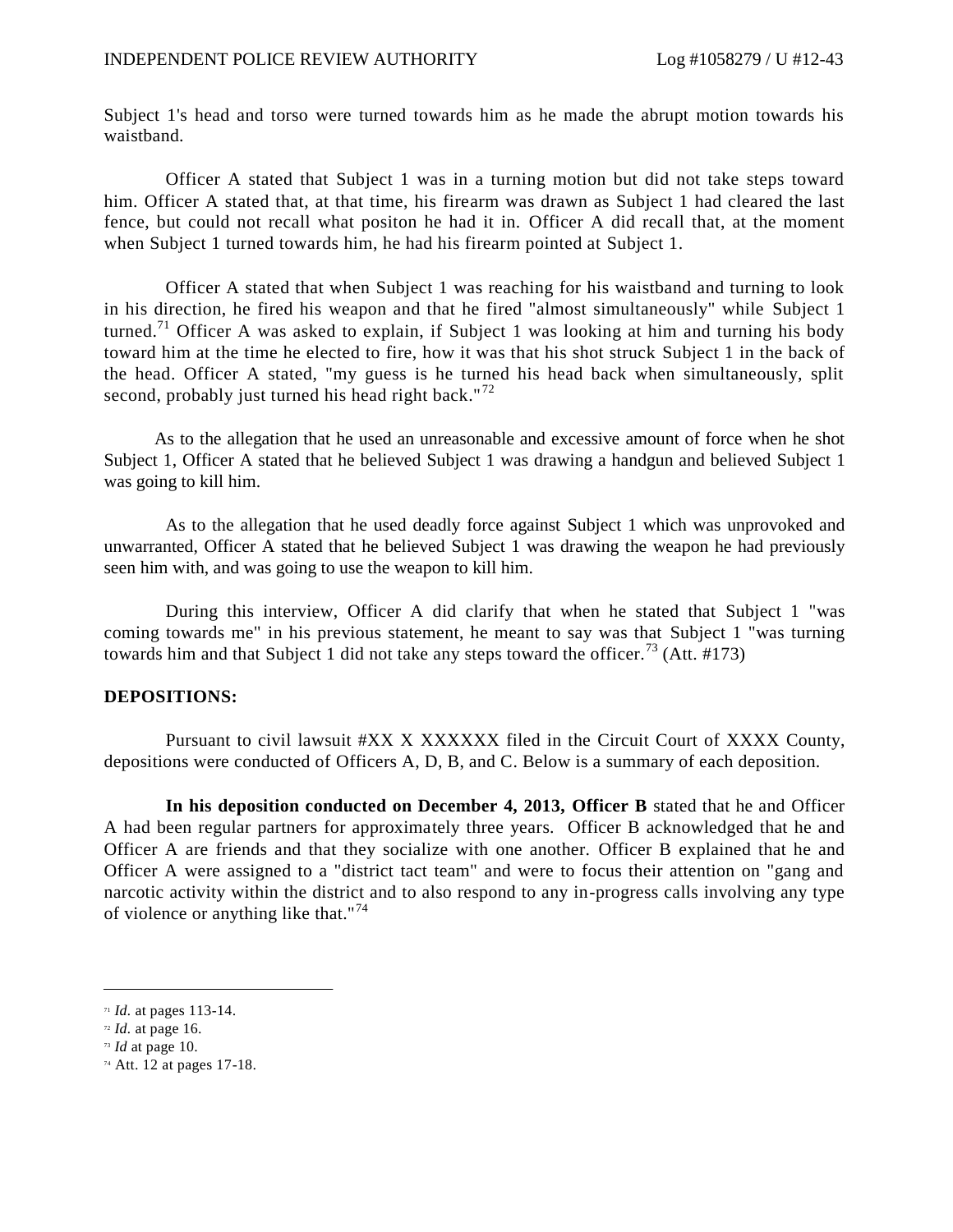Subject 1's head and torso were turned towards him as he made the abrupt motion towards his waistband.

Officer A stated that Subject 1 was in a turning motion but did not take steps toward him. Officer A stated that, at that time, his firearm was drawn as Subject 1 had cleared the last fence, but could not recall what positon he had it in. Officer A did recall that, at the moment when Subject 1 turned towards him, he had his firearm pointed at Subject 1.

Officer A stated that when Subject 1 was reaching for his waistband and turning to look in his direction, he fired his weapon and that he fired "almost simultaneously" while Subject 1 turned.<sup>71</sup> Officer A was asked to explain, if Subject 1 was looking at him and turning his body toward him at the time he elected to fire, how it was that his shot struck Subject 1 in the back of the head. Officer A stated, "my guess is he turned his head back when simultaneously, split second, probably just turned his head right back." $72$ 

As to the allegation that he used an unreasonable and excessive amount of force when he shot Subject 1, Officer A stated that he believed Subject 1 was drawing a handgun and believed Subject 1 was going to kill him.

As to the allegation that he used deadly force against Subject 1 which was unprovoked and unwarranted, Officer A stated that he believed Subject 1 was drawing the weapon he had previously seen him with, and was going to use the weapon to kill him.

During this interview, Officer A did clarify that when he stated that Subject 1 "was coming towards me" in his previous statement, he meant to say was that Subject 1 "was turning towards him and that Subject 1 did not take any steps toward the officer.<sup>73</sup> (Att. #173)

### **DEPOSITIONS:**

Pursuant to civil lawsuit #XX X XXXXXX filed in the Circuit Court of XXXX County, depositions were conducted of Officers A, D, B, and C. Below is a summary of each deposition.

**In his deposition conducted on December 4, 2013, Officer B** stated that he and Officer A had been regular partners for approximately three years. Officer B acknowledged that he and Officer A are friends and that they socialize with one another. Officer B explained that he and Officer A were assigned to a "district tact team" and were to focus their attention on "gang and narcotic activity within the district and to also respond to any in-progress calls involving any type of violence or anything like that."<sup>74</sup>

<sup>71</sup> *Id.* at pages 113-14.

<sup>72</sup> *Id.* at page 16.

<sup>73</sup> *Id* at page 10.

<sup>74</sup> Att. 12 at pages 17-18.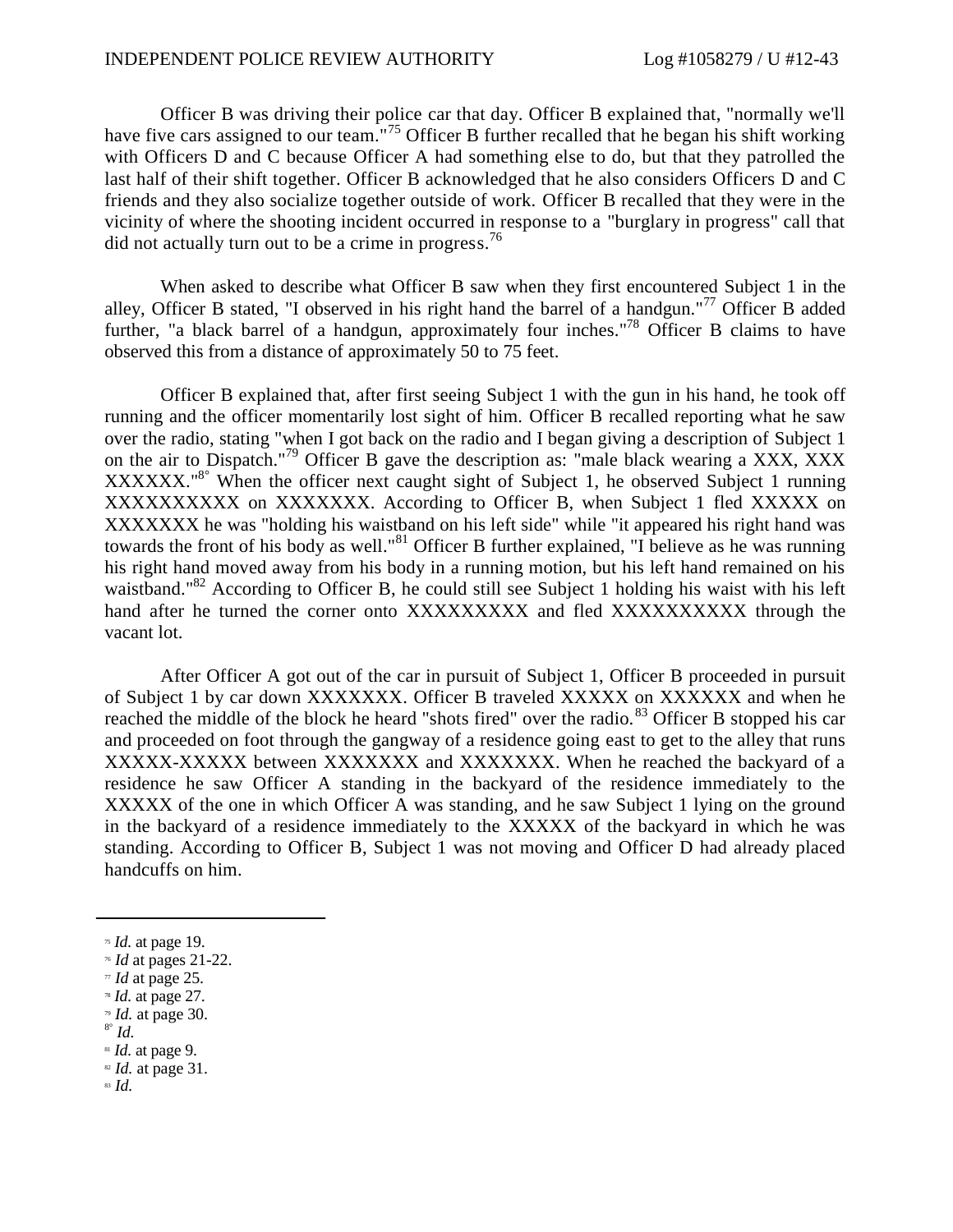#### INDEPENDENT POLICE REVIEW AUTHORITY Log #1058279 / U #12-43

Officer B was driving their police car that day. Officer B explained that, "normally we'll have five cars assigned to our team."<sup>75</sup> Officer B further recalled that he began his shift working with Officers D and C because Officer A had something else to do, but that they patrolled the last half of their shift together. Officer B acknowledged that he also considers Officers D and C friends and they also socialize together outside of work. Officer B recalled that they were in the vicinity of where the shooting incident occurred in response to a "burglary in progress" call that did not actually turn out to be a crime in progress.<sup>76</sup>

When asked to describe what Officer B saw when they first encountered Subject 1 in the alley, Officer B stated, "I observed in his right hand the barrel of a handgun."<sup>77</sup> Officer B added further, "a black barrel of a handgun, approximately four inches."<sup>78</sup> Officer B claims to have observed this from a distance of approximately 50 to 75 feet.

Officer B explained that, after first seeing Subject 1 with the gun in his hand, he took off running and the officer momentarily lost sight of him. Officer B recalled reporting what he saw over the radio, stating "when I got back on the radio and I began giving a description of Subject 1 on the air to Dispatch."<sup>79</sup> Officer B gave the description as: "male black wearing a XXX, XXX XXXXXX.<sup>"8°</sup> When the officer next caught sight of Subject 1, he observed Subject 1 running XXXXXXXXXX on XXXXXXX. According to Officer B, when Subject 1 fled XXXXX on XXXXXXX he was "holding his waistband on his left side" while "it appeared his right hand was towards the front of his body as well."<sup>81</sup> Officer B further explained, "I believe as he was running his right hand moved away from his body in a running motion, but his left hand remained on his waistband."<sup>82</sup> According to Officer B, he could still see Subject 1 holding his waist with his left hand after he turned the corner onto XXXXXXXXX and fled XXXXXXXXXX through the vacant lot.

After Officer A got out of the car in pursuit of Subject 1, Officer B proceeded in pursuit of Subject 1 by car down XXXXXXX. Officer B traveled XXXXX on XXXXXX and when he reached the middle of the block he heard "shots fired" over the radio.<sup>83</sup> Officer B stopped his car and proceeded on foot through the gangway of a residence going east to get to the alley that runs XXXXX-XXXXX between XXXXXXX and XXXXXXX. When he reached the backyard of a residence he saw Officer A standing in the backyard of the residence immediately to the XXXXX of the one in which Officer A was standing, and he saw Subject 1 lying on the ground in the backyard of a residence immediately to the XXXXX of the backyard in which he was standing. According to Officer B, Subject 1 was not moving and Officer D had already placed handcuffs on him.

- <sup>79</sup> *Id.* at page 30.
- 8° *Id.*

<sup>81</sup> *Id.* at page 9.

<sup>82</sup> *Id.* at page 31.

<sup>83</sup> *Id.*

<sup>75</sup> *Id.* at page 19.

<sup>76</sup> *Id* at pages 21-22.

<sup>77</sup> *Id* at page 25.

<sup>78</sup> *Id.* at page 27.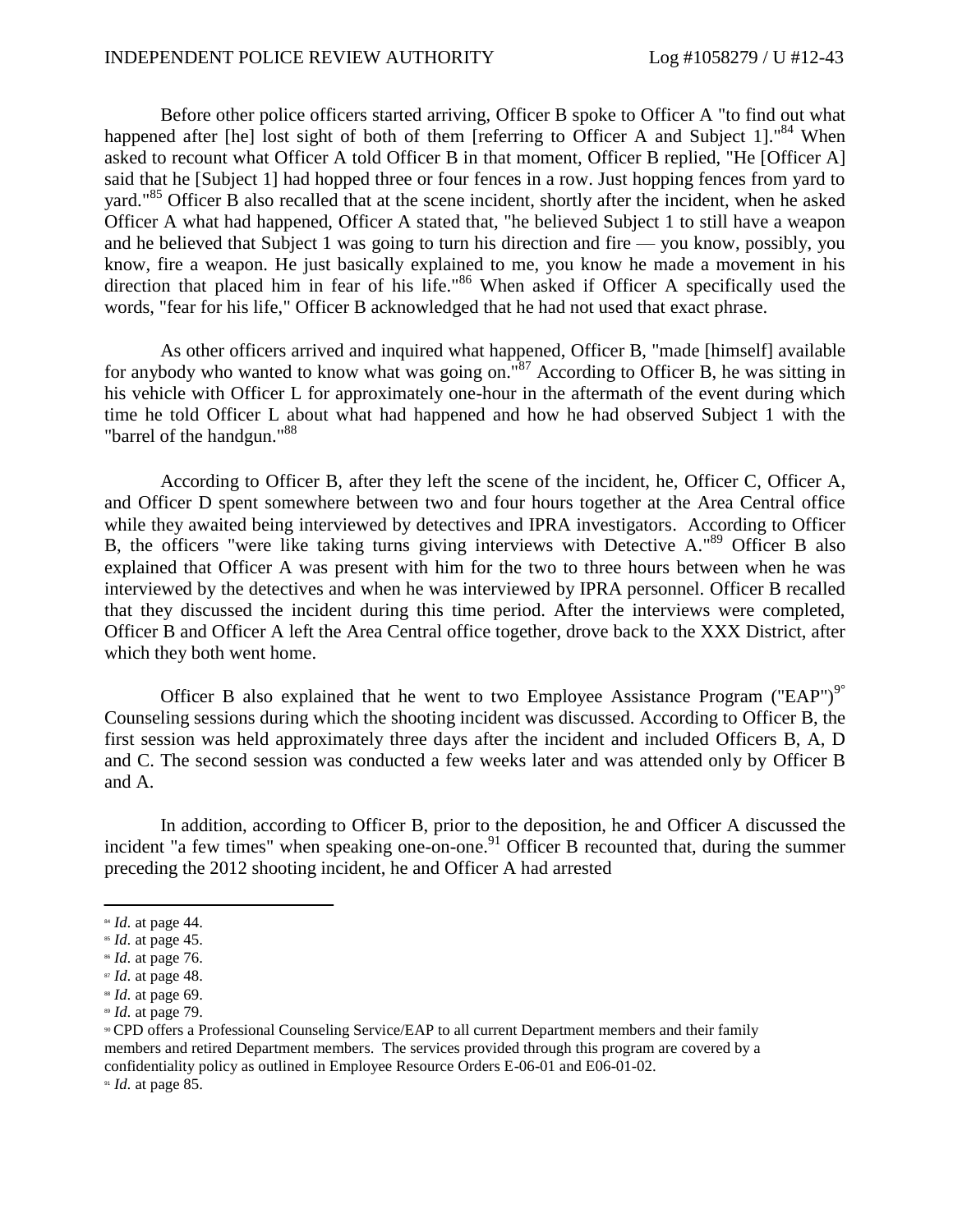Before other police officers started arriving, Officer B spoke to Officer A "to find out what happened after [he] lost sight of both of them [referring to Officer A and Subject 1]."<sup>84</sup> When asked to recount what Officer A told Officer B in that moment, Officer B replied, "He [Officer A] said that he [Subject 1] had hopped three or four fences in a row. Just hopping fences from yard to yard."<sup>85</sup> Officer B also recalled that at the scene incident, shortly after the incident, when he asked Officer A what had happened, Officer A stated that, "he believed Subject 1 to still have a weapon and he believed that Subject 1 was going to turn his direction and fire — you know, possibly, you know, fire a weapon. He just basically explained to me, you know he made a movement in his direction that placed him in fear of his life."<sup>86</sup> When asked if Officer A specifically used the words, "fear for his life," Officer B acknowledged that he had not used that exact phrase.

As other officers arrived and inquired what happened, Officer B, "made [himself] available for anybody who wanted to know what was going on." $87$  According to Officer B, he was sitting in his vehicle with Officer L for approximately one-hour in the aftermath of the event during which time he told Officer L about what had happened and how he had observed Subject 1 with the "barrel of the handgun."<sup>88</sup>

According to Officer B, after they left the scene of the incident, he, Officer C, Officer A, and Officer D spent somewhere between two and four hours together at the Area Central office while they awaited being interviewed by detectives and IPRA investigators. According to Officer B, the officers "were like taking turns giving interviews with Detective A."<sup>89</sup> Officer B also explained that Officer A was present with him for the two to three hours between when he was interviewed by the detectives and when he was interviewed by IPRA personnel. Officer B recalled that they discussed the incident during this time period. After the interviews were completed, Officer B and Officer A left the Area Central office together, drove back to the XXX District, after which they both went home.

Officer B also explained that he went to two Employee Assistance Program ("EAP")<sup>9°</sup> Counseling sessions during which the shooting incident was discussed. According to Officer B, the first session was held approximately three days after the incident and included Officers B, A, D and C. The second session was conducted a few weeks later and was attended only by Officer B and A.

In addition, according to Officer B, prior to the deposition, he and Officer A discussed the incident "a few times" when speaking one-on-one.<sup>91</sup> Officer B recounted that, during the summer preceding the 2012 shooting incident, he and Officer A had arrested

<sup>91</sup> *Id.* at page 85.

<sup>84</sup> *Id.* at page 44.

<sup>85</sup> *Id.* at page 45.

<sup>86</sup> *Id.* at page 76.

<sup>87</sup> *Id.* at page 48.

<sup>88</sup> *Id.* at page 69.

<sup>89</sup> *Id.* at page 79.

<sup>90</sup> CPD offers a Professional Counseling Service/EAP to all current Department members and their family members and retired Department members. The services provided through this program are covered by a confidentiality policy as outlined in Employee Resource Orders E-06-01 and E06-01-02.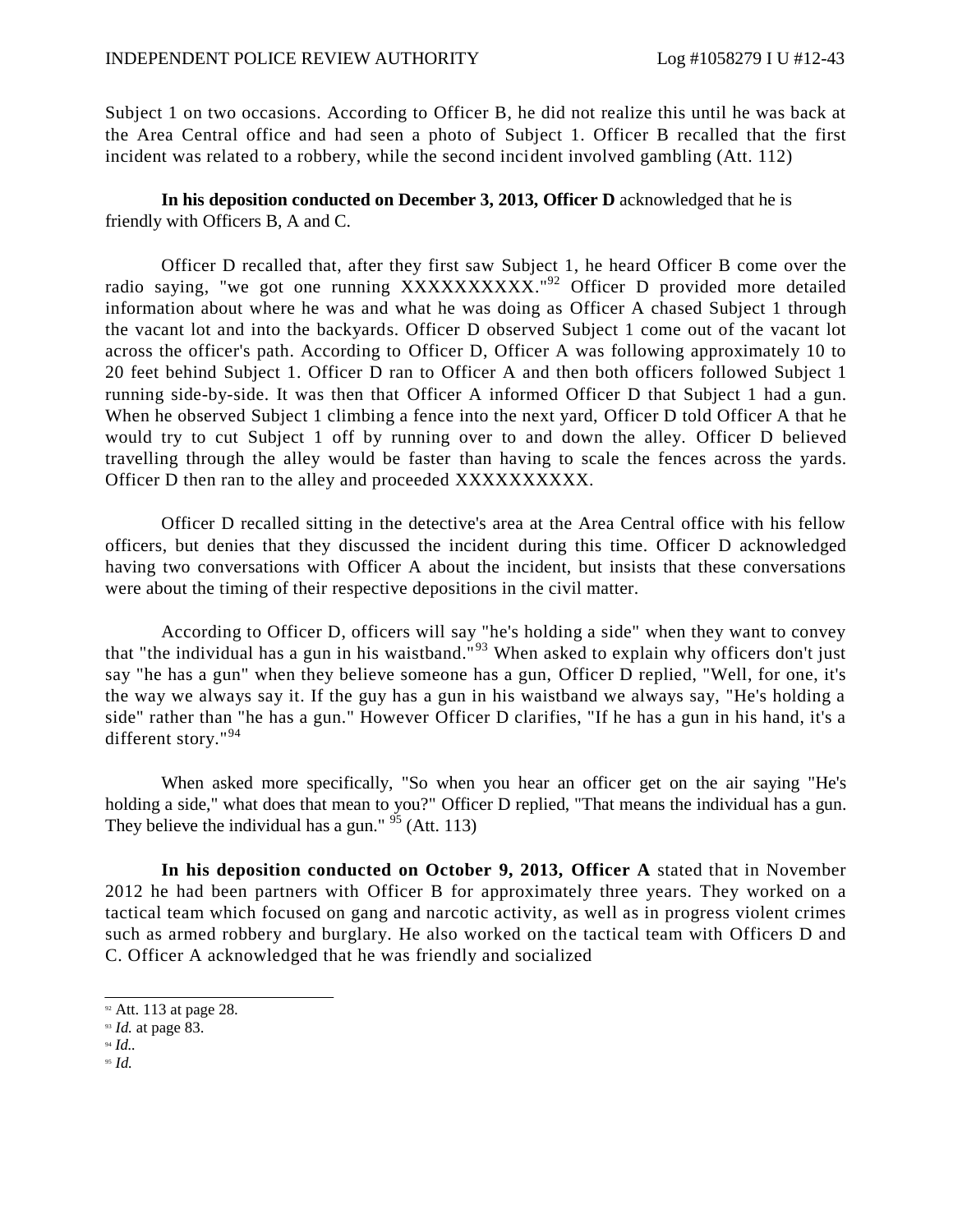Subject 1 on two occasions. According to Officer B, he did not realize this until he was back at the Area Central office and had seen a photo of Subject 1. Officer B recalled that the first incident was related to a robbery, while the second incident involved gambling (Att. 112)

## **In his deposition conducted on December 3, 2013, Officer D** acknowledged that he is friendly with Officers B, A and C.

Officer D recalled that, after they first saw Subject 1, he heard Officer B come over the radio saying, "we got one running XXXXXXXXXX."<sup>92</sup> Officer D provided more detailed information about where he was and what he was doing as Officer A chased Subject 1 through the vacant lot and into the backyards. Officer D observed Subject 1 come out of the vacant lot across the officer's path. According to Officer D, Officer A was following approximately 10 to 20 feet behind Subject 1. Officer D ran to Officer A and then both officers followed Subject 1 running side-by-side. It was then that Officer A informed Officer D that Subject 1 had a gun. When he observed Subject 1 climbing a fence into the next yard, Officer D told Officer A that he would try to cut Subject 1 off by running over to and down the alley. Officer D believed travelling through the alley would be faster than having to scale the fences across the yards. Officer D then ran to the alley and proceeded XXXXXXXXXX.

Officer D recalled sitting in the detective's area at the Area Central office with his fellow officers, but denies that they discussed the incident during this time. Officer D acknowledged having two conversations with Officer A about the incident, but insists that these conversations were about the timing of their respective depositions in the civil matter.

According to Officer D, officers will say "he's holding a side" when they want to convey that "the individual has a gun in his waistband."<sup>93</sup> When asked to explain why officers don't just say "he has a gun" when they believe someone has a gun, Officer D replied, "Well, for one, it's the way we always say it. If the guy has a gun in his waistband we always say, "He's holding a side" rather than "he has a gun." However Officer D clarifies, "If he has a gun in his hand, it's a different story."<sup>94</sup>

When asked more specifically, "So when you hear an officer get on the air saying "He's holding a side," what does that mean to you?" Officer D replied, "That means the individual has a gun. They believe the individual has a gun."  $95$  (Att. 113)

**In his deposition conducted on October 9, 2013, Officer A** stated that in November 2012 he had been partners with Officer B for approximately three years. They worked on a tactical team which focused on gang and narcotic activity, as well as in progress violent crimes such as armed robbery and burglary. He also worked on the tactical team with Officers D and C. Officer A acknowledged that he was friendly and socialized

<sup>95</sup> *Id.*

<sup>&</sup>lt;sup>92</sup> Att. 113 at page 28.

<sup>93</sup> *Id.* at page 83.

<sup>94</sup> *Id..*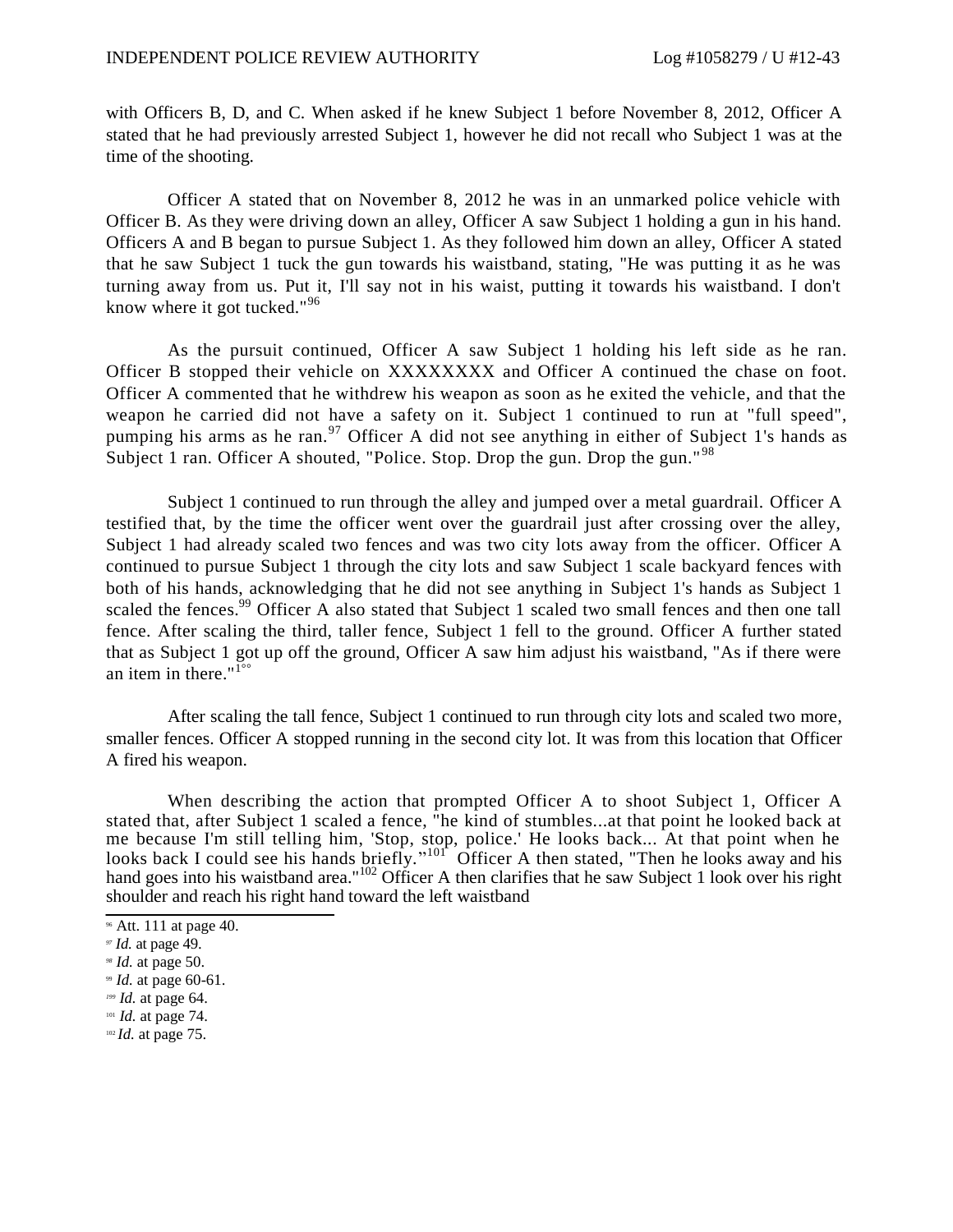with Officers B, D, and C. When asked if he knew Subject 1 before November 8, 2012, Officer A stated that he had previously arrested Subject 1, however he did not recall who Subject 1 was at the time of the shooting.

Officer A stated that on November 8, 2012 he was in an unmarked police vehicle with Officer B. As they were driving down an alley, Officer A saw Subject 1 holding a gun in his hand. Officers A and B began to pursue Subject 1. As they followed him down an alley, Officer A stated that he saw Subject 1 tuck the gun towards his waistband, stating, "He was putting it as he was turning away from us. Put it, I'll say not in his waist, putting it towards his waistband. I don't know where it got tucked."<sup>96</sup>

As the pursuit continued, Officer A saw Subject 1 holding his left side as he ran. Officer B stopped their vehicle on XXXXXXXX and Officer A continued the chase on foot. Officer A commented that he withdrew his weapon as soon as he exited the vehicle, and that the weapon he carried did not have a safety on it. Subject 1 continued to run at "full speed", pumping his arms as he ran.<sup>97</sup> Officer A did not see anything in either of Subject 1's hands as Subject 1 ran. Officer A shouted, "Police. Stop. Drop the gun. Drop the gun."<sup>98</sup>

Subject 1 continued to run through the alley and jumped over a metal guardrail. Officer A testified that, by the time the officer went over the guardrail just after crossing over the alley, Subject 1 had already scaled two fences and was two city lots away from the officer. Officer A continued to pursue Subject 1 through the city lots and saw Subject 1 scale backyard fences with both of his hands, acknowledging that he did not see anything in Subject 1's hands as Subject 1 scaled the fences.<sup>99</sup> Officer A also stated that Subject 1 scaled two small fences and then one tall fence. After scaling the third, taller fence, Subject 1 fell to the ground. Officer A further stated that as Subject 1 got up off the ground, Officer A saw him adjust his waistband, "As if there were an item in there." $1^{\circ}$ 

After scaling the tall fence, Subject 1 continued to run through city lots and scaled two more, smaller fences. Officer A stopped running in the second city lot. It was from this location that Officer A fired his weapon.

When describing the action that prompted Officer A to shoot Subject 1, Officer A stated that, after Subject 1 scaled a fence, "he kind of stumbles...at that point he looked back at me because I'm still telling him, 'Stop, stop, police.' He looks back... At that point when he looks back I could see his hands briefly."<sup>101</sup> Officer A then stated, "Then he looks away and his hand goes into his waistband area."<sup>102</sup> Officer A then clarifies that he saw Subject 1 look over his right shoulder and reach his right hand toward the left waistband

<sup>96</sup> Att. 111 at page 40.

*<sup>97</sup> Id.* at page 49.

*<sup>98</sup> Id.* at page 50.

<sup>99</sup> *Id.* at page 60-61.

*<sup>199</sup> Id.* at page 64.

<sup>101</sup> *Id.* at page 74.

<sup>102</sup> *Id.* at page 75.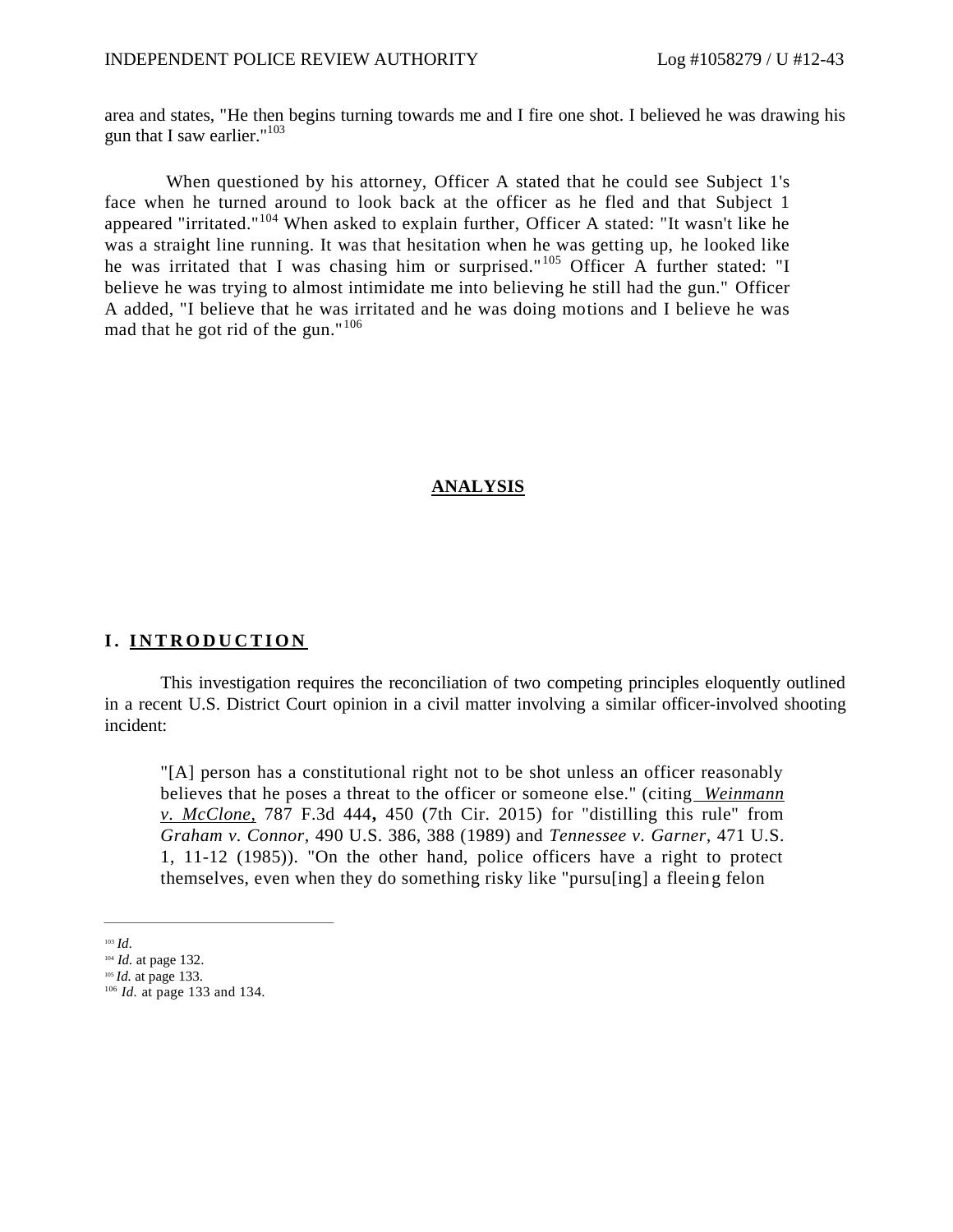area and states, "He then begins turning towards me and I fire one shot. I believed he was drawing his gun that I saw earlier." $103$ 

When questioned by his attorney, Officer A stated that he could see Subject 1's face when he turned around to look back at the officer as he fled and that Subject 1 appeared "irritated."<sup>104</sup> When asked to explain further, Officer A stated: "It wasn't like he was a straight line running. It was that hesitation when he was getting up, he looked like he was irritated that I was chasing him or surprised."<sup>105</sup> Officer A further stated: "I believe he was trying to almost intimidate me into believing he still had the gun." Officer A added, "I believe that he was irritated and he was doing motions and I believe he was mad that he got rid of the gun."<sup>106</sup>

### **ANALYSIS**

### **I. INTRODUCTION**

This investigation requires the reconciliation of two competing principles eloquently outlined in a recent U.S. District Court opinion in a civil matter involving a similar officer-involved shooting incident:

"[A] person has a constitutional right not to be shot unless an officer reasonably believes that he poses a threat to the officer or someone else." (citing *Weinmann v. McClone,* 787 F.3d 444**,** 450 (7th Cir. 2015) for "distilling this rule" from *Graham v. Connor,* 490 U.S. 386, 388 (1989) and *Tennessee v. Garner,* 471 U.S. 1, 11-12 (1985)). "On the other hand, police officers have a right to protect themselves, even when they do something risky like "pursu[ing] a fleeing felon

<sup>103</sup> *Id.*

<sup>104</sup> *Id.* at page 132.

<sup>105</sup> *Id.* at page 133. 106 *Id.* at page 133 and 134.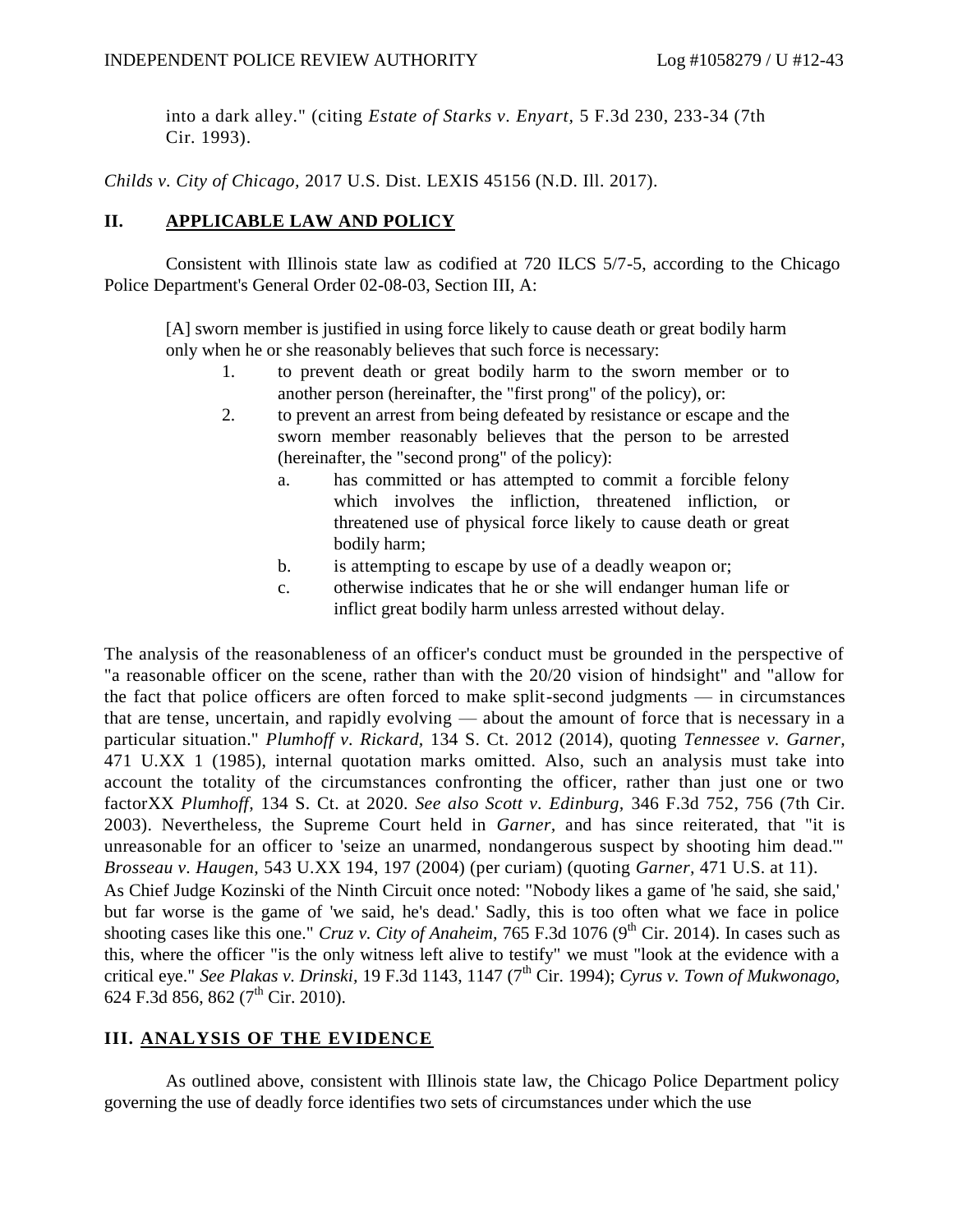into a dark alley." (citing *Estate of Starks v. Enyart,* 5 F.3d 230, 233-34 (7th Cir. 1993).

*Childs v. City of Chicago,* 2017 U.S. Dist. LEXIS 45156 (N.D. Ill. 2017).

## **II. APPLICABLE LAW AND POLICY**

Consistent with Illinois state law as codified at 720 ILCS 5/7-5, according to the Chicago Police Department's General Order 02-08-03, Section III, A:

[A] sworn member is justified in using force likely to cause death or great bodily harm only when he or she reasonably believes that such force is necessary:

- 1. to prevent death or great bodily harm to the sworn member or to another person (hereinafter, the "first prong" of the policy), or:
- 2. to prevent an arrest from being defeated by resistance or escape and the sworn member reasonably believes that the person to be arrested (hereinafter, the "second prong" of the policy):
	- a. has committed or has attempted to commit a forcible felony which involves the infliction, threatened infliction, or threatened use of physical force likely to cause death or great bodily harm;
	- b. is attempting to escape by use of a deadly weapon or;
	- c. otherwise indicates that he or she will endanger human life or inflict great bodily harm unless arrested without delay.

The analysis of the reasonableness of an officer's conduct must be grounded in the perspective of "a reasonable officer on the scene, rather than with the 20/20 vision of hindsight" and "allow for the fact that police officers are often forced to make split-second judgments — in circumstances that are tense, uncertain, and rapidly evolving — about the amount of force that is necessary in a particular situation." *Plumhoff v. Rickard,* 134 S. Ct. 2012 (2014), quoting *Tennessee v. Garner,*  471 U.XX 1 (1985), internal quotation marks omitted. Also, such an analysis must take into account the totality of the circumstances confronting the officer, rather than just one or two factorXX *Plumhoff,* 134 S. Ct. at 2020. *See also Scott v. Edinburg,* 346 F.3d 752, 756 (7th Cir. 2003). Nevertheless, the Supreme Court held in *Garner,* and has since reiterated, that "it is unreasonable for an officer to 'seize an unarmed, nondangerous suspect by shooting him dead.'" *Brosseau v. Haugen,* 543 U.XX 194, 197 (2004) (per curiam) (quoting *Garner,* 471 U.S. at 11). As Chief Judge Kozinski of the Ninth Circuit once noted: "Nobody likes a game of 'he said, she said,' but far worse is the game of 'we said, he's dead.' Sadly, this is too often what we face in police shooting cases like this one." *Cruz v. City of Anaheim*, 765 F.3d 1076 (9<sup>th</sup> Cir. 2014). In cases such as this, where the officer "is the only witness left alive to testify" we must "look at the evidence with a critical eye." *See Plakas v. Drinski,* 19 F.3d 1143, 1147 (7th Cir. 1994); *Cyrus v. Town of Mukwonago,*  624 F.3d 856, 862 ( $7<sup>th</sup>$  Cir. 2010).

# **III. ANALYSIS OF THE EVIDENCE**

As outlined above, consistent with Illinois state law, the Chicago Police Department policy governing the use of deadly force identifies two sets of circumstances under which the use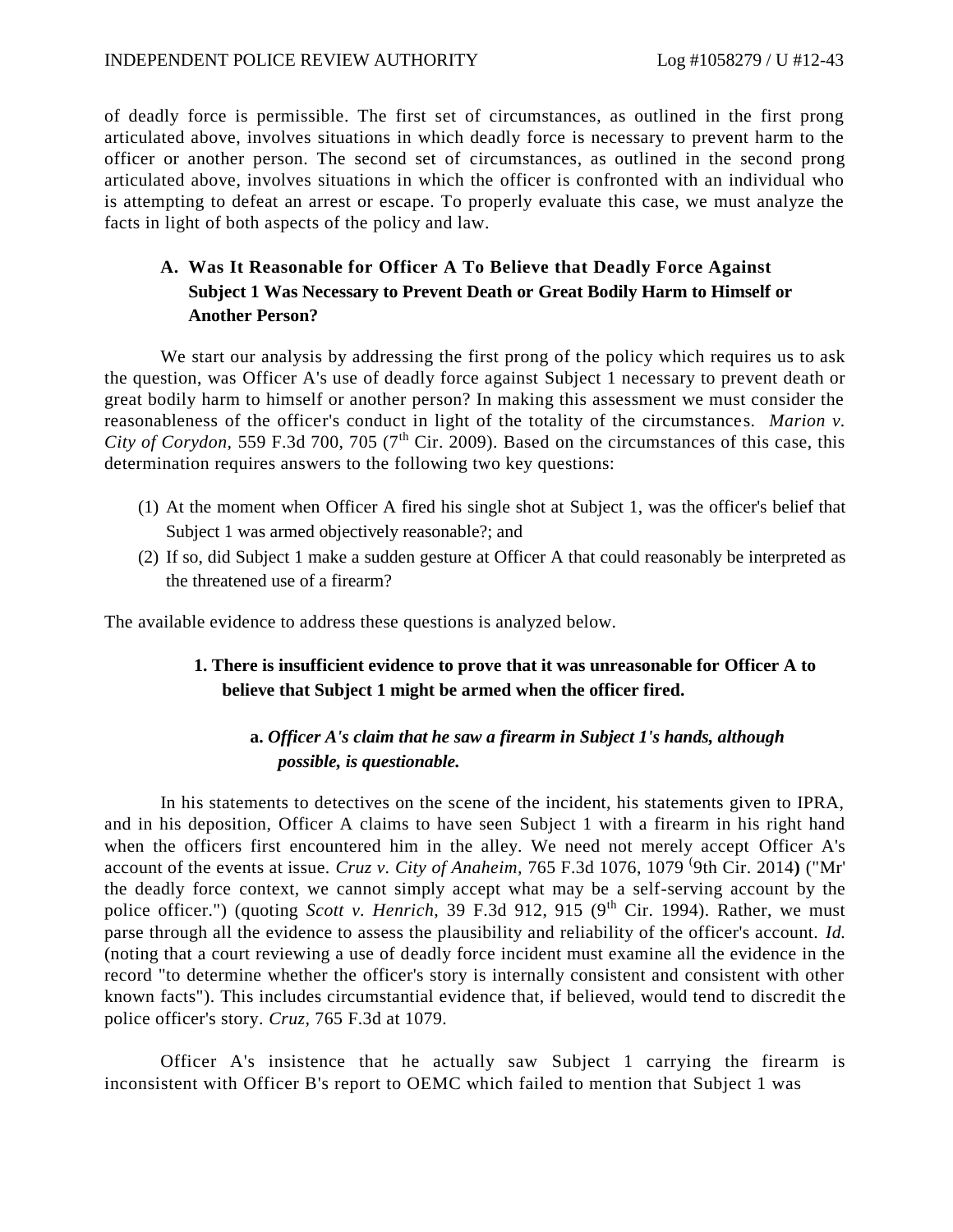of deadly force is permissible. The first set of circumstances, as outlined in the first prong articulated above, involves situations in which deadly force is necessary to prevent harm to the officer or another person. The second set of circumstances, as outlined in the second prong articulated above, involves situations in which the officer is confronted with an individual who is attempting to defeat an arrest or escape. To properly evaluate this case, we must analyze the facts in light of both aspects of the policy and law.

# **A. Was It Reasonable for Officer A To Believe that Deadly Force Against Subject 1 Was Necessary to Prevent Death or Great Bodily Harm to Himself or Another Person?**

We start our analysis by addressing the first prong of the policy which requires us to ask the question, was Officer A's use of deadly force against Subject 1 necessary to prevent death or great bodily harm to himself or another person? In making this assessment we must consider the reasonableness of the officer's conduct in light of the totality of the circumstances. *Marion v. City of Corydon,* 559 F.3d 700, 705 ( $7<sup>th</sup>$  Cir. 2009). Based on the circumstances of this case, this determination requires answers to the following two key questions:

- (1) At the moment when Officer A fired his single shot at Subject 1, was the officer's belief that Subject 1 was armed objectively reasonable?; and
- (2) If so, did Subject 1 make a sudden gesture at Officer A that could reasonably be interpreted as the threatened use of a firearm?

The available evidence to address these questions is analyzed below.

## **1. There is insufficient evidence to prove that it was unreasonable for Officer A to believe that Subject 1 might be armed when the officer fired.**

# **a.** *Officer A's claim that he saw a firearm in Subject 1's hands, although possible, is questionable.*

In his statements to detectives on the scene of the incident, his statements given to IPRA, and in his deposition, Officer A claims to have seen Subject 1 with a firearm in his right hand when the officers first encountered him in the alley. We need not merely accept Officer A's account of the events at issue. *Cruz v. City of Anaheim,* 765 F.3d 1076, 1079 ( 9th Cir. 2014**)** ("Mr' the deadly force context, we cannot simply accept what may be a self-serving account by the police officer.") (quoting *Scott v. Henrich*, 39 F.3d 912, 915 (9<sup>th</sup> Cir. 1994). Rather, we must parse through all the evidence to assess the plausibility and reliability of the officer's account. *Id.*  (noting that a court reviewing a use of deadly force incident must examine all the evidence in the record "to determine whether the officer's story is internally consistent and consistent with other known facts"). This includes circumstantial evidence that, if believed, would tend to discredit the police officer's story. *Cruz,* 765 F.3d at 1079.

Officer A's insistence that he actually saw Subject 1 carrying the firearm is inconsistent with Officer B's report to OEMC which failed to mention that Subject 1 was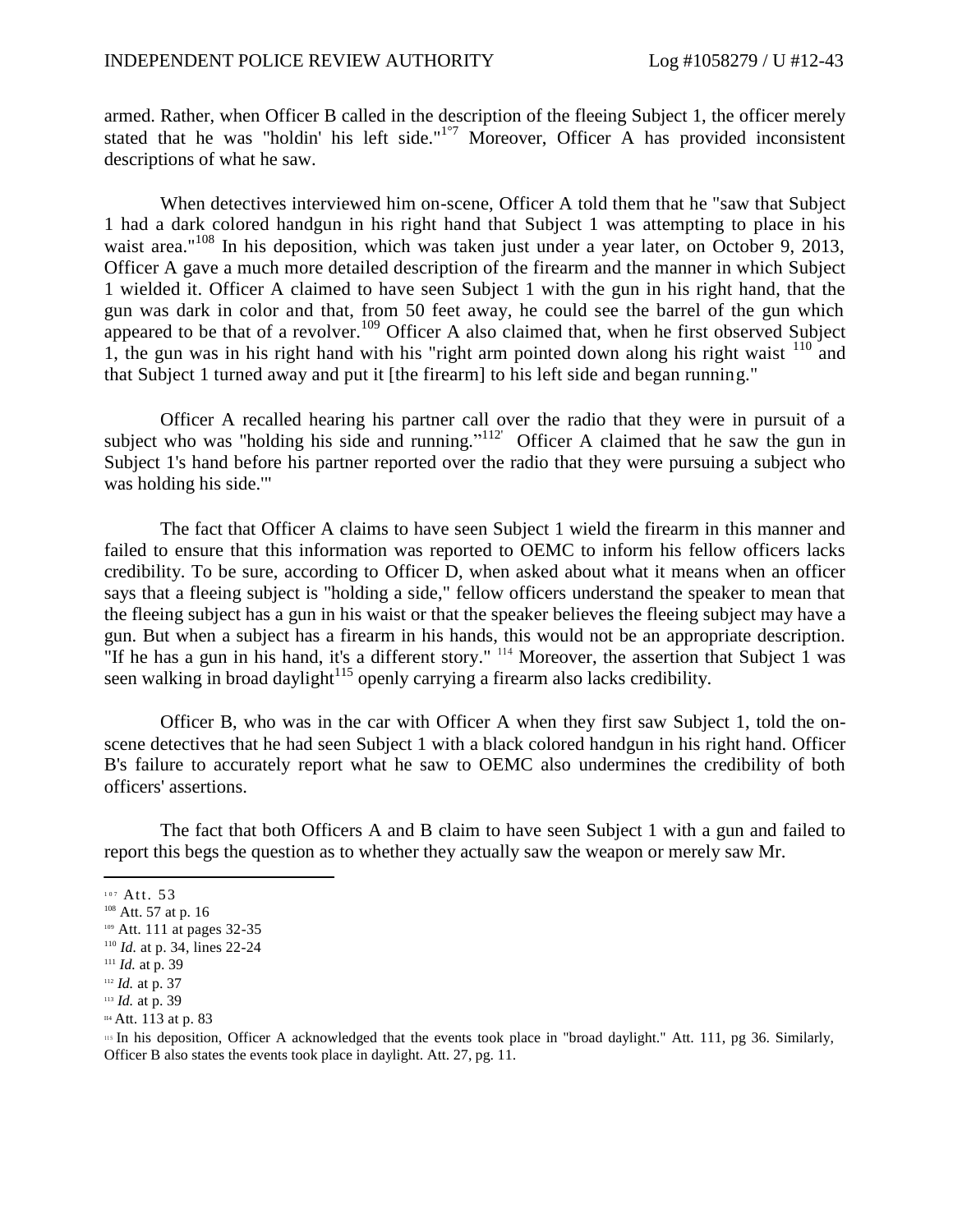armed. Rather, when Officer B called in the description of the fleeing Subject 1, the officer merely stated that he was "holdin' his left side."<sup>1°7</sup> Moreover, Officer A has provided inconsistent descriptions of what he saw.

When detectives interviewed him on-scene, Officer A told them that he "saw that Subject 1 had a dark colored handgun in his right hand that Subject 1 was attempting to place in his waist area."<sup>108</sup> In his deposition, which was taken just under a year later, on October 9, 2013, Officer A gave a much more detailed description of the firearm and the manner in which Subject 1 wielded it. Officer A claimed to have seen Subject 1 with the gun in his right hand, that the gun was dark in color and that, from 50 feet away, he could see the barrel of the gun which appeared to be that of a revolver.<sup>109</sup> Officer A also claimed that, when he first observed Subject 1, the gun was in his right hand with his "right arm pointed down along his right waist  $110$  and that Subject 1 turned away and put it [the firearm] to his left side and began running."

Officer A recalled hearing his partner call over the radio that they were in pursuit of a subject who was "holding his side and running."<sup>112'</sup> Officer A claimed that he saw the gun in Subject 1's hand before his partner reported over the radio that they were pursuing a subject who was holding his side.'"

The fact that Officer A claims to have seen Subject 1 wield the firearm in this manner and failed to ensure that this information was reported to OEMC to inform his fellow officers lacks credibility. To be sure, according to Officer D, when asked about what it means when an officer says that a fleeing subject is "holding a side," fellow officers understand the speaker to mean that the fleeing subject has a gun in his waist or that the speaker believes the fleeing subject may have a gun. But when a subject has a firearm in his hands, this would not be an appropriate description. "If he has a gun in his hand, it's a different story." <sup>114</sup> Moreover, the assertion that Subject 1 was seen walking in broad daylight<sup>115</sup> openly carrying a firearm also lacks credibility.

Officer B, who was in the car with Officer A when they first saw Subject 1, told the onscene detectives that he had seen Subject 1 with a black colored handgun in his right hand. Officer B's failure to accurately report what he saw to OEMC also undermines the credibility of both officers' assertions.

The fact that both Officers A and B claim to have seen Subject 1 with a gun and failed to report this begs the question as to whether they actually saw the weapon or merely saw Mr.

<sup>115</sup> In his deposition, Officer A acknowledged that the events took place in "broad daylight." Att. 111, pg 36. Similarly, Officer B also states the events took place in daylight. Att. 27, pg. 11.

 $107$  Att. 53

<sup>&</sup>lt;sup>108</sup> Att. 57 at p. 16

<sup>109</sup> Att. 111 at pages 32-35

<sup>110</sup> *Id.* at p. 34, lines 22-24

<sup>111</sup> *Id.* at p. 39

<sup>112</sup> *Id.* at p. 37

<sup>113</sup> *Id.* at p. 39

II4 Att. 113 at p. 83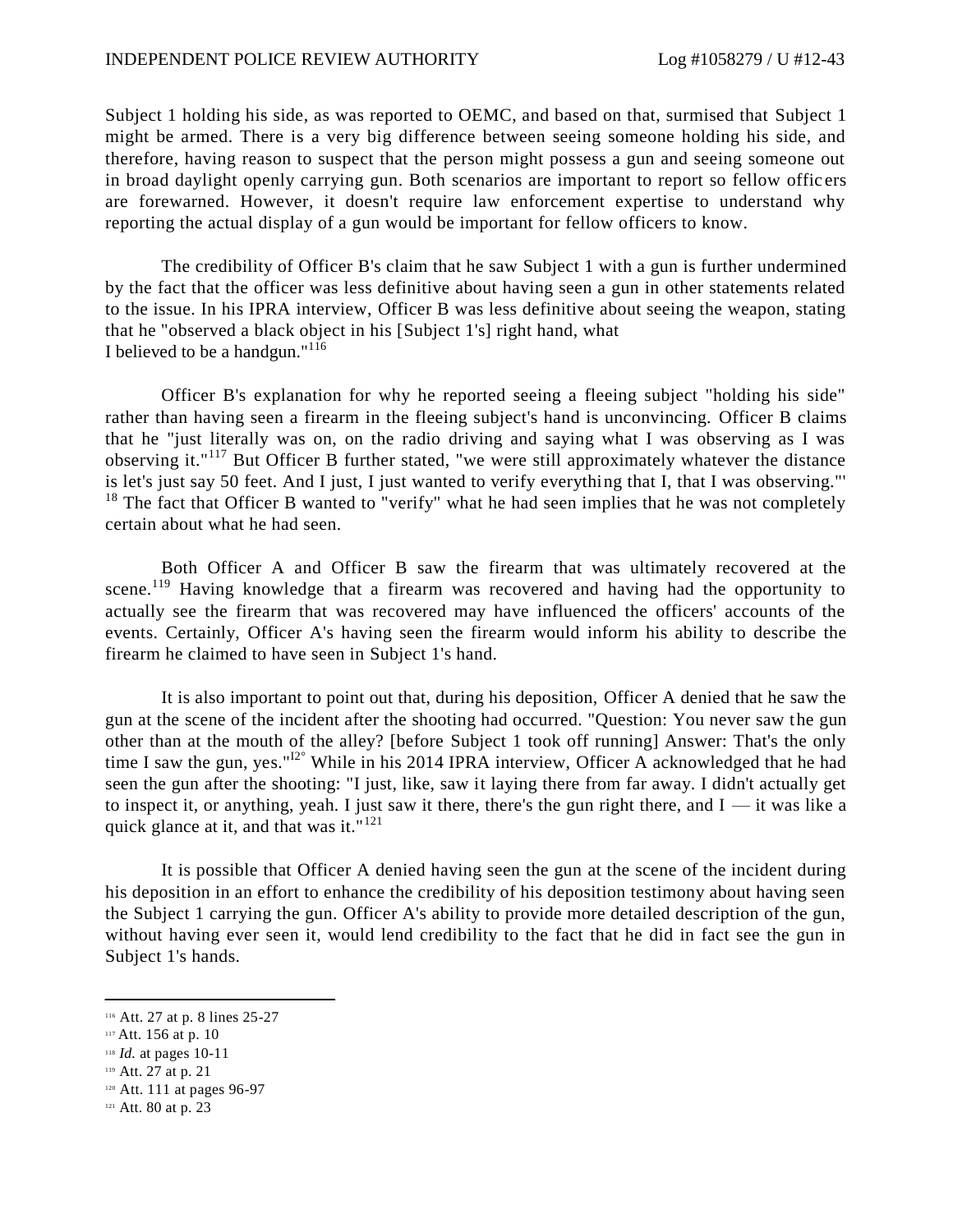Subject 1 holding his side, as was reported to OEMC, and based on that, surmised that Subject 1 might be armed. There is a very big difference between seeing someone holding his side, and therefore, having reason to suspect that the person might possess a gun and seeing someone out in broad daylight openly carrying gun. Both scenarios are important to report so fellow offic ers are forewarned. However, it doesn't require law enforcement expertise to understand why reporting the actual display of a gun would be important for fellow officers to know.

The credibility of Officer B's claim that he saw Subject 1 with a gun is further undermined by the fact that the officer was less definitive about having seen a gun in other statements related to the issue. In his IPRA interview, Officer B was less definitive about seeing the weapon, stating that he "observed a black object in his [Subject 1's] right hand, what I believed to be a handgun."<sup>116</sup>

Officer B's explanation for why he reported seeing a fleeing subject "holding his side" rather than having seen a firearm in the fleeing subject's hand is unconvincing. Officer B claims that he "just literally was on, on the radio driving and saying what I was observing as I was observing it."<sup>117</sup> But Officer B further stated, "we were still approximately whatever the distance is let's just say 50 feet. And I just, I just wanted to verify everything that I, that I was observing."'  $18$  The fact that Officer B wanted to "verify" what he had seen implies that he was not completely certain about what he had seen.

Both Officer A and Officer B saw the firearm that was ultimately recovered at the scene.<sup>119</sup> Having knowledge that a firearm was recovered and having had the opportunity to actually see the firearm that was recovered may have influenced the officers' accounts of the events. Certainly, Officer A's having seen the firearm would inform his ability to describe the firearm he claimed to have seen in Subject 1's hand.

It is also important to point out that, during his deposition, Officer A denied that he saw the gun at the scene of the incident after the shooting had occurred. "Question: You never saw the gun other than at the mouth of the alley? [before Subject 1 took off running] Answer: That's the only time I saw the gun, yes."<sup>12°</sup> While in his 2014 IPRA interview, Officer A acknowledged that he had seen the gun after the shooting: "I just, like, saw it laying there from far away. I didn't actually get to inspect it, or anything, yeah. I just saw it there, there's the gun right there, and  $I - iI$  was like a quick glance at it, and that was it." $121$ 

It is possible that Officer A denied having seen the gun at the scene of the incident during his deposition in an effort to enhance the credibility of his deposition testimony about having seen the Subject 1 carrying the gun. Officer A's ability to provide more detailed description of the gun, without having ever seen it, would lend credibility to the fact that he did in fact see the gun in Subject 1's hands.

<sup>116</sup> Att. 27 at p. 8 lines 25-27

<sup>117</sup> Att. 156 at p. 10

<sup>118</sup> *Id.* at pages 10-11

<sup>119</sup> Att. 27 at p. 21

<sup>120</sup> Att. 111 at pages 96-97

<sup>121</sup> Att. 80 at p. 23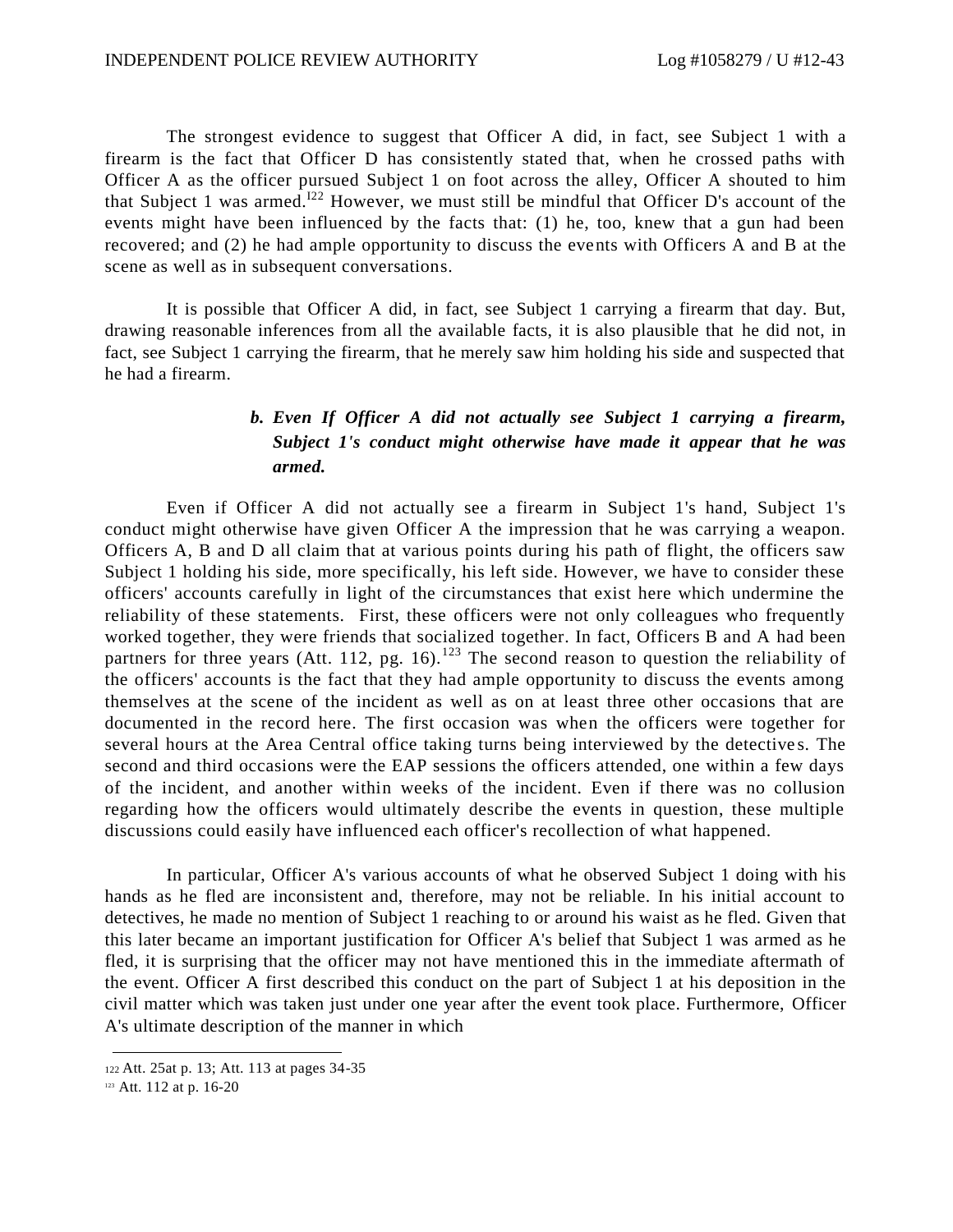The strongest evidence to suggest that Officer A did, in fact, see Subject 1 with a firearm is the fact that Officer D has consistently stated that, when he crossed paths with Officer A as the officer pursued Subject 1 on foot across the alley, Officer A shouted to him that Subject 1 was armed.<sup>122</sup> However, we must still be mindful that Officer D's account of the events might have been influenced by the facts that: (1) he, too, knew that a gun had been recovered; and (2) he had ample opportunity to discuss the events with Officers A and B at the scene as well as in subsequent conversations.

It is possible that Officer A did, in fact, see Subject 1 carrying a firearm that day. But, drawing reasonable inferences from all the available facts, it is also plausible that he did not, in fact, see Subject 1 carrying the firearm, that he merely saw him holding his side and suspected that he had a firearm.

# *b. Even If Officer A did not actually see Subject 1 carrying a firearm, Subject 1's conduct might otherwise have made it appear that he was armed.*

Even if Officer A did not actually see a firearm in Subject 1's hand, Subject 1's conduct might otherwise have given Officer A the impression that he was carrying a weapon. Officers A, B and D all claim that at various points during his path of flight, the officers saw Subject 1 holding his side, more specifically, his left side. However, we have to consider these officers' accounts carefully in light of the circumstances that exist here which undermine the reliability of these statements. First, these officers were not only colleagues who frequently worked together, they were friends that socialized together. In fact, Officers B and A had been partners for three years (Att. 112, pg. 16).<sup>123</sup> The second reason to question the reliability of the officers' accounts is the fact that they had ample opportunity to discuss the events among themselves at the scene of the incident as well as on at least three other occasions that are documented in the record here. The first occasion was when the officers were together for several hours at the Area Central office taking turns being interviewed by the detectives. The second and third occasions were the EAP sessions the officers attended, one within a few days of the incident, and another within weeks of the incident. Even if there was no collusion regarding how the officers would ultimately describe the events in question, these multiple discussions could easily have influenced each officer's recollection of what happened.

In particular, Officer A's various accounts of what he observed Subject 1 doing with his hands as he fled are inconsistent and, therefore, may not be reliable. In his initial account to detectives, he made no mention of Subject 1 reaching to or around his waist as he fled. Given that this later became an important justification for Officer A's belief that Subject 1 was armed as he fled, it is surprising that the officer may not have mentioned this in the immediate aftermath of the event. Officer A first described this conduct on the part of Subject 1 at his deposition in the civil matter which was taken just under one year after the event took place. Furthermore, Officer A's ultimate description of the manner in which

<sup>122</sup>Att. 25at p. 13; Att. 113 at pages 34-35

<sup>123</sup> Att. 112 at p. 16-20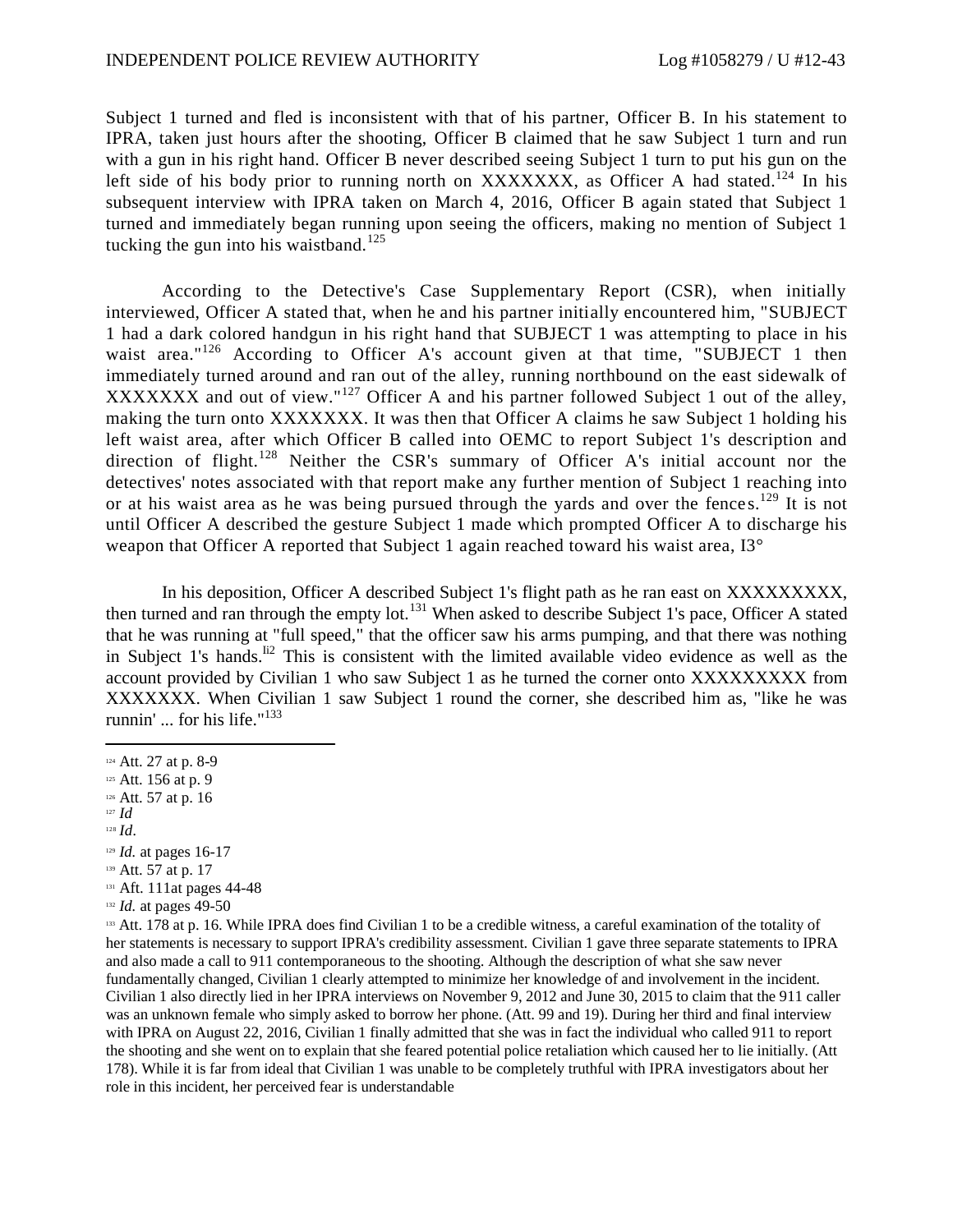Subject 1 turned and fled is inconsistent with that of his partner, Officer B. In his statement to IPRA, taken just hours after the shooting, Officer B claimed that he saw Subject 1 turn and run with a gun in his right hand. Officer B never described seeing Subject 1 turn to put his gun on the left side of his body prior to running north on XXXXXXX, as Officer A had stated.<sup>124</sup> In his subsequent interview with IPRA taken on March 4, 2016, Officer B again stated that Subject 1 turned and immediately began running upon seeing the officers, making no mention of Subject 1 tucking the gun into his waistband.<sup>125</sup>

According to the Detective's Case Supplementary Report (CSR), when initially interviewed, Officer A stated that, when he and his partner initially encountered him, "SUBJECT 1 had a dark colored handgun in his right hand that SUBJECT 1 was attempting to place in his waist area."<sup>126</sup> According to Officer A's account given at that time, "SUBJECT 1 then immediately turned around and ran out of the alley, running northbound on the east sidewalk of XXXXXXX and out of view."<sup>127</sup> Officer A and his partner followed Subject 1 out of the alley, making the turn onto XXXXXXX. It was then that Officer A claims he saw Subject 1 holding his left waist area, after which Officer B called into OEMC to report Subject 1's description and direction of flight.<sup>128</sup> Neither the CSR's summary of Officer A's initial account nor the detectives' notes associated with that report make any further mention of Subject 1 reaching into or at his waist area as he was being pursued through the yards and over the fence  $s$ .<sup>129</sup> It is not until Officer A described the gesture Subject 1 made which prompted Officer A to discharge his weapon that Officer A reported that Subject 1 again reached toward his waist area, I3<sup>°</sup>

In his deposition, Officer A described Subject 1's flight path as he ran east on XXXXXXXXXX, then turned and ran through the empty lot.<sup>131</sup> When asked to describe Subject 1's pace, Officer A stated that he was running at "full speed," that the officer saw his arms pumping, and that there was nothing in Subject 1's hands.<sup> $\text{II}^2$ </sup> This is consistent with the limited available video evidence as well as the account provided by Civilian 1 who saw Subject 1 as he turned the corner onto XXXXXXXXX from XXXXXXX. When Civilian 1 saw Subject 1 round the corner, she described him as, "like he was runnin' ... for his life."<sup>133</sup>

- <sup>127</sup> *Id*
- <sup>128</sup> *Id.*

- 139 Att. 57 at p. 17
- 131 Aft. 111at pages 44-48
- <sup>132</sup> *Id.* at pages 49-50

<sup>133</sup> Att. 178 at p. 16. While IPRA does find Civilian 1 to be a credible witness, a careful examination of the totality of her statements is necessary to support IPRA's credibility assessment. Civilian 1 gave three separate statements to IPRA and also made a call to 911 contemporaneous to the shooting. Although the description of what she saw never fundamentally changed, Civilian 1 clearly attempted to minimize her knowledge of and involvement in the incident. Civilian 1 also directly lied in her IPRA interviews on November 9, 2012 and June 30, 2015 to claim that the 911 caller was an unknown female who simply asked to borrow her phone. (Att. 99 and 19). During her third and final interview with IPRA on August 22, 2016, Civilian 1 finally admitted that she was in fact the individual who called 911 to report the shooting and she went on to explain that she feared potential police retaliation which caused her to lie initially. (Att 178). While it is far from ideal that Civilian 1 was unable to be completely truthful with IPRA investigators about her role in this incident, her perceived fear is understandable

<sup>124</sup> Att. 27 at p. 8-9

<sup>125</sup> Att. 156 at p. 9

<sup>126</sup> Att. 57 at p. 16

<sup>129</sup> *Id.* at pages 16-17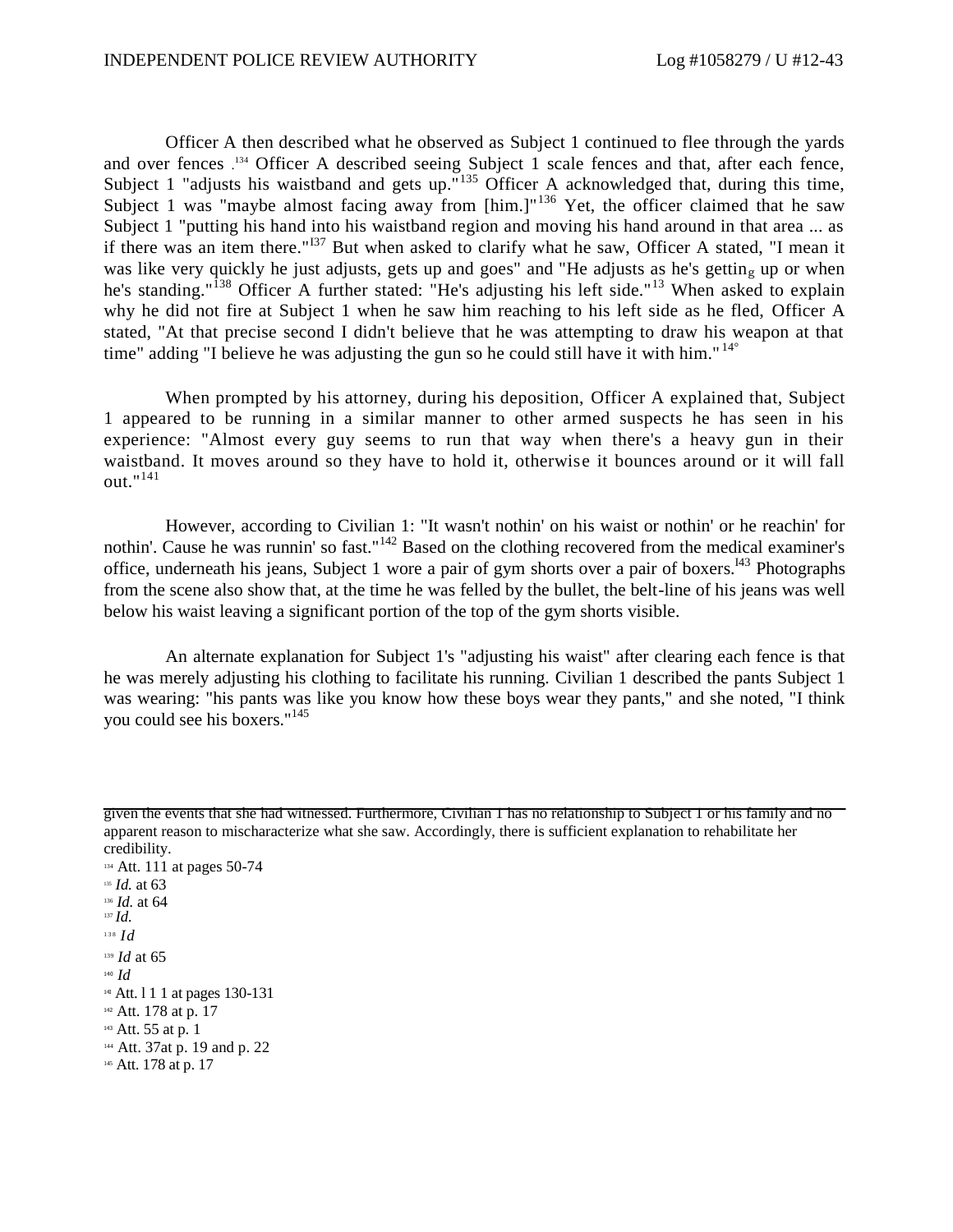Officer A then described what he observed as Subject 1 continued to flee through the yards and over fences . <sup>134</sup> Officer A described seeing Subject 1 scale fences and that, after each fence, Subject 1 "adjusts his waistband and gets up."<sup>135</sup> Officer A acknowledged that, during this time, Subject 1 was "maybe almost facing away from  $[\text{him.}]^{136}$  Yet, the officer claimed that he saw Subject 1 "putting his hand into his waistband region and moving his hand around in that area ... as if there was an item there." $137$  But when asked to clarify what he saw, Officer A stated, "I mean it was like very quickly he just adjusts, gets up and goes" and "He adjusts as he's getting up or when he's standing."<sup>138</sup> Officer A further stated: "He's adjusting his left side."<sup>13</sup> When asked to explain why he did not fire at Subject 1 when he saw him reaching to his left side as he fled, Officer A stated, "At that precise second I didn't believe that he was attempting to draw his weapon at that time" adding "I believe he was adjusting the gun so he could still have it with him." $14^\circ$ 

When prompted by his attorney, during his deposition, Officer A explained that, Subject 1 appeared to be running in a similar manner to other armed suspects he has seen in his experience: "Almost every guy seems to run that way when there's a heavy gun in their waistband. It moves around so they have to hold it, otherwise it bounces around or it will fall out."<sup>141</sup>

However, according to Civilian 1: "It wasn't nothin' on his waist or nothin' or he reachin' for nothin'. Cause he was runnin' so fast."<sup>142</sup> Based on the clothing recovered from the medical examiner's office, underneath his jeans, Subject 1 wore a pair of gym shorts over a pair of boxers.<sup>143</sup> Photographs from the scene also show that, at the time he was felled by the bullet, the belt-line of his jeans was well below his waist leaving a significant portion of the top of the gym shorts visible.

An alternate explanation for Subject 1's "adjusting his waist" after clearing each fence is that he was merely adjusting his clothing to facilitate his running. Civilian 1 described the pants Subject 1 was wearing: "his pants was like you know how these boys wear they pants," and she noted, "I think you could see his boxers." 145

given the events that she had witnessed. Furthermore, Civilian 1 has no relationship to Subject 1 or his family and no apparent reason to mischaracterize what she saw. Accordingly, there is sufficient explanation to rehabilitate her credibility.

<sup>134</sup> Att. 111 at pages 50-74 <sup>135</sup> *Id.* at 63 <sup>136</sup> *Id.* at 64 <sup>137</sup> *Id.* 1 3 8 *Id* <sup>139</sup> *Id* at 65 <sup>140</sup> *Id* <sup>14I</sup> Att. 1 1 1 at pages 130-131 <sup>142</sup> Att. 178 at p. 17 <sup>143</sup> Att. 55 at p. 1 <sup>144</sup> Att. 37at p. 19 and p. 22 145 Att. 178 at p. 17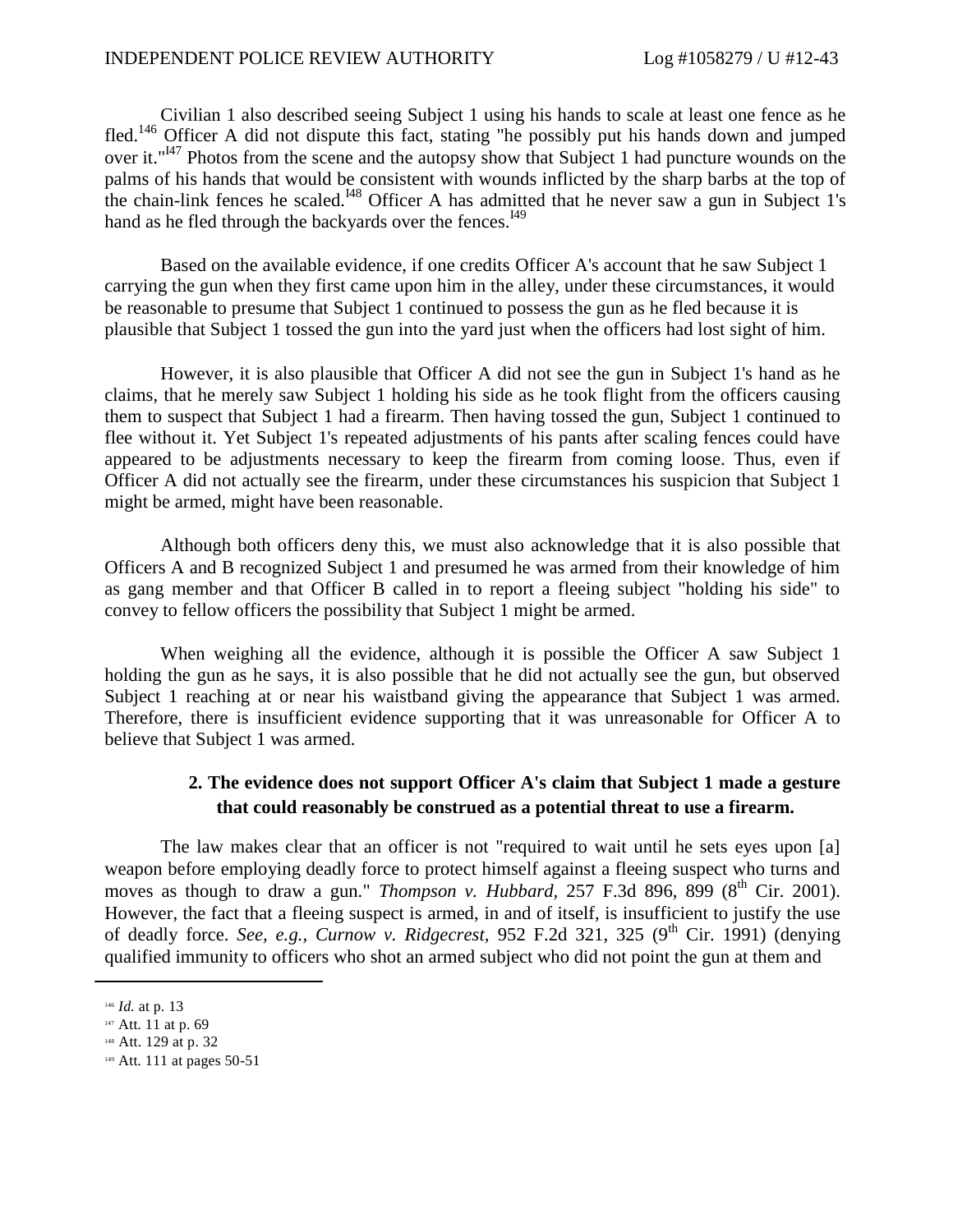Civilian 1 also described seeing Subject 1 using his hands to scale at least one fence as he fled.<sup>146</sup> Officer A did not dispute this fact, stating "he possibly put his hands down and jumped over it."<sup>147</sup> Photos from the scene and the autopsy show that Subject 1 had puncture wounds on the palms of his hands that would be consistent with wounds inflicted by the sharp barbs at the top of the chain-link fences he scaled.<sup>148</sup> Officer A has admitted that he never saw a gun in Subject 1's hand as he fled through the backyards over the fences.<sup>149</sup>

Based on the available evidence, if one credits Officer A's account that he saw Subject 1 carrying the gun when they first came upon him in the alley, under these circumstances, it would be reasonable to presume that Subject 1 continued to possess the gun as he fled because it is plausible that Subject 1 tossed the gun into the yard just when the officers had lost sight of him.

However, it is also plausible that Officer A did not see the gun in Subject 1's hand as he claims, that he merely saw Subject 1 holding his side as he took flight from the officers causing them to suspect that Subject 1 had a firearm. Then having tossed the gun, Subject 1 continued to flee without it. Yet Subject 1's repeated adjustments of his pants after scaling fences could have appeared to be adjustments necessary to keep the firearm from coming loose. Thus, even if Officer A did not actually see the firearm, under these circumstances his suspicion that Subject 1 might be armed, might have been reasonable.

Although both officers deny this, we must also acknowledge that it is also possible that Officers A and B recognized Subject 1 and presumed he was armed from their knowledge of him as gang member and that Officer B called in to report a fleeing subject "holding his side" to convey to fellow officers the possibility that Subject 1 might be armed.

When weighing all the evidence, although it is possible the Officer A saw Subject 1 holding the gun as he says, it is also possible that he did not actually see the gun, but observed Subject 1 reaching at or near his waistband giving the appearance that Subject 1 was armed. Therefore, there is insufficient evidence supporting that it was unreasonable for Officer A to believe that Subject 1 was armed.

## **2. The evidence does not support Officer A's claim that Subject 1 made a gesture that could reasonably be construed as a potential threat to use a firearm.**

The law makes clear that an officer is not "required to wait until he sets eyes upon [a] weapon before employing deadly force to protect himself against a fleeing suspect who turns and moves as though to draw a gun." *Thompson v. Hubbard*, 257 F.3d 896, 899 (8<sup>th</sup> Cir. 2001). However, the fact that a fleeing suspect is armed, in and of itself, is insufficient to justify the use of deadly force. *See, e.g., Curnow v. Ridgecrest*, 952 F.2d 321, 325 (9<sup>th</sup> Cir. 1991) (denying qualified immunity to officers who shot an armed subject who did not point the gun at them and

<sup>146</sup> *Id.* at p. 13

<sup>147</sup> Att. 11 at p. 69

<sup>148</sup> Att. 129 at p. 32

<sup>149</sup> Att. 111 at pages 50-51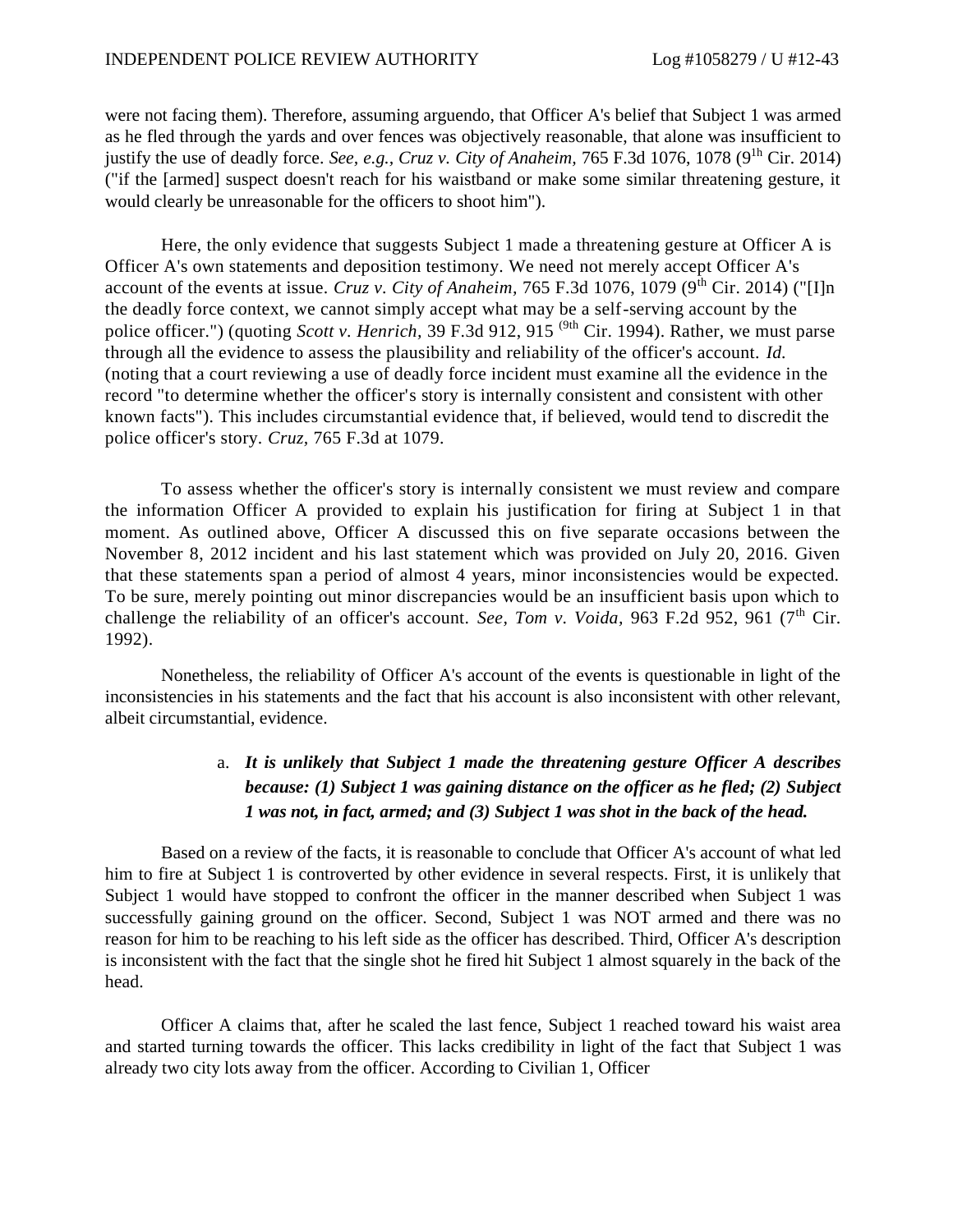were not facing them). Therefore, assuming arguendo, that Officer A's belief that Subject 1 was armed as he fled through the yards and over fences was objectively reasonable, that alone was insufficient to justify the use of deadly force. *See, e.g., Cruz v. City of Anaheim,* 765 F.3d 1076, 1078 (9<sup>th</sup> Cir. 2014) ("if the [armed] suspect doesn't reach for his waistband or make some similar threatening gesture, it would clearly be unreasonable for the officers to shoot him").

Here, the only evidence that suggests Subject 1 made a threatening gesture at Officer A is Officer A's own statements and deposition testimony. We need not merely accept Officer A's account of the events at issue. *Cruz v. City of Anaheim*,  $765$  F.3d 1076, 1079 (9<sup>th</sup> Cir. 2014) ("[I]n the deadly force context, we cannot simply accept what may be a self-serving account by the police officer.") (quoting *Scott v. Henrich,* 39 F.3d 912, 915 (9th Cir. 1994). Rather, we must parse through all the evidence to assess the plausibility and reliability of the officer's account. *Id.*  (noting that a court reviewing a use of deadly force incident must examine all the evidence in the record "to determine whether the officer's story is internally consistent and consistent with other known facts"). This includes circumstantial evidence that, if believed, would tend to discredit the police officer's story. *Cruz,* 765 F.3d at 1079.

To assess whether the officer's story is internally consistent we must review and compare the information Officer A provided to explain his justification for firing at Subject 1 in that moment. As outlined above, Officer A discussed this on five separate occasions between the November 8, 2012 incident and his last statement which was provided on July 20, 2016. Given that these statements span a period of almost 4 years, minor inconsistencies would be expected. To be sure, merely pointing out minor discrepancies would be an insufficient basis upon which to challenge the reliability of an officer's account. *See, Tom v. Voida*, 963 F.2d 952, 961 (7<sup>th</sup> Cir. 1992).

Nonetheless, the reliability of Officer A's account of the events is questionable in light of the inconsistencies in his statements and the fact that his account is also inconsistent with other relevant, albeit circumstantial, evidence.

# a. *It is unlikely that Subject 1 made the threatening gesture Officer A describes because: (1) Subject 1 was gaining distance on the officer as he fled; (2) Subject 1 was not, in fact, armed; and (3) Subject 1 was shot in the back of the head.*

Based on a review of the facts, it is reasonable to conclude that Officer A's account of what led him to fire at Subject 1 is controverted by other evidence in several respects. First, it is unlikely that Subject 1 would have stopped to confront the officer in the manner described when Subject 1 was successfully gaining ground on the officer. Second, Subject 1 was NOT armed and there was no reason for him to be reaching to his left side as the officer has described. Third, Officer A's description is inconsistent with the fact that the single shot he fired hit Subject 1 almost squarely in the back of the head.

Officer A claims that, after he scaled the last fence, Subject 1 reached toward his waist area and started turning towards the officer. This lacks credibility in light of the fact that Subject 1 was already two city lots away from the officer. According to Civilian 1, Officer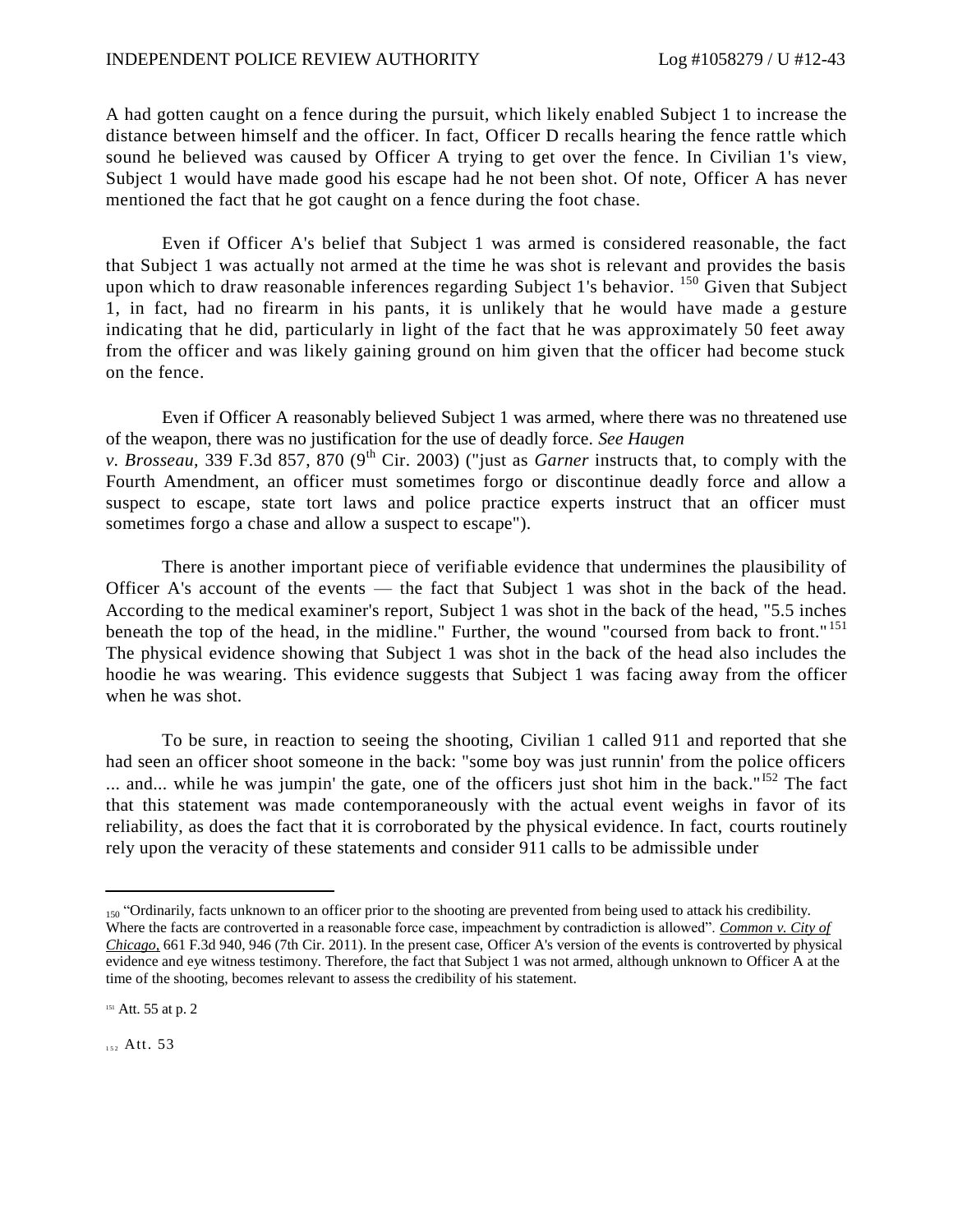A had gotten caught on a fence during the pursuit, which likely enabled Subject 1 to increase the distance between himself and the officer. In fact, Officer D recalls hearing the fence rattle which sound he believed was caused by Officer A trying to get over the fence. In Civilian 1's view, Subject 1 would have made good his escape had he not been shot. Of note, Officer A has never mentioned the fact that he got caught on a fence during the foot chase.

Even if Officer A's belief that Subject 1 was armed is considered reasonable, the fact that Subject 1 was actually not armed at the time he was shot is relevant and provides the basis upon which to draw reasonable inferences regarding Subject 1's behavior.  $150$  Given that Subject 1, in fact, had no firearm in his pants, it is unlikely that he would have made a gesture indicating that he did, particularly in light of the fact that he was approximately 50 feet away from the officer and was likely gaining ground on him given that the officer had become stuck on the fence.

Even if Officer A reasonably believed Subject 1 was armed, where there was no threatened use of the weapon, there was no justification for the use of deadly force. *See Haugen v. Brosseau,* 339 F.3d 857, 870 (9<sup>th</sup> Cir. 2003) ("just as *Garner* instructs that, to comply with the Fourth Amendment, an officer must sometimes forgo or discontinue deadly force and allow a suspect to escape, state tort laws and police practice experts instruct that an officer must sometimes forgo a chase and allow a suspect to escape").

There is another important piece of verifiable evidence that undermines the plausibility of Officer A's account of the events — the fact that Subject 1 was shot in the back of the head. According to the medical examiner's report, Subject 1 was shot in the back of the head, "5.5 inches beneath the top of the head, in the midline." Further, the wound "coursed from back to front."<sup>151</sup> The physical evidence showing that Subject 1 was shot in the back of the head also includes the hoodie he was wearing. This evidence suggests that Subject 1 was facing away from the officer when he was shot.

To be sure, in reaction to seeing the shooting, Civilian 1 called 911 and reported that she had seen an officer shoot someone in the back: "some boy was just runnin' from the police officers ... and... while he was jumpin' the gate, one of the officers just shot him in the back."<sup>152</sup> The fact that this statement was made contemporaneously with the actual event weighs in favor of its reliability, as does the fact that it is corroborated by the physical evidence. In fact, courts routinely rely upon the veracity of these statements and consider 911 calls to be admissible under

152 Att. 53

<sup>150 &</sup>quot;Ordinarily, facts unknown to an officer prior to the shooting are prevented from being used to attack his credibility. Where the facts are controverted in a reasonable force case, impeachment by contradiction is allowed". *Common v. City of Chicago,* 661 F.3d 940, 946 (7th Cir. 2011). In the present case, Officer A's version of the events is controverted by physical evidence and eye witness testimony. Therefore, the fact that Subject 1 was not armed, although unknown to Officer A at the time of the shooting, becomes relevant to assess the credibility of his statement.

<sup>&</sup>lt;sup>151</sup> Att. 55 at p. 2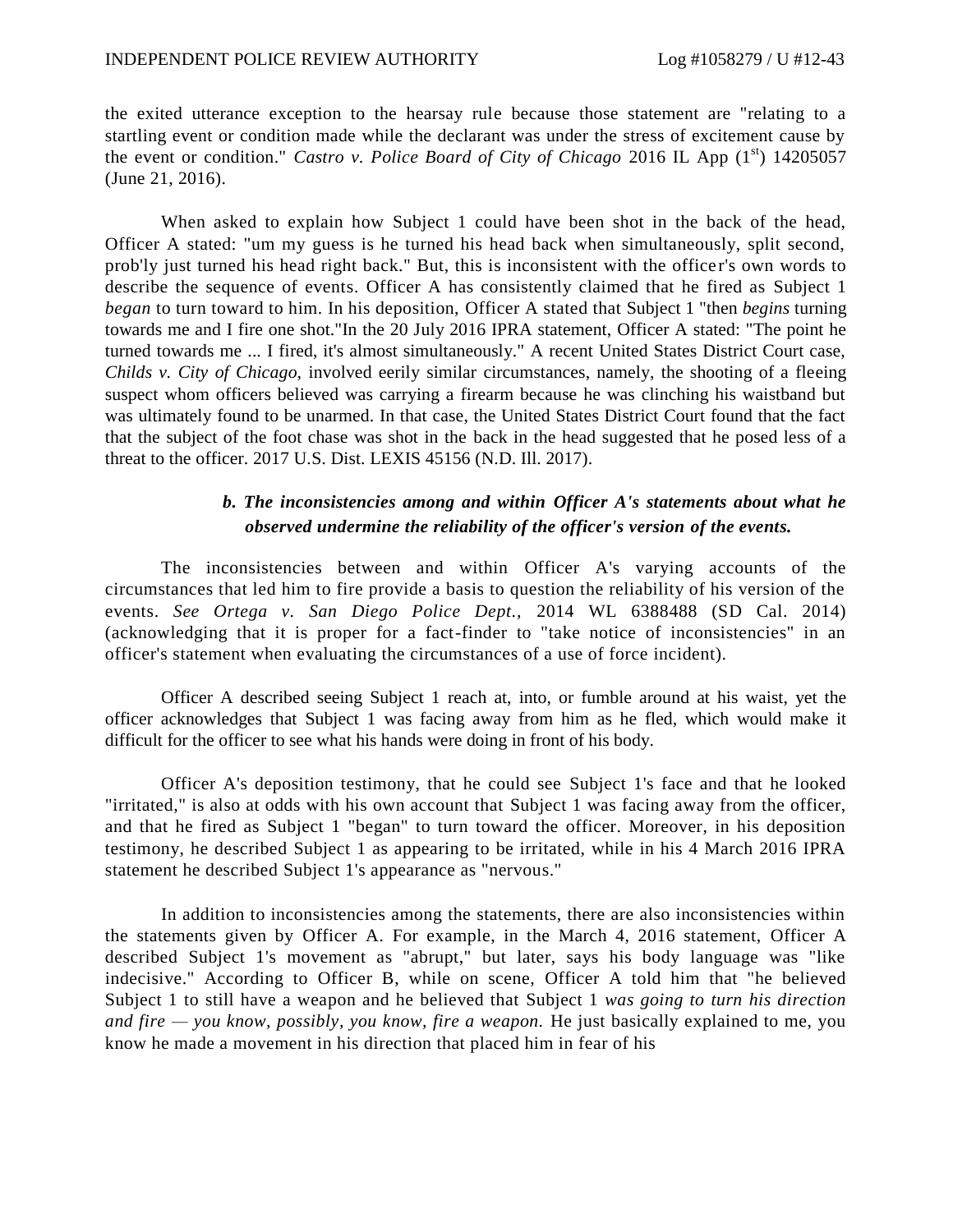the exited utterance exception to the hearsay rule because those statement are "relating to a startling event or condition made while the declarant was under the stress of excitement cause by the event or condition." *Castro v. Police Board of City of Chicago* 2016 IL App (1<sup>st</sup>) 14205057 (June 21, 2016).

When asked to explain how Subject 1 could have been shot in the back of the head, Officer A stated: "um my guess is he turned his head back when simultaneously, split second, prob'ly just turned his head right back." But, this is inconsistent with the office r's own words to describe the sequence of events. Officer A has consistently claimed that he fired as Subject 1 *began* to turn toward to him. In his deposition, Officer A stated that Subject 1 "then *begins* turning towards me and I fire one shot."In the 20 July 2016 IPRA statement, Officer A stated: "The point he turned towards me ... I fired, it's almost simultaneously." A recent United States District Court case, *Childs v. City of Chicago,* involved eerily similar circumstances, namely, the shooting of a fleeing suspect whom officers believed was carrying a firearm because he was clinching his waistband but was ultimately found to be unarmed. In that case, the United States District Court found that the fact that the subject of the foot chase was shot in the back in the head suggested that he posed less of a threat to the officer. 2017 U.S. Dist. LEXIS 45156 (N.D. Ill. 2017).

## *b. The inconsistencies among and within Officer A's statements about what he observed undermine the reliability of the officer's version of the events.*

The inconsistencies between and within Officer A's varying accounts of the circumstances that led him to fire provide a basis to question the reliability of his version of the events. *See Ortega v. San Diego Police Dept.,* 2014 WL 6388488 (SD Cal. 2014) (acknowledging that it is proper for a fact-finder to "take notice of inconsistencies" in an officer's statement when evaluating the circumstances of a use of force incident).

Officer A described seeing Subject 1 reach at, into, or fumble around at his waist, yet the officer acknowledges that Subject 1 was facing away from him as he fled, which would make it difficult for the officer to see what his hands were doing in front of his body.

Officer A's deposition testimony, that he could see Subject 1's face and that he looked "irritated," is also at odds with his own account that Subject 1 was facing away from the officer, and that he fired as Subject 1 "began" to turn toward the officer. Moreover, in his deposition testimony, he described Subject 1 as appearing to be irritated, while in his 4 March 2016 IPRA statement he described Subject 1's appearance as "nervous."

In addition to inconsistencies among the statements, there are also inconsistencies within the statements given by Officer A. For example, in the March 4, 2016 statement, Officer A described Subject 1's movement as "abrupt," but later, says his body language was "like indecisive." According to Officer B, while on scene, Officer A told him that "he believed Subject 1 to still have a weapon and he believed that Subject 1 *was going to turn his direction and fire — you know, possibly, you know, fire a weapon.* He just basically explained to me, you know he made a movement in his direction that placed him in fear of his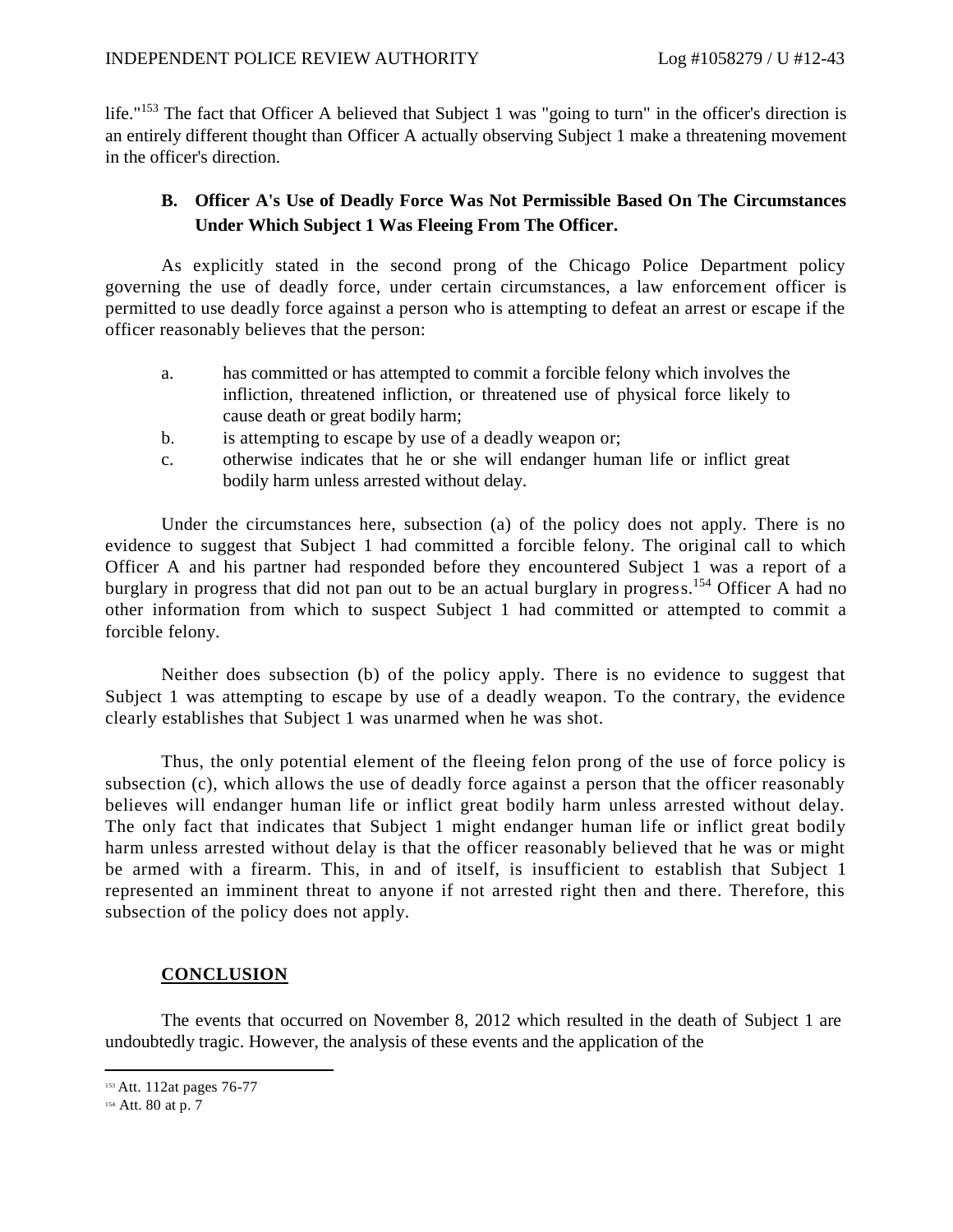life."<sup>153</sup> The fact that Officer A believed that Subject 1 was "going to turn" in the officer's direction is an entirely different thought than Officer A actually observing Subject 1 make a threatening movement in the officer's direction.

## **B. Officer A's Use of Deadly Force Was Not Permissible Based On The Circumstances Under Which Subject 1 Was Fleeing From The Officer.**

As explicitly stated in the second prong of the Chicago Police Department policy governing the use of deadly force, under certain circumstances, a law enforcement officer is permitted to use deadly force against a person who is attempting to defeat an arrest or escape if the officer reasonably believes that the person:

- a. has committed or has attempted to commit a forcible felony which involves the infliction, threatened infliction, or threatened use of physical force likely to cause death or great bodily harm;
- b. is attempting to escape by use of a deadly weapon or;
- c. otherwise indicates that he or she will endanger human life or inflict great bodily harm unless arrested without delay.

Under the circumstances here, subsection (a) of the policy does not apply. There is no evidence to suggest that Subject 1 had committed a forcible felony. The original call to which Officer A and his partner had responded before they encountered Subject 1 was a report of a burglary in progress that did not pan out to be an actual burglary in progress.<sup>154</sup> Officer A had no other information from which to suspect Subject 1 had committed or attempted to commit a forcible felony.

Neither does subsection (b) of the policy apply. There is no evidence to suggest that Subject 1 was attempting to escape by use of a deadly weapon. To the contrary, the evidence clearly establishes that Subject 1 was unarmed when he was shot.

Thus, the only potential element of the fleeing felon prong of the use of force policy is subsection (c), which allows the use of deadly force against a person that the officer reasonably believes will endanger human life or inflict great bodily harm unless arrested without delay. The only fact that indicates that Subject 1 might endanger human life or inflict great bodily harm unless arrested without delay is that the officer reasonably believed that he was or might be armed with a firearm. This, in and of itself, is insufficient to establish that Subject 1 represented an imminent threat to anyone if not arrested right then and there. Therefore, this subsection of the policy does not apply.

### **CONCLUSION**

The events that occurred on November 8, 2012 which resulted in the death of Subject 1 are undoubtedly tragic. However, the analysis of these events and the application of the

<sup>153</sup> Att. 112at pages 76-77

<sup>154</sup> Att. 80 at p. 7